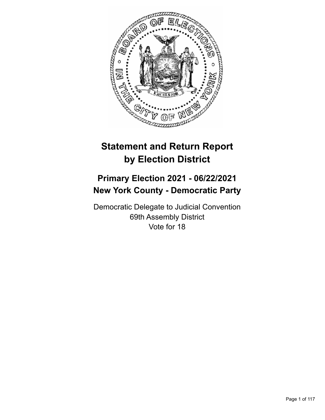

# **Statement and Return Report by Election District**

## **Primary Election 2021 - 06/22/2021 New York County - Democratic Party**

Democratic Delegate to Judicial Convention 69th Assembly District Vote for 18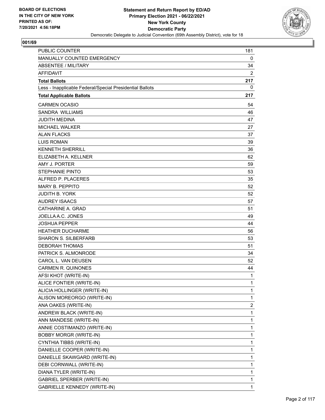

| <b>PUBLIC COUNTER</b>                                    | 181                     |
|----------------------------------------------------------|-------------------------|
| MANUALLY COUNTED EMERGENCY                               | 0                       |
| <b>ABSENTEE / MILITARY</b>                               | 34                      |
| <b>AFFIDAVIT</b>                                         | 2                       |
| <b>Total Ballots</b>                                     | 217                     |
| Less - Inapplicable Federal/Special Presidential Ballots | 0                       |
| <b>Total Applicable Ballots</b>                          | 217                     |
| <b>CARMEN OCASIO</b>                                     | 54                      |
| <b>SANDRA WILLIAMS</b>                                   | 46                      |
| <b>JUDITH MEDINA</b>                                     | 47                      |
| <b>MICHAEL WALKER</b>                                    | 27                      |
| <b>ALAN FLACKS</b>                                       | 37                      |
| <b>LUIS ROMAN</b>                                        | 39                      |
| <b>KENNETH SHERRILL</b>                                  | 36                      |
| ELIZABETH A. KELLNER                                     | 62                      |
| AMY J. PORTER                                            | 59                      |
| <b>STEPHANIE PINTO</b>                                   | 53                      |
| ALFRED P. PLACERES                                       | 35                      |
| <b>MARY B. PEPPITO</b>                                   | 52                      |
| <b>JUDITH B. YORK</b>                                    | 52                      |
| <b>AUDREY ISAACS</b>                                     | 57                      |
| CATHARINE A. GRAD                                        | 51                      |
| JOELLA A.C. JONES                                        | 49                      |
| <b>JOSHUA PEPPER</b>                                     | 44                      |
| <b>HEATHER DUCHARME</b>                                  | 56                      |
| <b>SHARON S. SILBERFARB</b>                              | 53                      |
| <b>DEBORAH THOMAS</b>                                    | 51                      |
| PATRICK S. ALMONRODE                                     | 34                      |
| CAROL L. VAN DEUSEN                                      | 52                      |
| <b>CARMEN R. QUINONES</b>                                | 44                      |
| AFSI KHOT (WRITE-IN)                                     | 1                       |
| ALICE FONTIER (WRITE-IN)                                 | 1                       |
| ALICIA HOLLINGER (WRITE-IN)                              | $\mathbf{1}$            |
| ALISON MOREORGO (WRITE-IN)                               | 1                       |
| ANA OAKES (WRITE-IN)                                     | $\overline{\mathbf{c}}$ |
| ANDREW BLACK (WRITE-IN)                                  | 1                       |
| ANN MANDESE (WRITE-IN)                                   | 1                       |
| ANNIE COSTIMANZO (WRITE-IN)                              | 1                       |
| <b>BOBBY MORGR (WRITE-IN)</b>                            | 1                       |
| CYNTHIA TIBBS (WRITE-IN)                                 | 1                       |
| DANIELLE COOPER (WRITE-IN)                               | 1                       |
| DANIELLE SKAWGARD (WRITE-IN)                             | 1                       |
| DEBI CORNWALL (WRITE-IN)                                 | 1                       |
| DIANA TYLER (WRITE-IN)                                   | 1                       |
| GABRIEL SPERBER (WRITE-IN)                               | 1                       |
| <b>GABRIELLE KENNEDY (WRITE-IN)</b>                      | 1                       |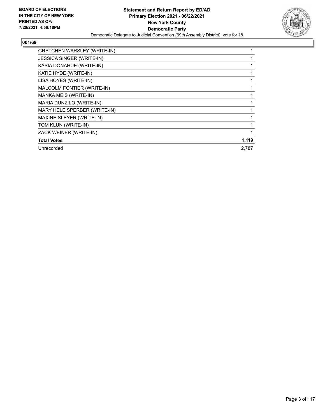

| <b>GRETCHEN WARSLEY (WRITE-IN)</b> |       |
|------------------------------------|-------|
| <b>JESSICA SINGER (WRITE-IN)</b>   |       |
| KASIA DONAHUE (WRITE-IN)           |       |
| KATIE HYDE (WRITE-IN)              |       |
| LISA HOYES (WRITE-IN)              |       |
| MALCOLM FONTIER (WRITE-IN)         |       |
| MANKA MEIS (WRITE-IN)              |       |
| MARIA DUNZILO (WRITE-IN)           |       |
| MARY HELE SPERBER (WRITE-IN)       |       |
| MAXINE SLEYER (WRITE-IN)           |       |
| TOM KLUN (WRITE-IN)                |       |
| ZACK WEINER (WRITE-IN)             |       |
| <b>Total Votes</b>                 | 1,119 |
| Unrecorded                         | 2,787 |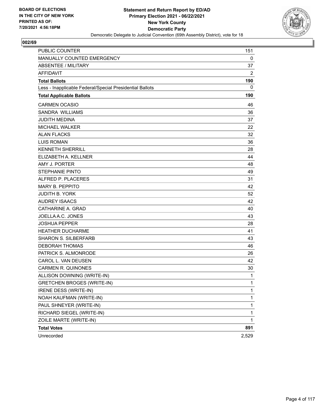

| <b>PUBLIC COUNTER</b>                                    | 151          |
|----------------------------------------------------------|--------------|
| MANUALLY COUNTED EMERGENCY                               | 0            |
| <b>ABSENTEE / MILITARY</b>                               | 37           |
| <b>AFFIDAVIT</b>                                         | 2            |
| <b>Total Ballots</b>                                     | 190          |
| Less - Inapplicable Federal/Special Presidential Ballots | 0            |
| <b>Total Applicable Ballots</b>                          | 190          |
| <b>CARMEN OCASIO</b>                                     | 46           |
| <b>SANDRA WILLIAMS</b>                                   | 36           |
| <b>JUDITH MEDINA</b>                                     | 37           |
| <b>MICHAEL WALKER</b>                                    | 22           |
| <b>ALAN FLACKS</b>                                       | 32           |
| <b>LUIS ROMAN</b>                                        | 36           |
| <b>KENNETH SHERRILL</b>                                  | 28           |
| ELIZABETH A. KELLNER                                     | 44           |
| AMY J. PORTER                                            | 48           |
| <b>STEPHANIE PINTO</b>                                   | 49           |
| ALFRED P. PLACERES                                       | 31           |
| <b>MARY B. PEPPITO</b>                                   | 42           |
| <b>JUDITH B. YORK</b>                                    | 52           |
| <b>AUDREY ISAACS</b>                                     | 42           |
| CATHARINE A. GRAD                                        | 40           |
| JOELLA A.C. JONES                                        | 43           |
| <b>JOSHUA PEPPER</b>                                     | 28           |
| <b>HEATHER DUCHARME</b>                                  | 41           |
| <b>SHARON S. SILBERFARB</b>                              | 43           |
| <b>DEBORAH THOMAS</b>                                    | 46           |
| PATRICK S. ALMONRODE                                     | 26           |
| CAROL L. VAN DEUSEN                                      | 42           |
| <b>CARMEN R. QUINONES</b>                                | 30           |
| ALLISON DOWNING (WRITE-IN)                               | 1            |
| <b>GRETCHEN BROGES (WRITE-IN)</b>                        | 1            |
| IRENE DESS (WRITE-IN)                                    | $\mathbf{1}$ |
| NOAH KAUFMAN (WRITE-IN)                                  | 1            |
| PAUL SHNEYER (WRITE-IN)                                  | $\mathbf{1}$ |
| RICHARD SIEGEL (WRITE-IN)                                | $\mathbf 1$  |
| ZOILE MARTE (WRITE-IN)                                   | 1            |
| <b>Total Votes</b>                                       | 891          |
| Unrecorded                                               | 2,529        |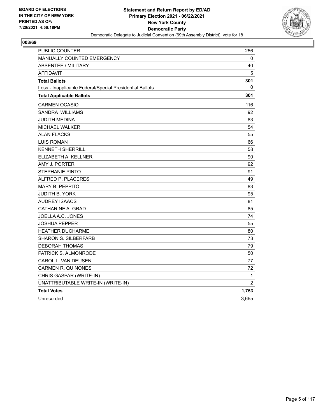

| <b>PUBLIC COUNTER</b>                                    | 256      |
|----------------------------------------------------------|----------|
| <b>MANUALLY COUNTED EMERGENCY</b>                        | 0        |
| <b>ABSENTEE / MILITARY</b>                               | 40       |
| <b>AFFIDAVIT</b>                                         | 5        |
| <b>Total Ballots</b>                                     | 301      |
| Less - Inapplicable Federal/Special Presidential Ballots | $\Omega$ |
| <b>Total Applicable Ballots</b>                          | 301      |
| <b>CARMEN OCASIO</b>                                     | 116      |
| <b>SANDRA WILLIAMS</b>                                   | 92       |
| JUDITH MEDINA                                            | 83       |
| <b>MICHAEL WALKER</b>                                    | 54       |
| <b>ALAN FLACKS</b>                                       | 55       |
| <b>LUIS ROMAN</b>                                        | 66       |
| <b>KENNETH SHERRILL</b>                                  | 58       |
| ELIZABETH A. KELLNER                                     | 90       |
| AMY J. PORTER                                            | 92       |
| <b>STEPHANIE PINTO</b>                                   | 91       |
| ALFRED P. PLACERES                                       | 49       |
| <b>MARY B. PEPPITO</b>                                   | 83       |
| JUDITH B. YORK                                           | 95       |
| <b>AUDREY ISAACS</b>                                     | 81       |
| CATHARINE A. GRAD                                        | 85       |
| JOELLA A.C. JONES                                        | 74       |
| <b>JOSHUA PEPPER</b>                                     | 55       |
| <b>HEATHER DUCHARME</b>                                  | 80       |
| SHARON S. SILBERFARB                                     | 73       |
| <b>DEBORAH THOMAS</b>                                    | 79       |
| PATRICK S. ALMONRODE                                     | 50       |
| CAROL L. VAN DEUSEN                                      | 77       |
| <b>CARMEN R. QUINONES</b>                                | 72       |
| CHRIS GASPAR (WRITE-IN)                                  | 1        |
| UNATTRIBUTABLE WRITE-IN (WRITE-IN)                       | 2        |
| <b>Total Votes</b>                                       | 1,753    |
| Unrecorded                                               | 3,665    |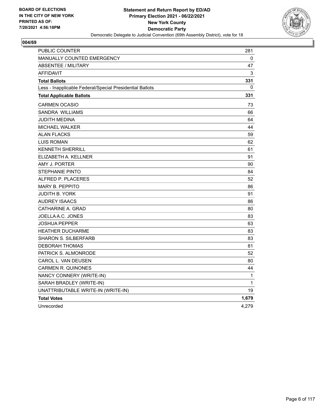

| PUBLIC COUNTER                                           | 281   |
|----------------------------------------------------------|-------|
| <b>MANUALLY COUNTED EMERGENCY</b>                        | 0     |
| <b>ABSENTEE / MILITARY</b>                               | 47    |
| <b>AFFIDAVIT</b>                                         | 3     |
| <b>Total Ballots</b>                                     | 331   |
| Less - Inapplicable Federal/Special Presidential Ballots | 0     |
| <b>Total Applicable Ballots</b>                          | 331   |
| <b>CARMEN OCASIO</b>                                     | 73    |
| <b>SANDRA WILLIAMS</b>                                   | 66    |
| JUDITH MEDINA                                            | 64    |
| <b>MICHAEL WALKER</b>                                    | 44    |
| <b>ALAN FLACKS</b>                                       | 59    |
| <b>LUIS ROMAN</b>                                        | 62    |
| <b>KENNETH SHERRILL</b>                                  | 61    |
| ELIZABETH A. KELLNER                                     | 91    |
| AMY J. PORTER                                            | 90    |
| STEPHANIE PINTO                                          | 84    |
| ALFRED P. PLACERES                                       | 52    |
| <b>MARY B. PEPPITO</b>                                   | 86    |
| <b>JUDITH B. YORK</b>                                    | 91    |
| <b>AUDREY ISAACS</b>                                     | 86    |
| CATHARINE A. GRAD                                        | 80    |
| JOELLA A.C. JONES                                        | 83    |
| <b>JOSHUA PEPPER</b>                                     | 63    |
| <b>HEATHER DUCHARME</b>                                  | 83    |
| <b>SHARON S. SILBERFARB</b>                              | 83    |
| <b>DEBORAH THOMAS</b>                                    | 81    |
| PATRICK S. ALMONRODE                                     | 52    |
| CAROL L. VAN DEUSEN                                      | 80    |
| <b>CARMEN R. QUINONES</b>                                | 44    |
| NANCY CONNERY (WRITE-IN)                                 | 1     |
| SARAH BRADLEY (WRITE-IN)                                 | 1     |
| UNATTRIBUTABLE WRITE-IN (WRITE-IN)                       | 19    |
| <b>Total Votes</b>                                       | 1,679 |
| Unrecorded                                               | 4,279 |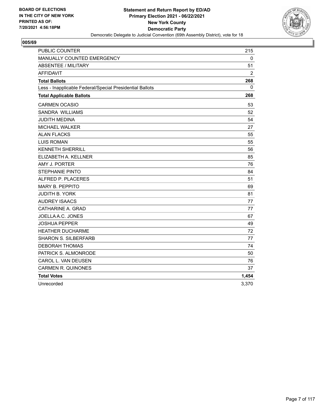

| <b>PUBLIC COUNTER</b>                                    | 215            |
|----------------------------------------------------------|----------------|
| MANUALLY COUNTED EMERGENCY                               | 0              |
| <b>ABSENTEE / MILITARY</b>                               | 51             |
| <b>AFFIDAVIT</b>                                         | $\overline{2}$ |
| <b>Total Ballots</b>                                     | 268            |
| Less - Inapplicable Federal/Special Presidential Ballots | $\Omega$       |
| <b>Total Applicable Ballots</b>                          | 268            |
| <b>CARMEN OCASIO</b>                                     | 53             |
| SANDRA WILLIAMS                                          | 52             |
| <b>JUDITH MEDINA</b>                                     | 54             |
| <b>MICHAEL WALKER</b>                                    | 27             |
| <b>ALAN FLACKS</b>                                       | 55             |
| <b>LUIS ROMAN</b>                                        | 55             |
| <b>KENNETH SHERRILL</b>                                  | 56             |
| ELIZABETH A. KELLNER                                     | 85             |
| AMY J. PORTER                                            | 76             |
| <b>STEPHANIE PINTO</b>                                   | 84             |
| ALFRED P. PLACERES                                       | 51             |
| <b>MARY B. PEPPITO</b>                                   | 69             |
| JUDITH B. YORK                                           | 81             |
| <b>AUDREY ISAACS</b>                                     | 77             |
| CATHARINE A. GRAD                                        | 77             |
| JOELLA A.C. JONES                                        | 67             |
| <b>JOSHUA PEPPER</b>                                     | 49             |
| <b>HEATHER DUCHARME</b>                                  | 72             |
| <b>SHARON S. SILBERFARB</b>                              | 77             |
| <b>DEBORAH THOMAS</b>                                    | 74             |
| PATRICK S. ALMONRODE                                     | 50             |
| CAROL L. VAN DEUSEN                                      | 76             |
| <b>CARMEN R. QUINONES</b>                                | 37             |
| <b>Total Votes</b>                                       | 1,454          |
| Unrecorded                                               | 3,370          |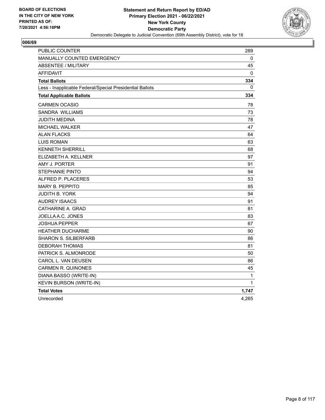

| <b>PUBLIC COUNTER</b>                                    | 289      |
|----------------------------------------------------------|----------|
| <b>MANUALLY COUNTED EMERGENCY</b>                        | 0        |
| <b>ABSENTEE / MILITARY</b>                               | 45       |
| <b>AFFIDAVIT</b>                                         | $\Omega$ |
| <b>Total Ballots</b>                                     | 334      |
| Less - Inapplicable Federal/Special Presidential Ballots | 0        |
| <b>Total Applicable Ballots</b>                          | 334      |
| CARMEN OCASIO                                            | 78       |
| <b>SANDRA WILLIAMS</b>                                   | 73       |
| JUDITH MEDINA                                            | 78       |
| <b>MICHAEL WALKER</b>                                    | 47       |
| <b>ALAN FLACKS</b>                                       | 64       |
| <b>LUIS ROMAN</b>                                        | 63       |
| <b>KENNETH SHERRILL</b>                                  | 68       |
| ELIZABETH A. KELLNER                                     | 97       |
| AMY J. PORTER                                            | 91       |
| <b>STEPHANIE PINTO</b>                                   | 94       |
| ALFRED P. PLACERES                                       | 53       |
| <b>MARY B. PEPPITO</b>                                   | 85       |
| <b>JUDITH B. YORK</b>                                    | 94       |
| <b>AUDREY ISAACS</b>                                     | 91       |
| CATHARINE A. GRAD                                        | 81       |
| JOELLA A.C. JONES                                        | 83       |
| <b>JOSHUA PEPPER</b>                                     | 67       |
| <b>HEATHER DUCHARME</b>                                  | 90       |
| <b>SHARON S. SILBERFARB</b>                              | 86       |
| DEBORAH THOMAS                                           | 81       |
| PATRICK S. ALMONRODE                                     | 50       |
| CAROL L. VAN DEUSEN                                      | 86       |
| <b>CARMEN R. QUINONES</b>                                | 45       |
| DIANA BASSO (WRITE-IN)                                   | 1        |
| <b>KEVIN BURSON (WRITE-IN)</b>                           | 1        |
| <b>Total Votes</b>                                       | 1,747    |
| Unrecorded                                               | 4,265    |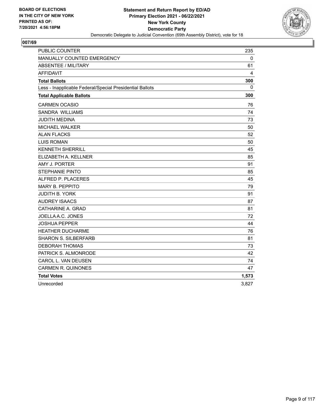

| <b>PUBLIC COUNTER</b>                                    | 235          |
|----------------------------------------------------------|--------------|
| <b>MANUALLY COUNTED EMERGENCY</b>                        | 0            |
| <b>ABSENTEE / MILITARY</b>                               | 61           |
| <b>AFFIDAVIT</b>                                         | 4            |
| <b>Total Ballots</b>                                     | 300          |
| Less - Inapplicable Federal/Special Presidential Ballots | $\mathbf{0}$ |
| <b>Total Applicable Ballots</b>                          | 300          |
| <b>CARMEN OCASIO</b>                                     | 76           |
| SANDRA WILLIAMS                                          | 74           |
| <b>JUDITH MEDINA</b>                                     | 73           |
| MICHAEL WALKER                                           | 50           |
| <b>ALAN FLACKS</b>                                       | 52           |
| <b>LUIS ROMAN</b>                                        | 50           |
| <b>KENNETH SHERRILL</b>                                  | 45           |
| ELIZABETH A. KELLNER                                     | 85           |
| AMY J. PORTER                                            | 91           |
| <b>STEPHANIE PINTO</b>                                   | 85           |
| ALFRED P. PLACERES                                       | 45           |
| <b>MARY B. PEPPITO</b>                                   | 79           |
| <b>JUDITH B. YORK</b>                                    | 91           |
| <b>AUDREY ISAACS</b>                                     | 87           |
| CATHARINE A. GRAD                                        | 81           |
| JOELLA A.C. JONES                                        | 72           |
| <b>JOSHUA PEPPER</b>                                     | 44           |
| <b>HEATHER DUCHARME</b>                                  | 76           |
| <b>SHARON S. SILBERFARB</b>                              | 81           |
| <b>DEBORAH THOMAS</b>                                    | 73           |
| PATRICK S. ALMONRODE                                     | 42           |
| CAROL L. VAN DEUSEN                                      | 74           |
| <b>CARMEN R. QUINONES</b>                                | 47           |
| <b>Total Votes</b>                                       | 1,573        |
| Unrecorded                                               | 3,827        |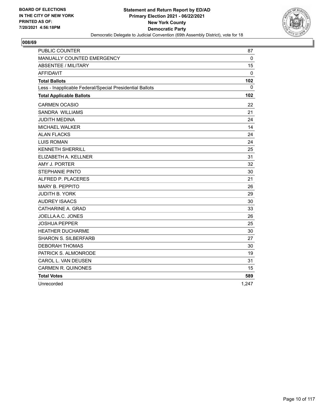

| <b>PUBLIC COUNTER</b>                                    | 87           |
|----------------------------------------------------------|--------------|
| MANUALLY COUNTED EMERGENCY                               | $\mathbf{0}$ |
| <b>ABSENTEE / MILITARY</b>                               | 15           |
| <b>AFFIDAVIT</b>                                         | $\mathbf 0$  |
| <b>Total Ballots</b>                                     | 102          |
| Less - Inapplicable Federal/Special Presidential Ballots | $\Omega$     |
| <b>Total Applicable Ballots</b>                          | 102          |
| <b>CARMEN OCASIO</b>                                     | 22           |
| <b>SANDRA WILLIAMS</b>                                   | 21           |
| <b>JUDITH MEDINA</b>                                     | 24           |
| <b>MICHAEL WALKER</b>                                    | 14           |
| <b>ALAN FLACKS</b>                                       | 24           |
| <b>LUIS ROMAN</b>                                        | 24           |
| <b>KENNETH SHERRILL</b>                                  | 25           |
| ELIZABETH A. KELLNER                                     | 31           |
| AMY J. PORTER                                            | 32           |
| <b>STEPHANIE PINTO</b>                                   | 30           |
| ALFRED P. PLACERES                                       | 21           |
| <b>MARY B. PEPPITO</b>                                   | 26           |
| <b>JUDITH B. YORK</b>                                    | 29           |
| <b>AUDREY ISAACS</b>                                     | 30           |
| CATHARINE A. GRAD                                        | 33           |
| JOELLA A.C. JONES                                        | 26           |
| <b>JOSHUA PEPPER</b>                                     | 25           |
| <b>HEATHER DUCHARME</b>                                  | 30           |
| <b>SHARON S. SILBERFARB</b>                              | 27           |
| <b>DEBORAH THOMAS</b>                                    | 30           |
| PATRICK S. ALMONRODE                                     | 19           |
| CAROL L. VAN DEUSEN                                      | 31           |
| <b>CARMEN R. QUINONES</b>                                | 15           |
| <b>Total Votes</b>                                       | 589          |
| Unrecorded                                               | 1,247        |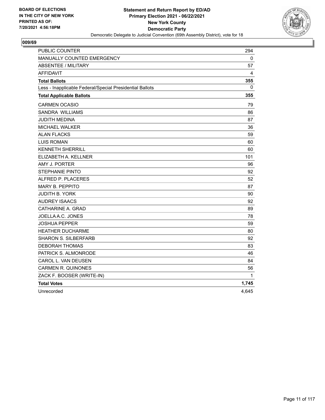

| PUBLIC COUNTER                                           | 294   |
|----------------------------------------------------------|-------|
| MANUALLY COUNTED EMERGENCY                               | 0     |
| <b>ABSENTEE / MILITARY</b>                               | 57    |
| <b>AFFIDAVIT</b>                                         | 4     |
| <b>Total Ballots</b>                                     | 355   |
| Less - Inapplicable Federal/Special Presidential Ballots | 0     |
| <b>Total Applicable Ballots</b>                          | 355   |
| <b>CARMEN OCASIO</b>                                     | 79    |
| SANDRA WILLIAMS                                          | 86    |
| JUDITH MEDINA                                            | 87    |
| MICHAEL WALKER                                           | 36    |
| <b>ALAN FLACKS</b>                                       | 59    |
| <b>LUIS ROMAN</b>                                        | 60    |
| <b>KENNETH SHERRILL</b>                                  | 60    |
| ELIZABETH A. KELLNER                                     | 101   |
| AMY J. PORTER                                            | 96    |
| <b>STEPHANIE PINTO</b>                                   | 92    |
| ALFRED P. PLACERES                                       | 52    |
| <b>MARY B. PEPPITO</b>                                   | 87    |
| JUDITH B. YORK                                           | 90    |
| <b>AUDREY ISAACS</b>                                     | 92    |
| CATHARINE A. GRAD                                        | 89    |
| JOELLA A.C. JONES                                        | 78    |
| JOSHUA PEPPER                                            | 59    |
| <b>HEATHER DUCHARME</b>                                  | 80    |
| <b>SHARON S. SILBERFARB</b>                              | 92    |
| <b>DEBORAH THOMAS</b>                                    | 83    |
| PATRICK S. ALMONRODE                                     | 46    |
| CAROL L. VAN DEUSEN                                      | 84    |
| <b>CARMEN R. QUINONES</b>                                | 56    |
| ZACK F. BOOSER (WRITE-IN)                                | 1     |
| <b>Total Votes</b>                                       | 1,745 |
| Unrecorded                                               | 4,645 |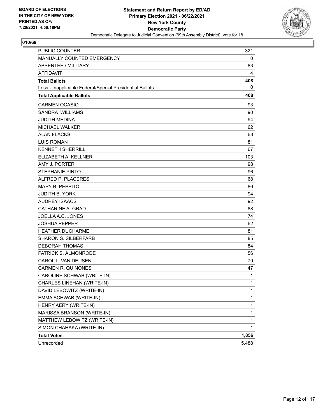

| <b>PUBLIC COUNTER</b>                                    | 321          |
|----------------------------------------------------------|--------------|
| MANUALLY COUNTED EMERGENCY                               | 0            |
| <b>ABSENTEE / MILITARY</b>                               | 83           |
| <b>AFFIDAVIT</b>                                         | 4            |
| <b>Total Ballots</b>                                     | 408          |
| Less - Inapplicable Federal/Special Presidential Ballots | 0            |
| <b>Total Applicable Ballots</b>                          | 408          |
| <b>CARMEN OCASIO</b>                                     | 93           |
| <b>SANDRA WILLIAMS</b>                                   | 90           |
| <b>JUDITH MEDINA</b>                                     | 94           |
| <b>MICHAEL WALKER</b>                                    | 62           |
| <b>ALAN FLACKS</b>                                       | 68           |
| <b>LUIS ROMAN</b>                                        | 81           |
| <b>KENNETH SHERRILL</b>                                  | 67           |
| ELIZABETH A. KELLNER                                     | 103          |
| AMY J. PORTER                                            | 98           |
| <b>STEPHANIE PINTO</b>                                   | 96           |
| ALFRED P. PLACERES                                       | 68           |
| <b>MARY B. PEPPITO</b>                                   | 86           |
| <b>JUDITH B. YORK</b>                                    | 94           |
| <b>AUDREY ISAACS</b>                                     | 92           |
| CATHARINE A. GRAD                                        | 88           |
| JOELLA A.C. JONES                                        | 74           |
| <b>JOSHUA PEPPER</b>                                     | 62           |
| <b>HEATHER DUCHARME</b>                                  | 81           |
| <b>SHARON S. SILBERFARB</b>                              | 85           |
| <b>DEBORAH THOMAS</b>                                    | 84           |
| PATRICK S. ALMONRODE                                     | 56           |
| CAROL L. VAN DEUSEN                                      | 79           |
| <b>CARMEN R. QUINONES</b>                                | 47           |
| CAROLINE SCHWAB (WRITE-IN)                               | 1            |
| CHARLES LINEHAN (WRITE-IN)                               | 1            |
| DAVID LEBOWITZ (WRITE-IN)                                | $\mathbf{1}$ |
| EMMA SCHWAB (WRITE-IN)                                   | 1            |
| HENRY AERY (WRITE-IN)                                    | 1            |
| MARISSA BRANSON (WRITE-IN)                               | 1            |
| MATTHEW LEBOWITZ (WRITE-IN)                              | 1            |
| SIMON CHAHAKA (WRITE-IN)                                 | 1            |
| <b>Total Votes</b>                                       | 1,856        |
| Unrecorded                                               | 5,488        |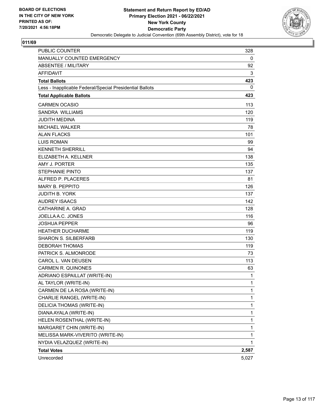

| <b>PUBLIC COUNTER</b>                                    | 328          |
|----------------------------------------------------------|--------------|
| MANUALLY COUNTED EMERGENCY                               | 0            |
| <b>ABSENTEE / MILITARY</b>                               | 92           |
| <b>AFFIDAVIT</b>                                         | 3            |
| <b>Total Ballots</b>                                     | 423          |
| Less - Inapplicable Federal/Special Presidential Ballots | 0            |
| <b>Total Applicable Ballots</b>                          | 423          |
| <b>CARMEN OCASIO</b>                                     | 113          |
| <b>SANDRA WILLIAMS</b>                                   | 120          |
| <b>JUDITH MEDINA</b>                                     | 119          |
| <b>MICHAEL WALKER</b>                                    | 78           |
| <b>ALAN FLACKS</b>                                       | 101          |
| <b>LUIS ROMAN</b>                                        | 99           |
| <b>KENNETH SHERRILL</b>                                  | 94           |
| ELIZABETH A. KELLNER                                     | 138          |
| AMY J. PORTER                                            | 135          |
| <b>STEPHANIE PINTO</b>                                   | 137          |
| ALFRED P. PLACERES                                       | 81           |
| <b>MARY B. PEPPITO</b>                                   | 126          |
| <b>JUDITH B. YORK</b>                                    | 137          |
| <b>AUDREY ISAACS</b>                                     | 142          |
| CATHARINE A. GRAD                                        | 128          |
| JOELLA A.C. JONES                                        | 116          |
| <b>JOSHUA PEPPER</b>                                     | 96           |
| <b>HEATHER DUCHARME</b>                                  | 119          |
| <b>SHARON S. SILBERFARB</b>                              | 130          |
| <b>DEBORAH THOMAS</b>                                    | 119          |
| PATRICK S. ALMONRODE                                     | 73           |
| CAROL L. VAN DEUSEN                                      | 113          |
| <b>CARMEN R. QUINONES</b>                                | 63           |
| ADRIANO ESPAILLAT (WRITE-IN)                             | 1            |
| AL TAYLOR (WRITE-IN)                                     | 1            |
| CARMEN DE LA ROSA (WRITE-IN)                             | $\mathbf{1}$ |
| CHARLIE RANGEL (WRITE-IN)                                | 1            |
| DELICIA THOMAS (WRITE-IN)                                | 1            |
| DIANA AYALA (WRITE-IN)                                   | 1            |
| HELEN ROSENTHAL (WRITE-IN)                               | 1            |
| MARGARET CHIN (WRITE-IN)                                 | 1            |
| MELISSA MARK-VIVERITO (WRITE-IN)                         | 1            |
| NYDIA VELAZQUEZ (WRITE-IN)                               | 1            |
| <b>Total Votes</b>                                       | 2,587        |
| Unrecorded                                               | 5,027        |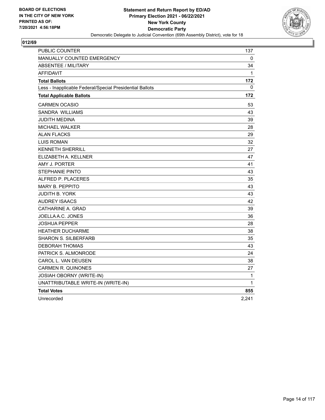

| <b>PUBLIC COUNTER</b>                                    | 137   |
|----------------------------------------------------------|-------|
| MANUALLY COUNTED EMERGENCY                               | 0     |
| <b>ABSENTEE / MILITARY</b>                               | 34    |
| <b>AFFIDAVIT</b>                                         | 1     |
| <b>Total Ballots</b>                                     | 172   |
| Less - Inapplicable Federal/Special Presidential Ballots | 0     |
| <b>Total Applicable Ballots</b>                          | 172   |
| <b>CARMEN OCASIO</b>                                     | 53    |
| SANDRA WILLIAMS                                          | 43    |
| JUDITH MEDINA                                            | 39    |
| <b>MICHAEL WALKER</b>                                    | 28    |
| <b>ALAN FLACKS</b>                                       | 29    |
| <b>LUIS ROMAN</b>                                        | 32    |
| <b>KENNETH SHERRILL</b>                                  | 27    |
| ELIZABETH A. KELLNER                                     | 47    |
| AMY J. PORTER                                            | 41    |
| <b>STEPHANIE PINTO</b>                                   | 43    |
| ALFRED P. PLACERES                                       | 35    |
| <b>MARY B. PEPPITO</b>                                   | 43    |
| JUDITH B. YORK                                           | 43    |
| <b>AUDREY ISAACS</b>                                     | 42    |
| CATHARINE A. GRAD                                        | 39    |
| JOELLA A.C. JONES                                        | 36    |
| <b>JOSHUA PEPPER</b>                                     | 28    |
| <b>HEATHER DUCHARME</b>                                  | 38    |
| <b>SHARON S. SILBERFARB</b>                              | 35    |
| <b>DEBORAH THOMAS</b>                                    | 43    |
| PATRICK S. ALMONRODE                                     | 24    |
| CAROL L. VAN DEUSEN                                      | 38    |
| <b>CARMEN R. QUINONES</b>                                | 27    |
| <b>JOSIAH OBORNY (WRITE-IN)</b>                          | 1     |
| UNATTRIBUTABLE WRITE-IN (WRITE-IN)                       | 1     |
| <b>Total Votes</b>                                       | 855   |
| Unrecorded                                               | 2,241 |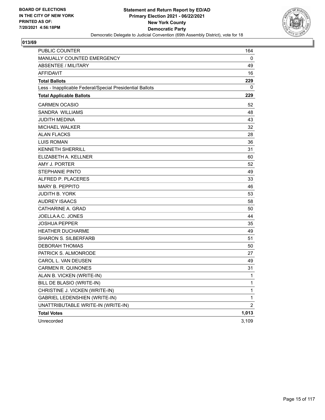

| <b>PUBLIC COUNTER</b>                                    | 164            |
|----------------------------------------------------------|----------------|
| <b>MANUALLY COUNTED EMERGENCY</b>                        | 0              |
| <b>ABSENTEE / MILITARY</b>                               | 49             |
| <b>AFFIDAVIT</b>                                         | 16             |
| <b>Total Ballots</b>                                     | 229            |
| Less - Inapplicable Federal/Special Presidential Ballots | 0              |
| <b>Total Applicable Ballots</b>                          | 229            |
| <b>CARMEN OCASIO</b>                                     | 52             |
| SANDRA WILLIAMS                                          | 48             |
| <b>JUDITH MEDINA</b>                                     | 43             |
| <b>MICHAEL WALKER</b>                                    | 32             |
| ALAN FLACKS                                              | 28             |
| <b>LUIS ROMAN</b>                                        | 36             |
| <b>KENNETH SHERRILL</b>                                  | 31             |
| ELIZABETH A. KELLNER                                     | 60             |
| AMY J. PORTER                                            | 52             |
| <b>STEPHANIE PINTO</b>                                   | 49             |
| ALFRED P. PLACERES                                       | 33             |
| MARY B. PEPPITO                                          | 46             |
| <b>JUDITH B. YORK</b>                                    | 53             |
| <b>AUDREY ISAACS</b>                                     | 58             |
| CATHARINE A. GRAD                                        | 50             |
| JOELLA A.C. JONES                                        | 44             |
| <b>JOSHUA PEPPER</b>                                     | 35             |
| <b>HEATHER DUCHARME</b>                                  | 49             |
| <b>SHARON S. SILBERFARB</b>                              | 51             |
| <b>DEBORAH THOMAS</b>                                    | 50             |
| PATRICK S. ALMONRODE                                     | 27             |
| CAROL L. VAN DEUSEN                                      | 49             |
| <b>CARMEN R. QUINONES</b>                                | 31             |
| ALAN B. VICKEN (WRITE-IN)                                | 1              |
| BILL DE BLASIO (WRITE-IN)                                | 1              |
| CHRISTINE J. VICKEN (WRITE-IN)                           | 1              |
| <b>GABRIEL LEDENSHIEN (WRITE-IN)</b>                     | 1              |
| UNATTRIBUTABLE WRITE-IN (WRITE-IN)                       | $\overline{2}$ |
| <b>Total Votes</b>                                       | 1,013          |
| Unrecorded                                               | 3,109          |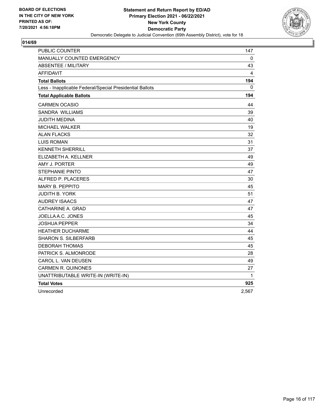

| PUBLIC COUNTER                                           | 147   |
|----------------------------------------------------------|-------|
| MANUALLY COUNTED EMERGENCY                               | 0     |
| <b>ABSENTEE / MILITARY</b>                               | 43    |
| <b>AFFIDAVIT</b>                                         | 4     |
| <b>Total Ballots</b>                                     | 194   |
| Less - Inapplicable Federal/Special Presidential Ballots | 0     |
| <b>Total Applicable Ballots</b>                          | 194   |
| <b>CARMEN OCASIO</b>                                     | 44    |
| SANDRA WILLIAMS                                          | 39    |
| JUDITH MEDINA                                            | 40    |
| MICHAEL WALKER                                           | 19    |
| <b>ALAN FLACKS</b>                                       | 32    |
| <b>LUIS ROMAN</b>                                        | 31    |
| <b>KENNETH SHERRILL</b>                                  | 37    |
| ELIZABETH A. KELLNER                                     | 49    |
| AMY J. PORTER                                            | 49    |
| <b>STEPHANIE PINTO</b>                                   | 47    |
| ALFRED P. PLACERES                                       | 30    |
| <b>MARY B. PEPPITO</b>                                   | 45    |
| JUDITH B. YORK                                           | 51    |
| <b>AUDREY ISAACS</b>                                     | 47    |
| CATHARINE A. GRAD                                        | 47    |
| JOELLA A.C. JONES                                        | 45    |
| JOSHUA PEPPER                                            | 34    |
| <b>HEATHER DUCHARME</b>                                  | 44    |
| <b>SHARON S. SILBERFARB</b>                              | 45    |
| <b>DEBORAH THOMAS</b>                                    | 45    |
| PATRICK S. ALMONRODE                                     | 28    |
| CAROL L. VAN DEUSEN                                      | 49    |
| <b>CARMEN R. QUINONES</b>                                | 27    |
| UNATTRIBUTABLE WRITE-IN (WRITE-IN)                       | 1     |
| <b>Total Votes</b>                                       | 925   |
| Unrecorded                                               | 2,567 |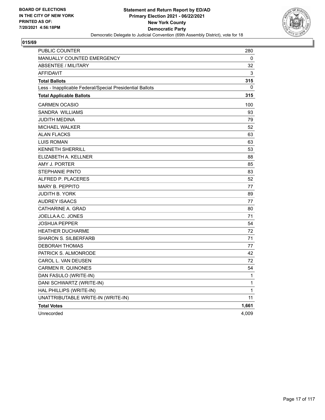

| PUBLIC COUNTER                                           | 280          |
|----------------------------------------------------------|--------------|
| MANUALLY COUNTED EMERGENCY                               | 0            |
| <b>ABSENTEE / MILITARY</b>                               | 32           |
| <b>AFFIDAVIT</b>                                         | 3            |
| <b>Total Ballots</b>                                     | 315          |
| Less - Inapplicable Federal/Special Presidential Ballots | 0            |
| <b>Total Applicable Ballots</b>                          | 315          |
| <b>CARMEN OCASIO</b>                                     | 100          |
| SANDRA WILLIAMS                                          | 93           |
| JUDITH MEDINA                                            | 79           |
| <b>MICHAEL WALKER</b>                                    | 52           |
| <b>ALAN FLACKS</b>                                       | 63           |
| <b>LUIS ROMAN</b>                                        | 63           |
| <b>KENNETH SHERRILL</b>                                  | 53           |
| ELIZABETH A. KELLNER                                     | 88           |
| AMY J. PORTER                                            | 85           |
| <b>STEPHANIE PINTO</b>                                   | 83           |
| ALFRED P. PLACERES                                       | 52           |
| <b>MARY B. PEPPITO</b>                                   | 77           |
| <b>JUDITH B. YORK</b>                                    | 89           |
| <b>AUDREY ISAACS</b>                                     | 77           |
| CATHARINE A. GRAD                                        | 80           |
| JOELLA A.C. JONES                                        | 71           |
| <b>JOSHUA PEPPER</b>                                     | 54           |
| <b>HEATHER DUCHARME</b>                                  | 72           |
| <b>SHARON S. SILBERFARB</b>                              | 71           |
| <b>DEBORAH THOMAS</b>                                    | 77           |
| PATRICK S. ALMONRODE                                     | 42           |
| CAROL L. VAN DEUSEN                                      | 72           |
| <b>CARMEN R. QUINONES</b>                                | 54           |
| DAN FASULO (WRITE-IN)                                    | $\mathbf{1}$ |
| DANI SCHWARTZ (WRITE-IN)                                 | 1            |
| HAL PHILLIPS (WRITE-IN)                                  | $\mathbf{1}$ |
| UNATTRIBUTABLE WRITE-IN (WRITE-IN)                       | 11           |
| <b>Total Votes</b>                                       | 1,661        |
| Unrecorded                                               | 4,009        |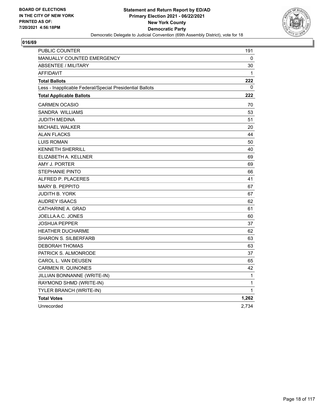

| PUBLIC COUNTER                                           | 191   |
|----------------------------------------------------------|-------|
| <b>MANUALLY COUNTED EMERGENCY</b>                        | 0     |
| ABSENTEE / MILITARY                                      | 30    |
| <b>AFFIDAVIT</b>                                         | 1     |
| <b>Total Ballots</b>                                     | 222   |
| Less - Inapplicable Federal/Special Presidential Ballots | 0     |
| <b>Total Applicable Ballots</b>                          | 222   |
| <b>CARMEN OCASIO</b>                                     | 70    |
| <b>SANDRA WILLIAMS</b>                                   | 53    |
| JUDITH MEDINA                                            | 51    |
| MICHAEL WALKER                                           | 20    |
| <b>ALAN FLACKS</b>                                       | 44    |
| <b>LUIS ROMAN</b>                                        | 50    |
| <b>KENNETH SHERRILL</b>                                  | 40    |
| ELIZABETH A. KELLNER                                     | 69    |
| AMY J. PORTER                                            | 69    |
| STEPHANIE PINTO                                          | 66    |
| ALFRED P. PLACERES                                       | 41    |
| <b>MARY B. PEPPITO</b>                                   | 67    |
| JUDITH B. YORK                                           | 67    |
| <b>AUDREY ISAACS</b>                                     | 62    |
| CATHARINE A. GRAD                                        | 61    |
| JOELLA A.C. JONES                                        | 60    |
| <b>JOSHUA PEPPER</b>                                     | 37    |
| <b>HEATHER DUCHARME</b>                                  | 62    |
| <b>SHARON S. SILBERFARB</b>                              | 63    |
| <b>DEBORAH THOMAS</b>                                    | 63    |
| PATRICK S. ALMONRODE                                     | 37    |
| CAROL L. VAN DEUSEN                                      | 65    |
| <b>CARMEN R. QUINONES</b>                                | 42    |
| JILLIAN BONNANNE (WRITE-IN)                              | 1     |
| RAYMOND SHMD (WRITE-IN)                                  | 1     |
| TYLER BRANCH (WRITE-IN)                                  | 1     |
| <b>Total Votes</b>                                       | 1,262 |
| Unrecorded                                               | 2,734 |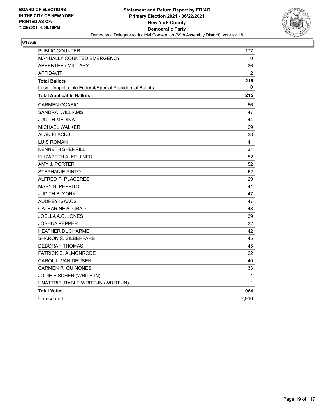

| <b>PUBLIC COUNTER</b>                                    | 177            |
|----------------------------------------------------------|----------------|
| MANUALLY COUNTED EMERGENCY                               | 0              |
| <b>ABSENTEE / MILITARY</b>                               | 36             |
| <b>AFFIDAVIT</b>                                         | $\overline{2}$ |
| <b>Total Ballots</b>                                     | 215            |
| Less - Inapplicable Federal/Special Presidential Ballots | 0              |
| <b>Total Applicable Ballots</b>                          | 215            |
| <b>CARMEN OCASIO</b>                                     | 56             |
| SANDRA WILLIAMS                                          | 47             |
| JUDITH MEDINA                                            | 44             |
| <b>MICHAEL WALKER</b>                                    | 29             |
| <b>ALAN FLACKS</b>                                       | 38             |
| <b>LUIS ROMAN</b>                                        | 41             |
| <b>KENNETH SHERRILL</b>                                  | 31             |
| ELIZABETH A. KELLNER                                     | 52             |
| AMY J. PORTER                                            | 52             |
| <b>STEPHANIE PINTO</b>                                   | 52             |
| ALFRED P. PLACERES                                       | 29             |
| <b>MARY B. PEPPITO</b>                                   | 41             |
| JUDITH B. YORK                                           | 47             |
| <b>AUDREY ISAACS</b>                                     | 47             |
| CATHARINE A. GRAD                                        | 48             |
| JOELLA A.C. JONES                                        | 39             |
| <b>JOSHUA PEPPER</b>                                     | 32             |
| <b>HEATHER DUCHARME</b>                                  | 42             |
| <b>SHARON S. SILBERFARB</b>                              | 45             |
| <b>DEBORAH THOMAS</b>                                    | 45             |
| PATRICK S. ALMONRODE                                     | 22             |
| CAROL L. VAN DEUSEN                                      | 40             |
| <b>CARMEN R. QUINONES</b>                                | 33             |
| JODIE FISCHER (WRITE-IN)                                 | 1              |
| UNATTRIBUTABLE WRITE-IN (WRITE-IN)                       | 1              |
| <b>Total Votes</b>                                       | 954            |
| Unrecorded                                               | 2,916          |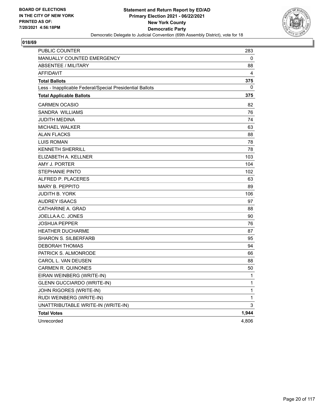

| <b>PUBLIC COUNTER</b>                                    | 283   |
|----------------------------------------------------------|-------|
| MANUALLY COUNTED EMERGENCY                               | 0     |
| <b>ABSENTEE / MILITARY</b>                               | 88    |
| <b>AFFIDAVIT</b>                                         | 4     |
| <b>Total Ballots</b>                                     | 375   |
| Less - Inapplicable Federal/Special Presidential Ballots | 0     |
| <b>Total Applicable Ballots</b>                          | 375   |
| <b>CARMEN OCASIO</b>                                     | 82    |
| SANDRA WILLIAMS                                          | 76    |
| JUDITH MEDINA                                            | 74    |
| <b>MICHAEL WALKER</b>                                    | 63    |
| ALAN FLACKS                                              | 88    |
| <b>LUIS ROMAN</b>                                        | 78    |
| <b>KENNETH SHERRILL</b>                                  | 78    |
| ELIZABETH A. KELLNER                                     | 103   |
| AMY J. PORTER                                            | 104   |
| <b>STEPHANIE PINTO</b>                                   | 102   |
| ALFRED P. PLACERES                                       | 63    |
| <b>MARY B. PEPPITO</b>                                   | 89    |
| <b>JUDITH B. YORK</b>                                    | 106   |
| <b>AUDREY ISAACS</b>                                     | 97    |
| CATHARINE A. GRAD                                        | 88    |
| JOELLA A.C. JONES                                        | 90    |
| <b>JOSHUA PEPPER</b>                                     | 76    |
| <b>HEATHER DUCHARME</b>                                  | 87    |
| <b>SHARON S. SILBERFARB</b>                              | 95    |
| <b>DEBORAH THOMAS</b>                                    | 94    |
| PATRICK S. ALMONRODE                                     | 66    |
| CAROL L. VAN DEUSEN                                      | 88    |
| <b>CARMEN R. QUINONES</b>                                | 50    |
| EIRAN WEINBERG (WRITE-IN)                                | 1     |
| <b>GLENN GUCCIARDO (WRITE-IN)</b>                        | 1     |
| JOHN RIGORES (WRITE-IN)                                  | 1     |
| RUDI WEINBERG (WRITE-IN)                                 | 1     |
| UNATTRIBUTABLE WRITE-IN (WRITE-IN)                       | 3     |
| <b>Total Votes</b>                                       | 1,944 |
| Unrecorded                                               | 4,806 |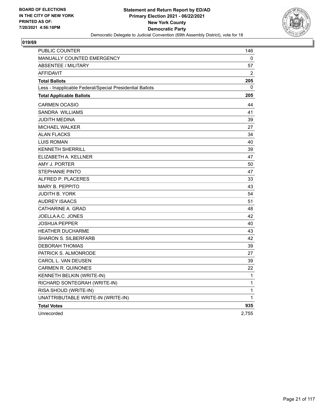

| PUBLIC COUNTER                                           | 146          |
|----------------------------------------------------------|--------------|
| MANUALLY COUNTED EMERGENCY                               | 0            |
| <b>ABSENTEE / MILITARY</b>                               | 57           |
| <b>AFFIDAVIT</b>                                         | 2            |
| <b>Total Ballots</b>                                     | 205          |
| Less - Inapplicable Federal/Special Presidential Ballots | 0            |
| <b>Total Applicable Ballots</b>                          | 205          |
| <b>CARMEN OCASIO</b>                                     | 44           |
| SANDRA WILLIAMS                                          | 41           |
| JUDITH MEDINA                                            | 39           |
| <b>MICHAEL WALKER</b>                                    | 27           |
| <b>ALAN FLACKS</b>                                       | 34           |
| <b>LUIS ROMAN</b>                                        | 40           |
| <b>KENNETH SHERRILL</b>                                  | 39           |
| ELIZABETH A. KELLNER                                     | 47           |
| AMY J. PORTER                                            | 50           |
| <b>STEPHANIE PINTO</b>                                   | 47           |
| ALFRED P. PLACERES                                       | 33           |
| <b>MARY B. PEPPITO</b>                                   | 43           |
| <b>JUDITH B. YORK</b>                                    | 54           |
| <b>AUDREY ISAACS</b>                                     | 51           |
| CATHARINE A. GRAD                                        | 48           |
| JOELLA A.C. JONES                                        | 42           |
| <b>JOSHUA PEPPER</b>                                     | 40           |
| <b>HEATHER DUCHARME</b>                                  | 43           |
| <b>SHARON S. SILBERFARB</b>                              | 42           |
| <b>DEBORAH THOMAS</b>                                    | 39           |
| PATRICK S. ALMONRODE                                     | 27           |
| CAROL L. VAN DEUSEN                                      | 39           |
| <b>CARMEN R. QUINONES</b>                                | 22           |
| KENNETH BELKIN (WRITE-IN)                                | $\mathbf{1}$ |
| RICHARD SONTEGRAH (WRITE-IN)                             | 1            |
| RISA SHOUD (WRITE-IN)                                    | $\mathbf{1}$ |
| UNATTRIBUTABLE WRITE-IN (WRITE-IN)                       | 1            |
| <b>Total Votes</b>                                       | 935          |
| Unrecorded                                               | 2,755        |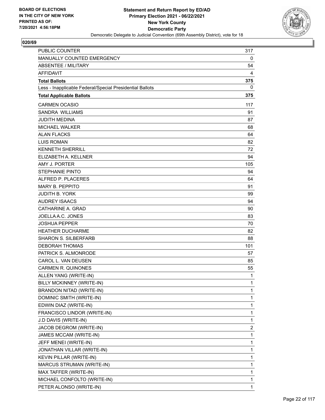

| <b>PUBLIC COUNTER</b>                                    | 317          |
|----------------------------------------------------------|--------------|
| MANUALLY COUNTED EMERGENCY                               | 0            |
| ABSENTEE / MILITARY                                      | 54           |
| <b>AFFIDAVIT</b>                                         | 4            |
| <b>Total Ballots</b>                                     | 375          |
| Less - Inapplicable Federal/Special Presidential Ballots | 0            |
| <b>Total Applicable Ballots</b>                          | 375          |
| <b>CARMEN OCASIO</b>                                     | 117          |
| SANDRA WILLIAMS                                          | 91           |
| <b>JUDITH MEDINA</b>                                     | 87           |
| <b>MICHAEL WALKER</b>                                    | 68           |
| <b>ALAN FLACKS</b>                                       | 64           |
| <b>LUIS ROMAN</b>                                        | 82           |
| <b>KENNETH SHERRILL</b>                                  | 72           |
| ELIZABETH A. KELLNER                                     | 94           |
| AMY J. PORTER                                            | 105          |
| <b>STEPHANIE PINTO</b>                                   | 94           |
| ALFRED P. PLACERES                                       | 64           |
| <b>MARY B. PEPPITO</b>                                   | 91           |
| <b>JUDITH B. YORK</b>                                    | 99           |
| <b>AUDREY ISAACS</b>                                     | 94           |
| CATHARINE A. GRAD                                        | 90           |
| JOELLA A.C. JONES                                        | 83           |
| <b>JOSHUA PEPPER</b>                                     | 70           |
| <b>HEATHER DUCHARME</b>                                  | 82           |
| <b>SHARON S. SILBERFARB</b>                              | 88           |
| <b>DEBORAH THOMAS</b>                                    | 101          |
| PATRICK S. ALMONRODE                                     | 57           |
| CAROL L. VAN DEUSEN                                      | 85           |
| <b>CARMEN R. QUINONES</b>                                | 55           |
| ALLEN YANG (WRITE-IN)                                    | 1            |
| BILLY MCKINNEY (WRITE-IN)                                | 1            |
| BRANDON NITAD (WRITE-IN)                                 | 1            |
| DOMINIC SMITH (WRITE-IN)                                 | 1            |
| EDWIN DIAZ (WRITE-IN)                                    | $\mathbf 1$  |
| FRANCISCO LINDOR (WRITE-IN)                              | 1            |
| J.D DAVIS (WRITE-IN)                                     | $\mathbf{1}$ |
| JACOB DEGROM (WRITE-IN)                                  | 2            |
| JAMES MCCAM (WRITE-IN)                                   | 1            |
| JEFF MENEI (WRITE-IN)                                    | 1            |
| JONATHAN VILLAR (WRITE-IN)                               | $\mathbf 1$  |
| KEVIN PILLAR (WRITE-IN)                                  | 1            |
| MARCUS STRUMAN (WRITE-IN)                                | 1            |
| MAX TAFFER (WRITE-IN)                                    | 1            |
| MICHAEL CONFOLTO (WRITE-IN)                              | 1            |
| PETER ALONSO (WRITE-IN)                                  | 1            |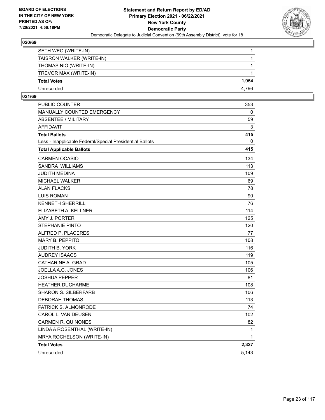

| SETH WEO (WRITE-IN)       |       |
|---------------------------|-------|
| TAISRON WALKER (WRITE-IN) |       |
| THOMAS NIO (WRITE-IN)     |       |
| TREVOR MAX (WRITE-IN)     |       |
| <b>Total Votes</b>        | 1.954 |
| Unrecorded                | 4.796 |

| <b>PUBLIC COUNTER</b>                                    | 353   |
|----------------------------------------------------------|-------|
| <b>MANUALLY COUNTED EMERGENCY</b>                        | 0     |
| <b>ABSENTEE / MILITARY</b>                               | 59    |
| <b>AFFIDAVIT</b>                                         | 3     |
| <b>Total Ballots</b>                                     | 415   |
| Less - Inapplicable Federal/Special Presidential Ballots | 0     |
| <b>Total Applicable Ballots</b>                          | 415   |
| <b>CARMEN OCASIO</b>                                     | 134   |
| <b>SANDRA WILLIAMS</b>                                   | 113   |
| JUDITH MEDINA                                            | 109   |
| <b>MICHAEL WALKER</b>                                    | 69    |
| <b>ALAN FLACKS</b>                                       | 78    |
| <b>LUIS ROMAN</b>                                        | 90    |
| <b>KENNETH SHERRILL</b>                                  | 76    |
| ELIZABETH A. KELLNER                                     | 114   |
| AMY J. PORTER                                            | 125   |
| <b>STEPHANIE PINTO</b>                                   | 120   |
| ALFRED P. PLACERES                                       | 77    |
| <b>MARY B. PEPPITO</b>                                   | 108   |
| <b>JUDITH B. YORK</b>                                    | 116   |
| <b>AUDREY ISAACS</b>                                     | 119   |
| CATHARINE A. GRAD                                        | 105   |
| JOELLA A.C. JONES                                        | 106   |
| <b>JOSHUA PEPPER</b>                                     | 81    |
| <b>HEATHER DUCHARME</b>                                  | 108   |
| <b>SHARON S. SILBERFARB</b>                              | 106   |
| <b>DEBORAH THOMAS</b>                                    | 113   |
| PATRICK S. ALMONRODE                                     | 74    |
| CAROL L. VAN DEUSEN                                      | 102   |
| <b>CARMEN R. QUINONES</b>                                | 82    |
| LINDA A ROSENTHAL (WRITE-IN)                             | 1     |
| MRYA ROCHELSON (WRITE-IN)                                | 1     |
| <b>Total Votes</b>                                       | 2,327 |
| Unrecorded                                               | 5,143 |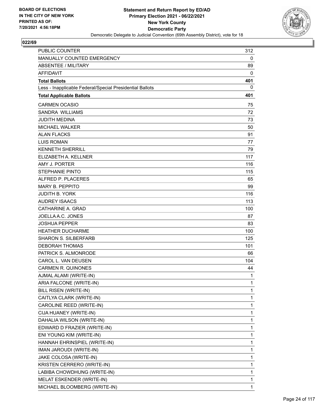

| <b>PUBLIC COUNTER</b>                                    | 312          |
|----------------------------------------------------------|--------------|
| MANUALLY COUNTED EMERGENCY                               | 0            |
| ABSENTEE / MILITARY                                      | 89           |
| <b>AFFIDAVIT</b>                                         | 0            |
| <b>Total Ballots</b>                                     | 401          |
| Less - Inapplicable Federal/Special Presidential Ballots | 0            |
| <b>Total Applicable Ballots</b>                          | 401          |
| <b>CARMEN OCASIO</b>                                     | 75           |
| <b>SANDRA WILLIAMS</b>                                   | 72           |
| <b>JUDITH MEDINA</b>                                     | 73           |
| <b>MICHAEL WALKER</b>                                    | 50           |
| <b>ALAN FLACKS</b>                                       | 91           |
| <b>LUIS ROMAN</b>                                        | 77           |
| <b>KENNETH SHERRILL</b>                                  | 79           |
| ELIZABETH A. KELLNER                                     | 117          |
| AMY J. PORTER                                            | 116          |
| <b>STEPHANIE PINTO</b>                                   | 115          |
| ALFRED P. PLACERES                                       | 65           |
| <b>MARY B. PEPPITO</b>                                   | 99           |
| <b>JUDITH B. YORK</b>                                    | 116          |
| <b>AUDREY ISAACS</b>                                     | 113          |
| CATHARINE A. GRAD                                        | 100          |
| JOELLA A.C. JONES                                        | 87           |
| <b>JOSHUA PEPPER</b>                                     | 83           |
| <b>HEATHER DUCHARME</b>                                  | 100          |
| <b>SHARON S. SILBERFARB</b>                              | 125          |
| <b>DEBORAH THOMAS</b>                                    | 101          |
| PATRICK S. ALMONRODE                                     | 66           |
| CAROL L. VAN DEUSEN                                      | 104          |
| <b>CARMEN R. QUINONES</b>                                | 44           |
| AJMAL ALAMI (WRITE-IN)                                   | 1            |
| ARIA FALCONE (WRITE-IN)                                  | 1            |
| BILL RISEN (WRITE-IN)                                    | 1            |
| CAITLYA CLARK (WRITE-IN)                                 | 1            |
| CAROLINE REED (WRITE-IN)                                 | $\mathbf{1}$ |
| CIJA HUANEY (WRITE-IN)                                   | 1            |
| DAHALIA WILSON (WRITE-IN)                                | $\mathbf{1}$ |
| EDWARD D FRAZIER (WRITE-IN)                              | 1            |
| ENI YOUNG KIM (WRITE-IN)                                 | 1            |
| HANNAH EHRINSPIEL (WRITE-IN)                             | 1            |
| IMAN JAROUDI (WRITE-IN)                                  | $\mathbf{1}$ |
| JAKE COLOSA (WRITE-IN)                                   | 1            |
| KRISTEN CERRERO (WRITE-IN)                               | $\mathbf{1}$ |
| LABIBA CHOWDHUNG (WRITE-IN)                              | 1            |
| MELAT ESKENDER (WRITE-IN)                                | 1            |
| MICHAEL BLOOMBERG (WRITE-IN)                             | 1            |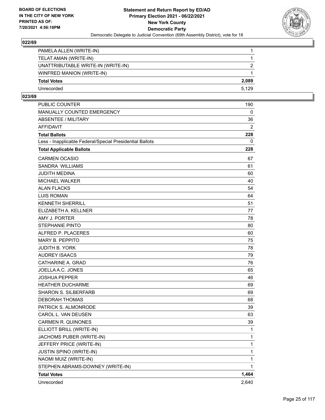

| PAMELA ALLEN (WRITE-IN)            |               |
|------------------------------------|---------------|
| TELAT AMAN (WRITE-IN)              |               |
| UNATTRIBUTABLE WRITE-IN (WRITE-IN) | $\mathcal{P}$ |
| WINFRED MANION (WRITE-IN)          |               |
| <b>Total Votes</b>                 | 2.089         |
| Unrecorded                         | 5.129         |

| <b>PUBLIC COUNTER</b>                                    | 190   |
|----------------------------------------------------------|-------|
| MANUALLY COUNTED EMERGENCY                               | 0     |
| <b>ABSENTEE / MILITARY</b>                               | 36    |
| <b>AFFIDAVIT</b>                                         | 2     |
| <b>Total Ballots</b>                                     | 228   |
| Less - Inapplicable Federal/Special Presidential Ballots | 0     |
| <b>Total Applicable Ballots</b>                          | 228   |
| <b>CARMEN OCASIO</b>                                     | 67    |
| <b>SANDRA WILLIAMS</b>                                   | 61    |
| <b>JUDITH MEDINA</b>                                     | 60    |
| <b>MICHAEL WALKER</b>                                    | 40    |
| <b>ALAN FLACKS</b>                                       | 54    |
| <b>LUIS ROMAN</b>                                        | 64    |
| <b>KENNETH SHERRILL</b>                                  | 51    |
| ELIZABETH A. KELLNER                                     | 77    |
| AMY J. PORTER                                            | 78    |
| <b>STEPHANIE PINTO</b>                                   | 80    |
| ALFRED P. PLACERES                                       | 60    |
| MARY B. PEPPITO                                          | 75    |
| <b>JUDITH B. YORK</b>                                    | 78    |
| <b>AUDREY ISAACS</b>                                     | 79    |
| CATHARINE A. GRAD                                        | 76    |
| JOELLA A.C. JONES                                        | 65    |
| <b>JOSHUA PEPPER</b>                                     | 46    |
| <b>HEATHER DUCHARME</b>                                  | 69    |
| <b>SHARON S. SILBERFARB</b>                              | 69    |
| <b>DEBORAH THOMAS</b>                                    | 68    |
| PATRICK S. ALMONRODE                                     | 39    |
| CAROL L. VAN DEUSEN                                      | 63    |
| <b>CARMEN R. QUINONES</b>                                | 39    |
| ELLIOTT BRILL (WRITE-IN)                                 | 1     |
| JACHOMS PUBER (WRITE-IN)                                 | 1     |
| JEFFERY PRICE (WRITE-IN)                                 | 1     |
| <b>JUSTIN SPINO (WRITE-IN)</b>                           | 1     |
| NAOMI MUIZ (WRITE-IN)                                    | 1     |
| STEPHEN ABRAMS-DOWNEY (WRITE-IN)                         | 1     |
| <b>Total Votes</b>                                       | 1,464 |
| Unrecorded                                               | 2,640 |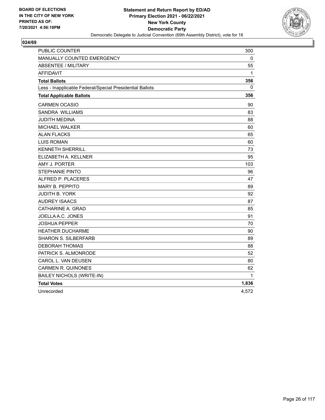

| PUBLIC COUNTER                                           | 300   |
|----------------------------------------------------------|-------|
| MANUALLY COUNTED EMERGENCY                               | 0     |
| <b>ABSENTEE / MILITARY</b>                               | 55    |
| <b>AFFIDAVIT</b>                                         | 1     |
| <b>Total Ballots</b>                                     | 356   |
| Less - Inapplicable Federal/Special Presidential Ballots | 0     |
| <b>Total Applicable Ballots</b>                          | 356   |
| <b>CARMEN OCASIO</b>                                     | 90    |
| SANDRA WILLIAMS                                          | 83    |
| JUDITH MEDINA                                            | 88    |
| <b>MICHAEL WALKER</b>                                    | 60    |
| <b>ALAN FLACKS</b>                                       | 65    |
| <b>LUIS ROMAN</b>                                        | 60    |
| <b>KENNETH SHERRILL</b>                                  | 73    |
| ELIZABETH A. KELLNER                                     | 95    |
| AMY J. PORTER                                            | 103   |
| <b>STEPHANIE PINTO</b>                                   | 96    |
| ALFRED P. PLACERES                                       | 47    |
| <b>MARY B. PEPPITO</b>                                   | 89    |
| <b>JUDITH B. YORK</b>                                    | 92    |
| <b>AUDREY ISAACS</b>                                     | 87    |
| CATHARINE A. GRAD                                        | 85    |
| JOELLA A.C. JONES                                        | 91    |
| JOSHUA PEPPER                                            | 70    |
| <b>HEATHER DUCHARME</b>                                  | 90    |
| <b>SHARON S. SILBERFARB</b>                              | 89    |
| <b>DEBORAH THOMAS</b>                                    | 88    |
| PATRICK S. ALMONRODE                                     | 52    |
| CAROL L. VAN DEUSEN                                      | 80    |
| <b>CARMEN R. QUINONES</b>                                | 62    |
| <b>BAILEY NICHOLS (WRITE-IN)</b>                         | 1     |
| <b>Total Votes</b>                                       | 1,836 |
| Unrecorded                                               | 4,572 |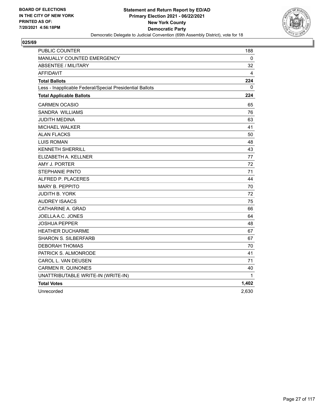

| <b>PUBLIC COUNTER</b>                                    | 188   |
|----------------------------------------------------------|-------|
| MANUALLY COUNTED EMERGENCY                               | 0     |
| <b>ABSENTEE / MILITARY</b>                               | 32    |
| <b>AFFIDAVIT</b>                                         | 4     |
| <b>Total Ballots</b>                                     | 224   |
| Less - Inapplicable Federal/Special Presidential Ballots | 0     |
| <b>Total Applicable Ballots</b>                          | 224   |
| <b>CARMEN OCASIO</b>                                     | 65    |
| SANDRA WILLIAMS                                          | 76    |
| JUDITH MEDINA                                            | 63    |
| MICHAEL WALKER                                           | 41    |
| <b>ALAN FLACKS</b>                                       | 50    |
| <b>LUIS ROMAN</b>                                        | 48    |
| <b>KENNETH SHERRILL</b>                                  | 43    |
| ELIZABETH A. KELLNER                                     | 77    |
| AMY J. PORTER                                            | 72    |
| <b>STEPHANIE PINTO</b>                                   | 71    |
| ALFRED P. PLACERES                                       | 44    |
| <b>MARY B. PEPPITO</b>                                   | 70    |
| <b>JUDITH B. YORK</b>                                    | 72    |
| <b>AUDREY ISAACS</b>                                     | 75    |
| CATHARINE A. GRAD                                        | 66    |
| JOELLA A.C. JONES                                        | 64    |
| JOSHUA PEPPER                                            | 48    |
| <b>HEATHER DUCHARME</b>                                  | 67    |
| <b>SHARON S. SILBERFARB</b>                              | 67    |
| <b>DEBORAH THOMAS</b>                                    | 70    |
| PATRICK S. ALMONRODE                                     | 41    |
| CAROL L. VAN DEUSEN                                      | 71    |
| <b>CARMEN R. QUINONES</b>                                | 40    |
| UNATTRIBUTABLE WRITE-IN (WRITE-IN)                       | 1     |
| <b>Total Votes</b>                                       | 1,402 |
| Unrecorded                                               | 2,630 |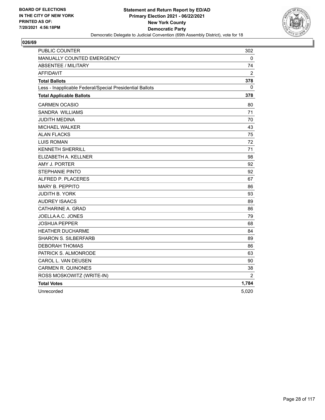

| <b>PUBLIC COUNTER</b>                                    | 302            |
|----------------------------------------------------------|----------------|
| <b>MANUALLY COUNTED EMERGENCY</b>                        | 0              |
| <b>ABSENTEE / MILITARY</b>                               | 74             |
| AFFIDAVIT                                                | $\overline{2}$ |
| <b>Total Ballots</b>                                     | 378            |
| Less - Inapplicable Federal/Special Presidential Ballots | 0              |
| <b>Total Applicable Ballots</b>                          | 378            |
| <b>CARMEN OCASIO</b>                                     | 80             |
| SANDRA WILLIAMS                                          | 71             |
| <b>JUDITH MEDINA</b>                                     | 70             |
| MICHAEL WALKER                                           | 43             |
| <b>ALAN FLACKS</b>                                       | 75             |
| <b>LUIS ROMAN</b>                                        | 72             |
| <b>KENNETH SHERRILL</b>                                  | 71             |
| ELIZABETH A. KELLNER                                     | 98             |
| AMY J. PORTER                                            | 92             |
| <b>STEPHANIE PINTO</b>                                   | 92             |
| ALFRED P. PLACERES                                       | 67             |
| MARY B. PEPPITO                                          | 86             |
| JUDITH B. YORK                                           | 93             |
| <b>AUDREY ISAACS</b>                                     | 89             |
| CATHARINE A. GRAD                                        | 86             |
| JOELLA A.C. JONES                                        | 79             |
| <b>JOSHUA PEPPER</b>                                     | 68             |
| <b>HEATHER DUCHARME</b>                                  | 84             |
| <b>SHARON S. SILBERFARB</b>                              | 89             |
| <b>DEBORAH THOMAS</b>                                    | 86             |
| PATRICK S. ALMONRODE                                     | 63             |
| CAROL L. VAN DEUSEN                                      | 90             |
| <b>CARMEN R. QUINONES</b>                                | 38             |
| ROSS MOSKOWITZ (WRITE-IN)                                | $\overline{2}$ |
| <b>Total Votes</b>                                       | 1,784          |
| Unrecorded                                               | 5,020          |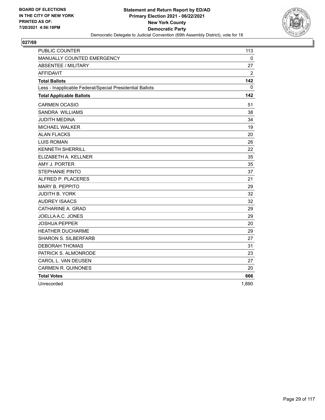

| <b>PUBLIC COUNTER</b>                                    | 113            |
|----------------------------------------------------------|----------------|
| <b>MANUALLY COUNTED EMERGENCY</b>                        | 0              |
| <b>ABSENTEE / MILITARY</b>                               | 27             |
| <b>AFFIDAVIT</b>                                         | $\overline{2}$ |
| <b>Total Ballots</b>                                     | 142            |
| Less - Inapplicable Federal/Special Presidential Ballots | $\mathbf{0}$   |
| <b>Total Applicable Ballots</b>                          | 142            |
| <b>CARMEN OCASIO</b>                                     | 51             |
| SANDRA WILLIAMS                                          | 38             |
| <b>JUDITH MEDINA</b>                                     | 34             |
| MICHAEL WALKER                                           | 19             |
| <b>ALAN FLACKS</b>                                       | 20             |
| <b>LUIS ROMAN</b>                                        | 26             |
| <b>KENNETH SHERRILL</b>                                  | 22             |
| ELIZABETH A. KELLNER                                     | 35             |
| AMY J. PORTER                                            | 35             |
| <b>STEPHANIE PINTO</b>                                   | 37             |
| ALFRED P. PLACERES                                       | 21             |
| <b>MARY B. PEPPITO</b>                                   | 29             |
| <b>JUDITH B. YORK</b>                                    | 32             |
| <b>AUDREY ISAACS</b>                                     | 32             |
| CATHARINE A. GRAD                                        | 29             |
| JOELLA A.C. JONES                                        | 29             |
| <b>JOSHUA PEPPER</b>                                     | 20             |
| <b>HEATHER DUCHARME</b>                                  | 29             |
| <b>SHARON S. SILBERFARB</b>                              | 27             |
| <b>DEBORAH THOMAS</b>                                    | 31             |
| PATRICK S. ALMONRODE                                     | 23             |
| CAROL L. VAN DEUSEN                                      | 27             |
| <b>CARMEN R. QUINONES</b>                                | 20             |
| <b>Total Votes</b>                                       | 666            |
| Unrecorded                                               | 1,890          |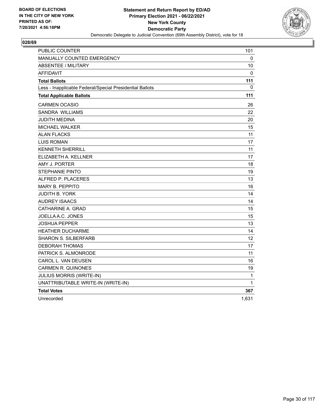

| <b>PUBLIC COUNTER</b>                                    | 101      |
|----------------------------------------------------------|----------|
| <b>MANUALLY COUNTED EMERGENCY</b>                        | 0        |
| <b>ABSENTEE / MILITARY</b>                               | 10       |
| <b>AFFIDAVIT</b>                                         | $\Omega$ |
| <b>Total Ballots</b>                                     | 111      |
| Less - Inapplicable Federal/Special Presidential Ballots | 0        |
| <b>Total Applicable Ballots</b>                          | 111      |
| <b>CARMEN OCASIO</b>                                     | 26       |
| <b>SANDRA WILLIAMS</b>                                   | 22       |
| JUDITH MEDINA                                            | 20       |
| MICHAEL WALKER                                           | 15       |
| <b>ALAN FLACKS</b>                                       | 11       |
| <b>LUIS ROMAN</b>                                        | 17       |
| <b>KENNETH SHERRILL</b>                                  | 11       |
| ELIZABETH A. KELLNER                                     | 17       |
| AMY J. PORTER                                            | 18       |
| <b>STEPHANIE PINTO</b>                                   | 19       |
| ALFRED P. PLACERES                                       | 13       |
| <b>MARY B. PEPPITO</b>                                   | 16       |
| JUDITH B. YORK                                           | 14       |
| <b>AUDREY ISAACS</b>                                     | 14       |
| CATHARINE A. GRAD                                        | 15       |
| JOELLA A.C. JONES                                        | 15       |
| JOSHUA PEPPER                                            | 13       |
| <b>HEATHER DUCHARME</b>                                  | 14       |
| <b>SHARON S. SILBERFARB</b>                              | 12       |
| DEBORAH THOMAS                                           | 17       |
| PATRICK S. ALMONRODE                                     | 11       |
| CAROL L. VAN DEUSEN                                      | 16       |
| <b>CARMEN R. QUINONES</b>                                | 19       |
| JULIUS MORRIS (WRITE-IN)                                 | 1        |
| UNATTRIBUTABLE WRITE-IN (WRITE-IN)                       | 1        |
| <b>Total Votes</b>                                       | 367      |
| Unrecorded                                               | 1,631    |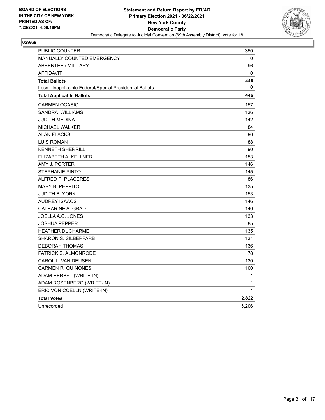

| PUBLIC COUNTER                                           | 350          |
|----------------------------------------------------------|--------------|
| <b>MANUALLY COUNTED EMERGENCY</b>                        | 0            |
| <b>ABSENTEE / MILITARY</b>                               | 96           |
| <b>AFFIDAVIT</b>                                         | 0            |
| <b>Total Ballots</b>                                     | 446          |
| Less - Inapplicable Federal/Special Presidential Ballots | 0            |
| <b>Total Applicable Ballots</b>                          | 446          |
| <b>CARMEN OCASIO</b>                                     | 157          |
| <b>SANDRA WILLIAMS</b>                                   | 136          |
| <b>JUDITH MEDINA</b>                                     | 142          |
| <b>MICHAEL WALKER</b>                                    | 84           |
| <b>ALAN FLACKS</b>                                       | 90           |
| <b>LUIS ROMAN</b>                                        | 88           |
| <b>KENNETH SHERRILL</b>                                  | 90           |
| ELIZABETH A. KELLNER                                     | 153          |
| AMY J. PORTER                                            | 146          |
| <b>STEPHANIE PINTO</b>                                   | 145          |
| ALFRED P. PLACERES                                       | 86           |
| <b>MARY B. PEPPITO</b>                                   | 135          |
| JUDITH B. YORK                                           | 153          |
| <b>AUDREY ISAACS</b>                                     | 146          |
| CATHARINE A. GRAD                                        | 140          |
| JOELLA A.C. JONES                                        | 133          |
| JOSHUA PEPPER                                            | 85           |
| <b>HEATHER DUCHARME</b>                                  | 135          |
| <b>SHARON S. SILBERFARB</b>                              | 131          |
| <b>DEBORAH THOMAS</b>                                    | 136          |
| PATRICK S. ALMONRODE                                     | 78           |
| CAROL L. VAN DEUSEN                                      | 130          |
| <b>CARMEN R. QUINONES</b>                                | 100          |
| ADAM HERBST (WRITE-IN)                                   | 1            |
| ADAM ROSENBERG (WRITE-IN)                                | 1            |
| ERIC VON COELLN (WRITE-IN)                               | $\mathbf{1}$ |
| <b>Total Votes</b>                                       | 2,822        |
| Unrecorded                                               | 5,206        |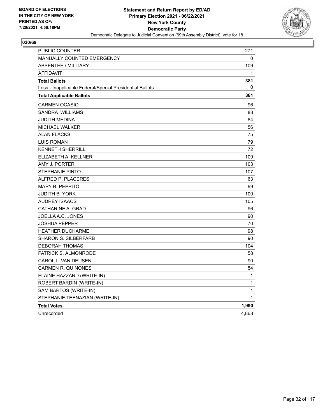

| PUBLIC COUNTER                                           | 271          |
|----------------------------------------------------------|--------------|
| <b>MANUALLY COUNTED EMERGENCY</b>                        | 0            |
| ABSENTEE / MILITARY                                      | 109          |
| <b>AFFIDAVIT</b>                                         | 1            |
| <b>Total Ballots</b>                                     | 381          |
| Less - Inapplicable Federal/Special Presidential Ballots | 0            |
| <b>Total Applicable Ballots</b>                          | 381          |
| <b>CARMEN OCASIO</b>                                     | 96           |
| <b>SANDRA WILLIAMS</b>                                   | 88           |
| JUDITH MEDINA                                            | 84           |
| <b>MICHAEL WALKER</b>                                    | 56           |
| ALAN FLACKS                                              | 75           |
| <b>LUIS ROMAN</b>                                        | 79           |
| <b>KENNETH SHERRILL</b>                                  | 72           |
| ELIZABETH A. KELLNER                                     | 109          |
| AMY J. PORTER                                            | 103          |
| <b>STEPHANIE PINTO</b>                                   | 107          |
| ALFRED P. PLACERES                                       | 63           |
| <b>MARY B. PEPPITO</b>                                   | 99           |
| <b>JUDITH B. YORK</b>                                    | 100          |
| <b>AUDREY ISAACS</b>                                     | 105          |
| CATHARINE A. GRAD                                        | 96           |
| JOELLA A.C. JONES                                        | 90           |
| <b>JOSHUA PEPPER</b>                                     | 70           |
| <b>HEATHER DUCHARME</b>                                  | 98           |
| <b>SHARON S. SILBERFARB</b>                              | 90           |
| <b>DEBORAH THOMAS</b>                                    | 104          |
| PATRICK S. ALMONRODE                                     | 58           |
| CAROL L. VAN DEUSEN                                      | 90           |
| <b>CARMEN R. QUINONES</b>                                | 54           |
| ELAINE HAZZARD (WRITE-IN)                                | 1            |
| ROBERT BARDIN (WRITE-IN)                                 | $\mathbf{1}$ |
| SAM BARTOS (WRITE-IN)                                    | 1            |
| STEPHANIE TEENAZIAN (WRITE-IN)                           | $\mathbf{1}$ |
| <b>Total Votes</b>                                       | 1,990        |
| Unrecorded                                               | 4,868        |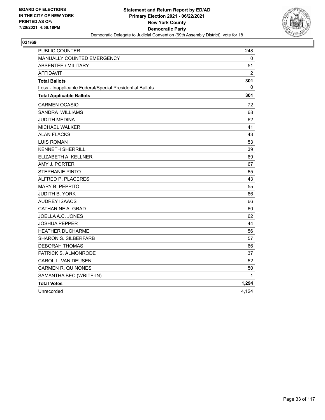

| PUBLIC COUNTER                                           | 248            |
|----------------------------------------------------------|----------------|
| MANUALLY COUNTED EMERGENCY                               | 0              |
| <b>ABSENTEE / MILITARY</b>                               | 51             |
| <b>AFFIDAVIT</b>                                         | $\overline{2}$ |
| <b>Total Ballots</b>                                     | 301            |
| Less - Inapplicable Federal/Special Presidential Ballots | 0              |
| <b>Total Applicable Ballots</b>                          | 301            |
| <b>CARMEN OCASIO</b>                                     | 72             |
| SANDRA WILLIAMS                                          | 68             |
| JUDITH MEDINA                                            | 62             |
| <b>MICHAEL WALKER</b>                                    | 41             |
| <b>ALAN FLACKS</b>                                       | 43             |
| <b>LUIS ROMAN</b>                                        | 53             |
| <b>KENNETH SHERRILL</b>                                  | 39             |
| ELIZABETH A. KELLNER                                     | 69             |
| AMY J. PORTER                                            | 67             |
| <b>STEPHANIE PINTO</b>                                   | 65             |
| ALFRED P. PLACERES                                       | 43             |
| <b>MARY B. PEPPITO</b>                                   | 55             |
| <b>JUDITH B. YORK</b>                                    | 66             |
| <b>AUDREY ISAACS</b>                                     | 66             |
| CATHARINE A. GRAD                                        | 60             |
| JOELLA A.C. JONES                                        | 62             |
| JOSHUA PEPPER                                            | 44             |
| <b>HEATHER DUCHARME</b>                                  | 56             |
| <b>SHARON S. SILBERFARB</b>                              | 57             |
| <b>DEBORAH THOMAS</b>                                    | 66             |
| PATRICK S. ALMONRODE                                     | 37             |
| CAROL L. VAN DEUSEN                                      | 52             |
| <b>CARMEN R. QUINONES</b>                                | 50             |
| SAMANTHA BEC (WRITE-IN)                                  | 1              |
| <b>Total Votes</b>                                       | 1,294          |
| Unrecorded                                               | 4,124          |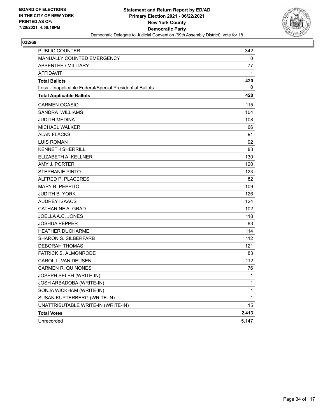

| <b>PUBLIC COUNTER</b>                                    | 342   |
|----------------------------------------------------------|-------|
| MANUALLY COUNTED EMERGENCY                               | 0     |
| <b>ABSENTEE / MILITARY</b>                               | 77    |
| <b>AFFIDAVIT</b>                                         | 1     |
| <b>Total Ballots</b>                                     | 420   |
| Less - Inapplicable Federal/Special Presidential Ballots | 0     |
| <b>Total Applicable Ballots</b>                          | 420   |
| <b>CARMEN OCASIO</b>                                     | 115   |
| SANDRA WILLIAMS                                          | 104   |
| <b>JUDITH MEDINA</b>                                     | 108   |
| <b>MICHAEL WALKER</b>                                    | 66    |
| <b>ALAN FLACKS</b>                                       | 91    |
| <b>LUIS ROMAN</b>                                        | 92    |
| <b>KENNETH SHERRILL</b>                                  | 83    |
| ELIZABETH A. KELLNER                                     | 130   |
| AMY J. PORTER                                            | 120   |
| <b>STEPHANIE PINTO</b>                                   | 123   |
| ALFRED P. PLACERES                                       | 82    |
| <b>MARY B. PEPPITO</b>                                   | 109   |
| <b>JUDITH B. YORK</b>                                    | 126   |
| <b>AUDREY ISAACS</b>                                     | 124   |
| CATHARINE A. GRAD                                        | 102   |
| JOELLAA.C. JONES                                         | 118   |
| <b>JOSHUA PEPPER</b>                                     | 83    |
| <b>HEATHER DUCHARME</b>                                  | 114   |
| <b>SHARON S. SILBERFARB</b>                              | 112   |
| <b>DEBORAH THOMAS</b>                                    | 121   |
| PATRICK S. ALMONRODE                                     | 83    |
| CAROL L. VAN DEUSEN                                      | 112   |
| <b>CARMEN R. QUINONES</b>                                | 76    |
| JOSEPH SELEH (WRITE-IN)                                  | 1     |
| JOSH ARBADOBA (WRITE-IN)                                 | 1     |
| SONJA WICKHAM (WRITE-IN)                                 | 1     |
| SUSAN KUPTERBERG (WRITE-IN)                              | 1     |
| UNATTRIBUTABLE WRITE-IN (WRITE-IN)                       | 15    |
| <b>Total Votes</b>                                       | 2,413 |
| Unrecorded                                               | 5,147 |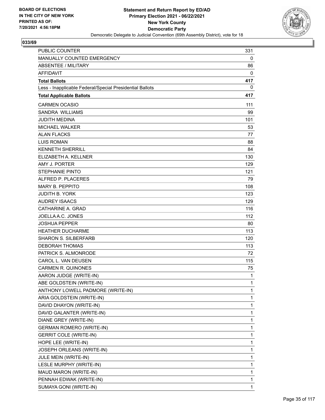

| <b>PUBLIC COUNTER</b>                                    | 331          |
|----------------------------------------------------------|--------------|
| MANUALLY COUNTED EMERGENCY                               | 0            |
| ABSENTEE / MILITARY                                      | 86           |
| <b>AFFIDAVIT</b>                                         | 0            |
| <b>Total Ballots</b>                                     | 417          |
| Less - Inapplicable Federal/Special Presidential Ballots | 0            |
| <b>Total Applicable Ballots</b>                          | 417          |
| <b>CARMEN OCASIO</b>                                     | 111          |
| <b>SANDRA WILLIAMS</b>                                   | 99           |
| <b>JUDITH MEDINA</b>                                     | 101          |
| <b>MICHAEL WALKER</b>                                    | 53           |
| <b>ALAN FLACKS</b>                                       | 77           |
| <b>LUIS ROMAN</b>                                        | 88           |
| <b>KENNETH SHERRILL</b>                                  | 84           |
| ELIZABETH A. KELLNER                                     | 130          |
| AMY J. PORTER                                            | 129          |
| <b>STEPHANIE PINTO</b>                                   | 121          |
| ALFRED P. PLACERES                                       | 79           |
| <b>MARY B. PEPPITO</b>                                   | 108          |
| <b>JUDITH B. YORK</b>                                    | 123          |
| <b>AUDREY ISAACS</b>                                     | 129          |
| CATHARINE A. GRAD                                        | 116          |
| JOELLA A.C. JONES                                        | 112          |
| <b>JOSHUA PEPPER</b>                                     | 80           |
| <b>HEATHER DUCHARME</b>                                  | 113          |
| <b>SHARON S. SILBERFARB</b>                              | 120          |
| <b>DEBORAH THOMAS</b>                                    | 113          |
| PATRICK S. ALMONRODE                                     | 72           |
| CAROL L. VAN DEUSEN                                      | 115          |
| <b>CARMEN R. QUINONES</b>                                | 75           |
| AARON JUDGE (WRITE-IN)                                   | $\mathbf{1}$ |
| ABE GOLDSTEIN (WRITE-IN)                                 | 1            |
| ANTHONY LOWELL PADMORE (WRITE-IN)                        | 1            |
| ARIA GOLDSTEIN (WRITE-IN)                                | 1            |
| DAVID DHAYON (WRITE-IN)                                  | 1            |
| DAVID GALANTER (WRITE-IN)                                | 1            |
| DIANE GREY (WRITE-IN)                                    | 1            |
| <b>GERMAN ROMERO (WRITE-IN)</b>                          | 1            |
| <b>GERRIT COLE (WRITE-IN)</b>                            | 1            |
| HOPE LEE (WRITE-IN)                                      | 1            |
| JOSEPH ORLEANS (WRITE-IN)                                | 1            |
| JULE MEIN (WRITE-IN)                                     | 1            |
| LESLE MURPHY (WRITE-IN)                                  | 1            |
| MAUD MARON (WRITE-IN)                                    | 1            |
| PENNAH EDWAK (WRITE-IN)                                  | 1            |
| SUMAYA GONI (WRITE-IN)                                   | 1            |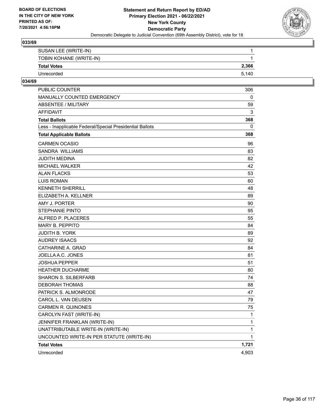

| SUSAN LEE (WRITE-IN)    |       |
|-------------------------|-------|
| TOBIN KOHANE (WRITE-IN) |       |
| <b>Total Votes</b>      | 2.366 |
| Unrecorded              | 5.140 |

| PUBLIC COUNTER                                           | 306          |
|----------------------------------------------------------|--------------|
| <b>MANUALLY COUNTED EMERGENCY</b>                        | 0            |
| <b>ABSENTEE / MILITARY</b>                               | 59           |
| <b>AFFIDAVIT</b>                                         | 3            |
| <b>Total Ballots</b>                                     | 368          |
| Less - Inapplicable Federal/Special Presidential Ballots | 0            |
| <b>Total Applicable Ballots</b>                          | 368          |
| <b>CARMEN OCASIO</b>                                     | 96           |
| <b>SANDRA WILLIAMS</b>                                   | 83           |
| JUDITH MEDINA                                            | 82           |
| MICHAEL WALKER                                           | 42           |
| <b>ALAN FLACKS</b>                                       | 53           |
| <b>LUIS ROMAN</b>                                        | 60           |
| <b>KENNETH SHERRILL</b>                                  | 48           |
| ELIZABETH A. KELLNER                                     | 89           |
| AMY J. PORTER                                            | 90           |
| <b>STEPHANIE PINTO</b>                                   | 95           |
| ALFRED P. PLACERES                                       | 55           |
| <b>MARY B. PEPPITO</b>                                   | 84           |
| <b>JUDITH B. YORK</b>                                    | 89           |
| AUDREY ISAACS                                            | 92           |
| CATHARINE A. GRAD                                        | 84           |
| JOELLA A.C. JONES                                        | 81           |
| <b>JOSHUA PEPPER</b>                                     | 51           |
| <b>HEATHER DUCHARME</b>                                  | 80           |
| <b>SHARON S. SILBERFARB</b>                              | 74           |
| <b>DEBORAH THOMAS</b>                                    | 88           |
| PATRICK S. ALMONRODE                                     | 47           |
| CAROL L. VAN DEUSEN                                      | 79           |
| <b>CARMEN R. QUINONES</b>                                | 75           |
| CAROLYN FAST (WRITE-IN)                                  | $\mathbf{1}$ |
| JENNIFER FRANKLAN (WRITE-IN)                             | 1            |
| UNATTRIBUTABLE WRITE-IN (WRITE-IN)                       | 1            |
| UNCOUNTED WRITE-IN PER STATUTE (WRITE-IN)                | $\mathbf{1}$ |
| <b>Total Votes</b>                                       | 1,721        |
| Unrecorded                                               | 4,903        |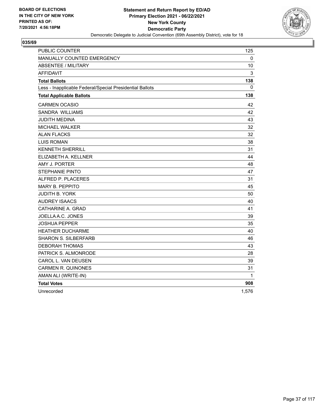

| PUBLIC COUNTER                                           | 125   |
|----------------------------------------------------------|-------|
| MANUALLY COUNTED EMERGENCY                               | 0     |
| <b>ABSENTEE / MILITARY</b>                               | 10    |
| <b>AFFIDAVIT</b>                                         | 3     |
| <b>Total Ballots</b>                                     | 138   |
| Less - Inapplicable Federal/Special Presidential Ballots | 0     |
| <b>Total Applicable Ballots</b>                          | 138   |
| <b>CARMEN OCASIO</b>                                     | 42    |
| SANDRA WILLIAMS                                          | 42    |
| JUDITH MEDINA                                            | 43    |
| MICHAEL WALKER                                           | 32    |
| <b>ALAN FLACKS</b>                                       | 32    |
| <b>LUIS ROMAN</b>                                        | 38    |
| <b>KENNETH SHERRILL</b>                                  | 31    |
| ELIZABETH A. KELLNER                                     | 44    |
| AMY J. PORTER                                            | 48    |
| <b>STEPHANIE PINTO</b>                                   | 47    |
| ALFRED P. PLACERES                                       | 31    |
| <b>MARY B. PEPPITO</b>                                   | 45    |
| <b>JUDITH B. YORK</b>                                    | 50    |
| <b>AUDREY ISAACS</b>                                     | 40    |
| CATHARINE A. GRAD                                        | 41    |
| JOELLA A.C. JONES                                        | 39    |
| JOSHUA PEPPER                                            | 35    |
| <b>HEATHER DUCHARME</b>                                  | 40    |
| <b>SHARON S. SILBERFARB</b>                              | 46    |
| <b>DEBORAH THOMAS</b>                                    | 43    |
| PATRICK S. ALMONRODE                                     | 28    |
| CAROL L. VAN DEUSEN                                      | 39    |
| <b>CARMEN R. QUINONES</b>                                | 31    |
| AMAN ALI (WRITE-IN)                                      | 1     |
| <b>Total Votes</b>                                       | 908   |
| Unrecorded                                               | 1,576 |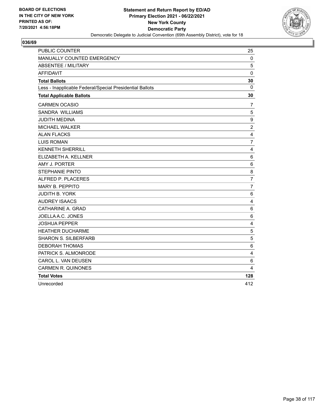

| <b>PUBLIC COUNTER</b>                                    | 25                      |
|----------------------------------------------------------|-------------------------|
| MANUALLY COUNTED EMERGENCY                               | 0                       |
| <b>ABSENTEE / MILITARY</b>                               | 5                       |
| <b>AFFIDAVIT</b>                                         | $\mathbf 0$             |
| <b>Total Ballots</b>                                     | 30                      |
| Less - Inapplicable Federal/Special Presidential Ballots | $\mathbf{0}$            |
| <b>Total Applicable Ballots</b>                          | 30                      |
| <b>CARMEN OCASIO</b>                                     | 7                       |
| SANDRA WILLIAMS                                          | 5                       |
| <b>JUDITH MEDINA</b>                                     | 9                       |
| MICHAEL WALKER                                           | $\overline{2}$          |
| <b>ALAN FLACKS</b>                                       | 4                       |
| <b>LUIS ROMAN</b>                                        | $\overline{7}$          |
| <b>KENNETH SHERRILL</b>                                  | $\overline{\mathbf{4}}$ |
| ELIZABETH A. KELLNER                                     | $\,6$                   |
| AMY J. PORTER                                            | 6                       |
| <b>STEPHANIE PINTO</b>                                   | 8                       |
| ALFRED P. PLACERES                                       | $\overline{7}$          |
| <b>MARY B. PEPPITO</b>                                   | $\overline{7}$          |
| <b>JUDITH B. YORK</b>                                    | 6                       |
| <b>AUDREY ISAACS</b>                                     | $\overline{4}$          |
| CATHARINE A. GRAD                                        | $\,6\,$                 |
| JOELLA A.C. JONES                                        | 6                       |
| <b>JOSHUA PEPPER</b>                                     | 4                       |
| <b>HEATHER DUCHARME</b>                                  | 5                       |
| <b>SHARON S. SILBERFARB</b>                              | 5                       |
| <b>DEBORAH THOMAS</b>                                    | 6                       |
| PATRICK S. ALMONRODE                                     | 4                       |
| CAROL L. VAN DEUSEN                                      | $\,6$                   |
| <b>CARMEN R. QUINONES</b>                                | 4                       |
| <b>Total Votes</b>                                       | 128                     |
| Unrecorded                                               | 412                     |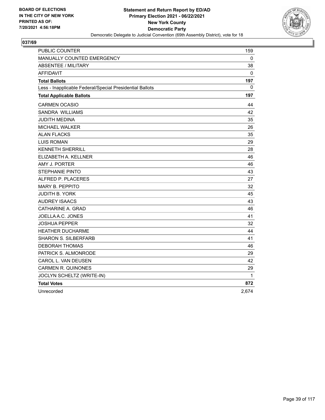

| PUBLIC COUNTER                                           | 159          |
|----------------------------------------------------------|--------------|
| MANUALLY COUNTED EMERGENCY                               | 0            |
| <b>ABSENTEE / MILITARY</b>                               | 38           |
| <b>AFFIDAVIT</b>                                         | $\mathbf{0}$ |
| <b>Total Ballots</b>                                     | 197          |
| Less - Inapplicable Federal/Special Presidential Ballots | 0            |
| <b>Total Applicable Ballots</b>                          | 197          |
| <b>CARMEN OCASIO</b>                                     | 44           |
| SANDRA WILLIAMS                                          | 42           |
| JUDITH MEDINA                                            | 35           |
| MICHAEL WALKER                                           | 26           |
| <b>ALAN FLACKS</b>                                       | 35           |
| <b>LUIS ROMAN</b>                                        | 29           |
| <b>KENNETH SHERRILL</b>                                  | 28           |
| ELIZABETH A. KELLNER                                     | 46           |
| AMY J. PORTER                                            | 46           |
| <b>STEPHANIE PINTO</b>                                   | 43           |
| ALFRED P. PLACERES                                       | 27           |
| <b>MARY B. PEPPITO</b>                                   | 32           |
| <b>JUDITH B. YORK</b>                                    | 45           |
| <b>AUDREY ISAACS</b>                                     | 43           |
| CATHARINE A. GRAD                                        | 46           |
| JOELLA A.C. JONES                                        | 41           |
| JOSHUA PEPPER                                            | 32           |
| <b>HEATHER DUCHARME</b>                                  | 44           |
| <b>SHARON S. SILBERFARB</b>                              | 41           |
| <b>DEBORAH THOMAS</b>                                    | 46           |
| PATRICK S. ALMONRODE                                     | 29           |
| CAROL L. VAN DEUSEN                                      | 42           |
| <b>CARMEN R. QUINONES</b>                                | 29           |
| JOCLYN SCHELTZ (WRITE-IN)                                | 1            |
| <b>Total Votes</b>                                       | 872          |
| Unrecorded                                               | 2,674        |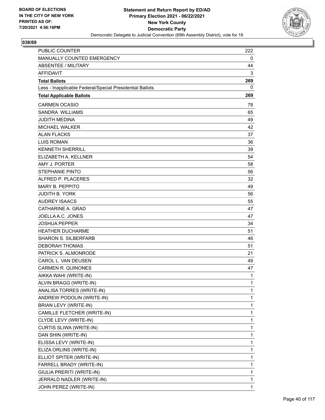

| <b>PUBLIC COUNTER</b>                                    | 222 |
|----------------------------------------------------------|-----|
| MANUALLY COUNTED EMERGENCY                               | 0   |
| ABSENTEE / MILITARY                                      | 44  |
| <b>AFFIDAVIT</b>                                         | 3   |
| <b>Total Ballots</b>                                     | 269 |
| Less - Inapplicable Federal/Special Presidential Ballots | 0   |
| <b>Total Applicable Ballots</b>                          | 269 |
| <b>CARMEN OCASIO</b>                                     | 78  |
| SANDRA WILLIAMS                                          | 65  |
| <b>JUDITH MEDINA</b>                                     | 49  |
| <b>MICHAEL WALKER</b>                                    | 42  |
| <b>ALAN FLACKS</b>                                       | 37  |
| <b>LUIS ROMAN</b>                                        | 36  |
| <b>KENNETH SHERRILL</b>                                  | 39  |
| ELIZABETH A. KELLNER                                     | 54  |
| AMY J. PORTER                                            | 58  |
| <b>STEPHANIE PINTO</b>                                   | 56  |
| ALFRED P. PLACERES                                       | 32  |
| MARY B. PEPPITO                                          | 49  |
| <b>JUDITH B. YORK</b>                                    | 56  |
| <b>AUDREY ISAACS</b>                                     | 55  |
| CATHARINE A. GRAD                                        | 47  |
| JOELLA A.C. JONES                                        | 47  |
| <b>JOSHUA PEPPER</b>                                     | 34  |
| <b>HEATHER DUCHARME</b>                                  | 51  |
| <b>SHARON S. SILBERFARB</b>                              | 46  |
| <b>DEBORAH THOMAS</b>                                    | 51  |
| PATRICK S. ALMONRODE                                     | 21  |
| CAROL L. VAN DEUSEN                                      | 49  |
| <b>CARMEN R. QUINONES</b>                                | 47  |
| AIKKA WAHI (WRITE-IN)                                    | 1   |
| ALVIN BRAGG (WRITE-IN)                                   | 1   |
| ANALISA TORRES (WRITE-IN)                                | 1   |
| ANDREW PODOLIN (WRITE-IN)                                | 1   |
| BRIAN LEVY (WRITE-IN)                                    | 1   |
| CAMILLE FLETCHER (WRITE-IN)                              | 1   |
| CLYDE LEVY (WRITE-IN)                                    | 1   |
| CURTIS SLIWA (WRITE-IN)                                  | 1   |
| DAN SHIN (WRITE-IN)                                      | 1   |
| ELISSA LEVY (WRITE-IN)                                   | 1   |
| ELIZA ORLINS (WRITE-IN)                                  | 1   |
| ELLIOT SPITER (WRITE-IN)                                 | 1   |
| FARRELL BRADY (WRITE-IN)                                 | 1   |
| GIULIA PRERITI (WRITE-IN)                                | 1   |
| JERRALD NADLER (WRITE-IN)                                | 1   |
| JOHN PEREZ (WRITE-IN)                                    | 1   |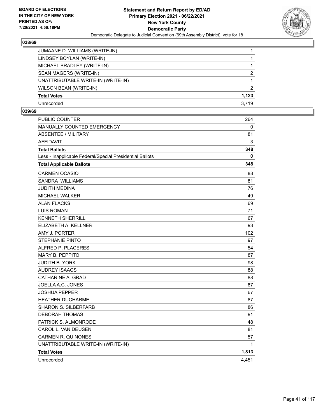

| JUMAANE D. WILLIAMS (WRITE-IN)     |               |
|------------------------------------|---------------|
| LINDSEY BOYLAN (WRITE-IN)          |               |
| MICHAEL BRADLEY (WRITE-IN)         |               |
| SEAN MAGERS (WRITE-IN)             | $\mathcal{P}$ |
| UNATTRIBUTABLE WRITE-IN (WRITE-IN) |               |
| WILSON BEAN (WRITE-IN)             | $\mathcal{P}$ |
| <b>Total Votes</b>                 | 1.123         |
| Unrecorded                         | 3.719         |

| PUBLIC COUNTER                                           | 264          |
|----------------------------------------------------------|--------------|
| MANUALLY COUNTED EMERGENCY                               | 0            |
| <b>ABSENTEE / MILITARY</b>                               | 81           |
| <b>AFFIDAVIT</b>                                         | 3            |
| <b>Total Ballots</b>                                     | 348          |
| Less - Inapplicable Federal/Special Presidential Ballots | 0            |
| <b>Total Applicable Ballots</b>                          | 348          |
| <b>CARMEN OCASIO</b>                                     | 88           |
| SANDRA WILLIAMS                                          | 81           |
| JUDITH MEDINA                                            | 76           |
| MICHAEL WALKER                                           | 49           |
| <b>ALAN FLACKS</b>                                       | 69           |
| <b>LUIS ROMAN</b>                                        | 71           |
| <b>KENNETH SHERRILL</b>                                  | 67           |
| ELIZABETH A. KELLNER                                     | 93           |
| AMY J. PORTER                                            | 102          |
| STEPHANIE PINTO                                          | 97           |
| ALFRED P. PLACERES                                       | 54           |
| <b>MARY B. PEPPITO</b>                                   | 87           |
| JUDITH B. YORK                                           | 98           |
| <b>AUDREY ISAACS</b>                                     | 88           |
| CATHARINE A. GRAD                                        | 88           |
| JOELLA A.C. JONES                                        | 87           |
| <b>JOSHUA PEPPER</b>                                     | 67           |
| <b>HEATHER DUCHARME</b>                                  | 87           |
| <b>SHARON S. SILBERFARB</b>                              | 86           |
| <b>DEBORAH THOMAS</b>                                    | 91           |
| PATRICK S. ALMONRODE                                     | 48           |
| CAROL L. VAN DEUSEN                                      | 81           |
| <b>CARMEN R. QUINONES</b>                                | 57           |
| UNATTRIBUTABLE WRITE-IN (WRITE-IN)                       | $\mathbf{1}$ |
| <b>Total Votes</b>                                       | 1,813        |
| Unrecorded                                               | 4,451        |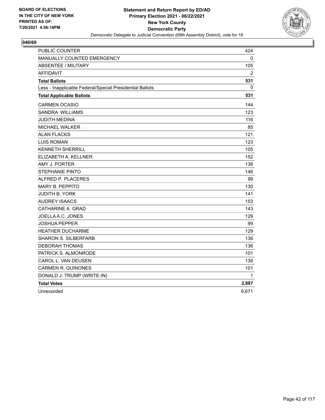

| PUBLIC COUNTER                                           | 424   |
|----------------------------------------------------------|-------|
| <b>MANUALLY COUNTED EMERGENCY</b>                        | 0     |
| <b>ABSENTEE / MILITARY</b>                               | 105   |
| <b>AFFIDAVIT</b>                                         | 2     |
| <b>Total Ballots</b>                                     | 531   |
| Less - Inapplicable Federal/Special Presidential Ballots | 0     |
| <b>Total Applicable Ballots</b>                          | 531   |
| <b>CARMEN OCASIO</b>                                     | 144   |
| SANDRA WILLIAMS                                          | 123   |
| JUDITH MEDINA                                            | 116   |
| MICHAEL WALKER                                           | 85    |
| <b>ALAN FLACKS</b>                                       | 121   |
| <b>LUIS ROMAN</b>                                        | 123   |
| <b>KENNETH SHERRILL</b>                                  | 105   |
| ELIZABETH A. KELLNER                                     | 152   |
| AMY J. PORTER                                            | 138   |
| <b>STEPHANIE PINTO</b>                                   | 146   |
| ALFRED P. PLACERES                                       | 99    |
| <b>MARY B. PEPPITO</b>                                   | 130   |
| JUDITH B. YORK                                           | 141   |
| <b>AUDREY ISAACS</b>                                     | 153   |
| CATHARINE A. GRAD                                        | 143   |
| JOELLA A.C. JONES                                        | 129   |
| JOSHUA PEPPER                                            | 99    |
| <b>HEATHER DUCHARME</b>                                  | 129   |
| <b>SHARON S. SILBERFARB</b>                              | 136   |
| <b>DEBORAH THOMAS</b>                                    | 136   |
| PATRICK S. ALMONRODE                                     | 101   |
| CAROL L. VAN DEUSEN                                      | 136   |
| <b>CARMEN R. QUINONES</b>                                | 101   |
| DONALD J. TRUMP (WRITE-IN)                               | 1     |
| <b>Total Votes</b>                                       | 2,887 |
| Unrecorded                                               | 6,671 |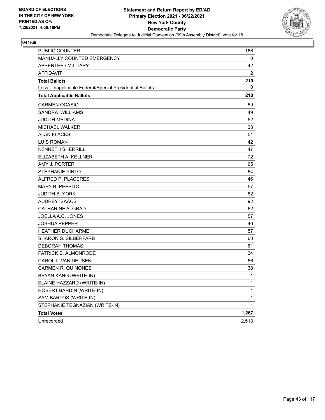

| PUBLIC COUNTER                                           | 166            |
|----------------------------------------------------------|----------------|
| MANUALLY COUNTED EMERGENCY                               | 0              |
| <b>ABSENTEE / MILITARY</b>                               | 42             |
| <b>AFFIDAVIT</b>                                         | $\overline{2}$ |
| <b>Total Ballots</b>                                     | 210            |
| Less - Inapplicable Federal/Special Presidential Ballots | 0              |
| <b>Total Applicable Ballots</b>                          | 210            |
| <b>CARMEN OCASIO</b>                                     | 59             |
| <b>SANDRA WILLIAMS</b>                                   | 49             |
| JUDITH MEDINA                                            | 52             |
| MICHAEL WALKER                                           | 33             |
| <b>ALAN FLACKS</b>                                       | 51             |
| LUIS ROMAN                                               | 42             |
| <b>KENNETH SHERRILL</b>                                  | 47             |
| ELIZABETH A. KELLNER                                     | 72             |
| AMY J. PORTER                                            | 65             |
| <b>STEPHANIE PINTO</b>                                   | 64             |
| ALFRED P. PLACERES                                       | 46             |
| <b>MARY B. PEPPITO</b>                                   | 57             |
| <b>JUDITH B. YORK</b>                                    | 62             |
| <b>AUDREY ISAACS</b>                                     | 92             |
| CATHARINE A. GRAD                                        | 62             |
| JOELLA A.C. JONES                                        | 57             |
| <b>JOSHUA PEPPER</b>                                     | 46             |
| <b>HEATHER DUCHARME</b>                                  | 57             |
| <b>SHARON S. SILBERFARB</b>                              | 60             |
| <b>DEBORAH THOMAS</b>                                    | 61             |
| PATRICK S. ALMONRODE                                     | 34             |
| CAROL L. VAN DEUSEN                                      | 56             |
| <b>CARMEN R. QUINONES</b>                                | 38             |
| <b>BRYAN KANG (WRITE-IN)</b>                             | 1              |
| ELAINE HAZZARD (WRITE-IN)                                | 1              |
| ROBERT BARDIN (WRITE-IN)                                 | 1              |
| SAM BARTOS (WRITE-IN)                                    | 1              |
| STEPHANIE TEGNAZIAN (WRITE-IN)                           | 1              |
| <b>Total Votes</b>                                       | 1,267          |
| Unrecorded                                               | 2,513          |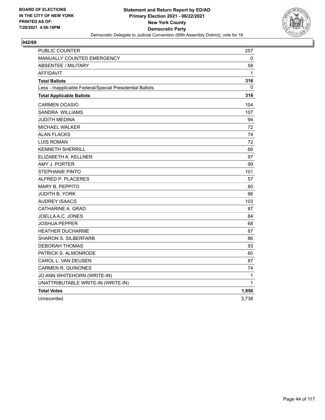

| <b>PUBLIC COUNTER</b>                                    | 257          |
|----------------------------------------------------------|--------------|
| <b>MANUALLY COUNTED EMERGENCY</b>                        | 0            |
| <b>ABSENTEE / MILITARY</b>                               | 58           |
| <b>AFFIDAVIT</b>                                         | $\mathbf{1}$ |
| <b>Total Ballots</b>                                     | 316          |
| Less - Inapplicable Federal/Special Presidential Ballots | 0            |
| <b>Total Applicable Ballots</b>                          | 316          |
| <b>CARMEN OCASIO</b>                                     | 104          |
| <b>SANDRA WILLIAMS</b>                                   | 107          |
| JUDITH MEDINA                                            | 94           |
| <b>MICHAEL WALKER</b>                                    | 72           |
| <b>ALAN FLACKS</b>                                       | 74           |
| <b>LUIS ROMAN</b>                                        | 72           |
| <b>KENNETH SHERRILL</b>                                  | 66           |
| ELIZABETH A. KELLNER                                     | 97           |
| AMY J. PORTER                                            | 99           |
| <b>STEPHANIE PINTO</b>                                   | 101          |
| ALFRED P. PLACERES                                       | 57           |
| <b>MARY B. PEPPITO</b>                                   | 80           |
| JUDITH B. YORK                                           | 96           |
| <b>AUDREY ISAACS</b>                                     | 103          |
| CATHARINE A. GRAD                                        | 87           |
| JOELLA A.C. JONES                                        | 84           |
| <b>JOSHUA PEPPER</b>                                     | 68           |
| <b>HEATHER DUCHARME</b>                                  | 87           |
| <b>SHARON S. SILBERFARB</b>                              | 86           |
| <b>DEBORAH THOMAS</b>                                    | 93           |
| PATRICK S. ALMONRODE                                     | 60           |
| CAROL L. VAN DEUSEN                                      | 87           |
| <b>CARMEN R. QUINONES</b>                                | 74           |
| JO ANN WHITEHORN (WRITE-IN)                              | 1            |
| UNATTRIBUTABLE WRITE-IN (WRITE-IN)                       | 1            |
| <b>Total Votes</b>                                       | 1,950        |
| Unrecorded                                               | 3,738        |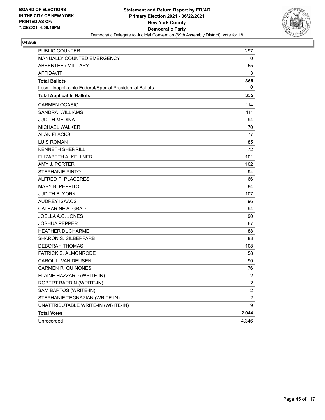

| <b>PUBLIC COUNTER</b>                                    | 297              |
|----------------------------------------------------------|------------------|
| MANUALLY COUNTED EMERGENCY                               | 0                |
| <b>ABSENTEE / MILITARY</b>                               | 55               |
| <b>AFFIDAVIT</b>                                         | 3                |
| <b>Total Ballots</b>                                     | 355              |
| Less - Inapplicable Federal/Special Presidential Ballots | 0                |
| <b>Total Applicable Ballots</b>                          | 355              |
| <b>CARMEN OCASIO</b>                                     | 114              |
| SANDRA WILLIAMS                                          | 111              |
| JUDITH MEDINA                                            | 94               |
| <b>MICHAEL WALKER</b>                                    | 70               |
| <b>ALAN FLACKS</b>                                       | 77               |
| <b>LUIS ROMAN</b>                                        | 85               |
| <b>KENNETH SHERRILL</b>                                  | 72               |
| ELIZABETH A. KELLNER                                     | 101              |
| AMY J. PORTER                                            | 102              |
| <b>STEPHANIE PINTO</b>                                   | 94               |
| ALFRED P. PLACERES                                       | 66               |
| <b>MARY B. PEPPITO</b>                                   | 84               |
| <b>JUDITH B. YORK</b>                                    | 107              |
| <b>AUDREY ISAACS</b>                                     | 96               |
| CATHARINE A. GRAD                                        | 94               |
| JOELLA A.C. JONES                                        | 90               |
| <b>JOSHUA PEPPER</b>                                     | 67               |
| <b>HEATHER DUCHARME</b>                                  | 88               |
| <b>SHARON S. SILBERFARB</b>                              | 83               |
| <b>DEBORAH THOMAS</b>                                    | 108              |
| PATRICK S. ALMONRODE                                     | 58               |
| CAROL L. VAN DEUSEN                                      | 90               |
| <b>CARMEN R. QUINONES</b>                                | 76               |
| ELAINE HAZZARD (WRITE-IN)                                | $\boldsymbol{2}$ |
| ROBERT BARDIN (WRITE-IN)                                 | $\boldsymbol{2}$ |
| SAM BARTOS (WRITE-IN)                                    | $\mathbf 2$      |
| STEPHANIE TEGNAZIAN (WRITE-IN)                           | $\overline{c}$   |
| UNATTRIBUTABLE WRITE-IN (WRITE-IN)                       | 9                |
| <b>Total Votes</b>                                       | 2,044            |
| Unrecorded                                               | 4,346            |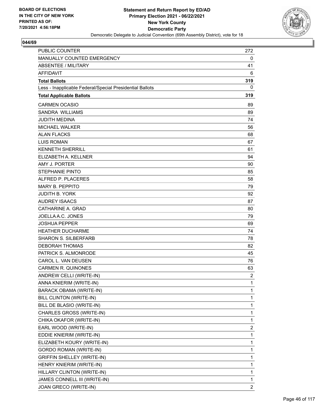

| <b>PUBLIC COUNTER</b>                                    | 272            |
|----------------------------------------------------------|----------------|
| MANUALLY COUNTED EMERGENCY                               | 0              |
| ABSENTEE / MILITARY                                      | 41             |
| <b>AFFIDAVIT</b>                                         | 6              |
| <b>Total Ballots</b>                                     | 319            |
| Less - Inapplicable Federal/Special Presidential Ballots | 0              |
| <b>Total Applicable Ballots</b>                          | 319            |
| <b>CARMEN OCASIO</b>                                     | 89             |
| SANDRA WILLIAMS                                          | 89             |
| <b>JUDITH MEDINA</b>                                     | 74             |
| <b>MICHAEL WALKER</b>                                    | 56             |
| <b>ALAN FLACKS</b>                                       | 68             |
| <b>LUIS ROMAN</b>                                        | 67             |
| <b>KENNETH SHERRILL</b>                                  | 61             |
| ELIZABETH A. KELLNER                                     | 94             |
| AMY J. PORTER                                            | 90             |
| <b>STEPHANIE PINTO</b>                                   | 85             |
| ALFRED P. PLACERES                                       | 58             |
| <b>MARY B. PEPPITO</b>                                   | 79             |
| <b>JUDITH B. YORK</b>                                    | 92             |
| <b>AUDREY ISAACS</b>                                     | 87             |
| CATHARINE A. GRAD                                        | 80             |
| JOELLA A.C. JONES                                        | 79             |
| <b>JOSHUA PEPPER</b>                                     | 69             |
| <b>HEATHER DUCHARME</b>                                  | 74             |
| <b>SHARON S. SILBERFARB</b>                              | 78             |
| <b>DEBORAH THOMAS</b>                                    | 82             |
| PATRICK S. ALMONRODE                                     | 45             |
| CAROL L. VAN DEUSEN                                      | 76             |
| <b>CARMEN R. QUINONES</b>                                | 63             |
| ANDREW CELLI (WRITE-IN)                                  | $\overline{2}$ |
| ANNA KNIERIM (WRITE-IN)                                  | 1              |
| BARACK OBAMA (WRITE-IN)                                  | 1              |
| BILL CLINTON (WRITE-IN)                                  | 1              |
| BILL DE BLASIO (WRITE-IN)                                | $\mathbf{1}$   |
| CHARLES GROSS (WRITE-IN)                                 | 1              |
| CHIKA OKAFOR (WRITE-IN)                                  | 1              |
| EARL WOOD (WRITE-IN)                                     | 2              |
| EDDIE KNIERIM (WRITE-IN)                                 | 1              |
| ELIZABETH KOURY (WRITE-IN)                               | 1              |
| <b>GORDO ROMAN (WRITE-IN)</b>                            | $\mathbf{1}$   |
| <b>GRIFFIN SHELLEY (WRITE-IN)</b>                        | 1              |
| HENRY KNIERIM (WRITE-IN)                                 | 1              |
| HILLARY CLINTON (WRITE-IN)                               | 1              |
| JAMES CONNELL III (WRITE-IN)                             | 1              |
| JOAN GRECO (WRITE-IN)                                    | 2              |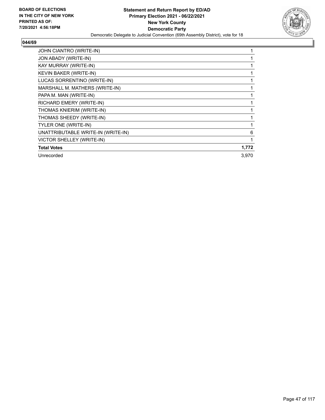

| JOHN CIANTRO (WRITE-IN)            |       |
|------------------------------------|-------|
| JON ABADY (WRITE-IN)               |       |
| KAY MURRAY (WRITE-IN)              |       |
| <b>KEVIN BAKER (WRITE-IN)</b>      |       |
| LUCAS SORRENTINO (WRITE-IN)        |       |
| MARSHALL M. MATHERS (WRITE-IN)     |       |
| PAPA M. MAN (WRITE-IN)             |       |
| RICHARD EMERY (WRITE-IN)           |       |
| THOMAS KNIERIM (WRITE-IN)          | 1     |
| THOMAS SHEEDY (WRITE-IN)           |       |
| TYLER ONE (WRITE-IN)               |       |
| UNATTRIBUTABLE WRITE-IN (WRITE-IN) | 6     |
| VICTOR SHELLEY (WRITE-IN)          | 1     |
| <b>Total Votes</b>                 | 1,772 |
| Unrecorded                         | 3,970 |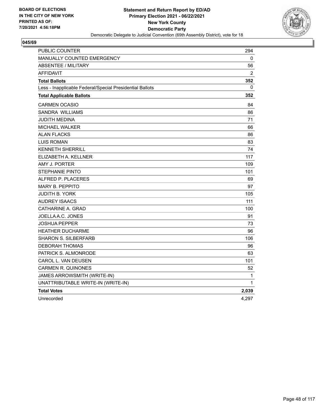

| <b>PUBLIC COUNTER</b>                                    | 294            |
|----------------------------------------------------------|----------------|
| <b>MANUALLY COUNTED EMERGENCY</b>                        | 0              |
| <b>ABSENTEE / MILITARY</b>                               | 56             |
| <b>AFFIDAVIT</b>                                         | $\overline{2}$ |
| <b>Total Ballots</b>                                     | 352            |
| Less - Inapplicable Federal/Special Presidential Ballots | $\Omega$       |
| <b>Total Applicable Ballots</b>                          | 352            |
| <b>CARMEN OCASIO</b>                                     | 84             |
| <b>SANDRA WILLIAMS</b>                                   | 86             |
| JUDITH MEDINA                                            | 71             |
| <b>MICHAEL WALKER</b>                                    | 66             |
| <b>ALAN FLACKS</b>                                       | 86             |
| <b>LUIS ROMAN</b>                                        | 83             |
| <b>KENNETH SHERRILL</b>                                  | 74             |
| ELIZABETH A. KELLNER                                     | 117            |
| AMY J. PORTER                                            | 109            |
| <b>STEPHANIE PINTO</b>                                   | 101            |
| ALFRED P. PLACERES                                       | 69             |
| <b>MARY B. PEPPITO</b>                                   | 97             |
| JUDITH B. YORK                                           | 105            |
| <b>AUDREY ISAACS</b>                                     | 111            |
| CATHARINE A. GRAD                                        | 100            |
| JOELLA A.C. JONES                                        | 91             |
| JOSHUA PEPPER                                            | 73             |
| <b>HEATHER DUCHARME</b>                                  | 96             |
| <b>SHARON S. SILBERFARB</b>                              | 106            |
| <b>DEBORAH THOMAS</b>                                    | 96             |
| PATRICK S. ALMONRODE                                     | 63             |
| CAROL L. VAN DEUSEN                                      | 101            |
| <b>CARMEN R. QUINONES</b>                                | 52             |
| JAMES ARROWSMITH (WRITE-IN)                              | 1              |
| UNATTRIBUTABLE WRITE-IN (WRITE-IN)                       | 1              |
| <b>Total Votes</b>                                       | 2,039          |
| Unrecorded                                               | 4,297          |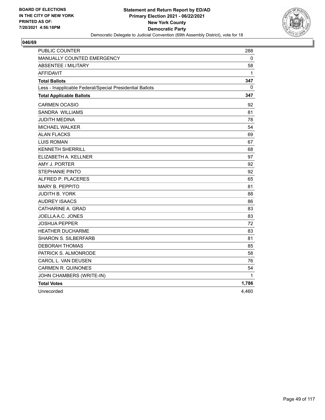

| PUBLIC COUNTER                                           | 288   |
|----------------------------------------------------------|-------|
| MANUALLY COUNTED EMERGENCY                               | 0     |
| <b>ABSENTEE / MILITARY</b>                               | 58    |
| AFFIDAVIT                                                | 1     |
| <b>Total Ballots</b>                                     | 347   |
| Less - Inapplicable Federal/Special Presidential Ballots | 0     |
| <b>Total Applicable Ballots</b>                          | 347   |
| <b>CARMEN OCASIO</b>                                     | 92    |
| SANDRA WILLIAMS                                          | 81    |
| JUDITH MEDINA                                            | 78    |
| MICHAEL WALKER                                           | 54    |
| <b>ALAN FLACKS</b>                                       | 69    |
| <b>LUIS ROMAN</b>                                        | 67    |
| <b>KENNETH SHERRILL</b>                                  | 68    |
| ELIZABETH A. KELLNER                                     | 97    |
| AMY J. PORTER                                            | 92    |
| <b>STEPHANIE PINTO</b>                                   | 92    |
| ALFRED P. PLACERES                                       | 65    |
| <b>MARY B. PEPPITO</b>                                   | 81    |
| <b>JUDITH B. YORK</b>                                    | 88    |
| <b>AUDREY ISAACS</b>                                     | 86    |
| CATHARINE A. GRAD                                        | 83    |
| JOELLA A.C. JONES                                        | 83    |
| JOSHUA PEPPER                                            | 72    |
| <b>HEATHER DUCHARME</b>                                  | 83    |
| <b>SHARON S. SILBERFARB</b>                              | 81    |
| <b>DEBORAH THOMAS</b>                                    | 85    |
| PATRICK S. ALMONRODE                                     | 58    |
| CAROL L. VAN DEUSEN                                      | 76    |
| <b>CARMEN R. QUINONES</b>                                | 54    |
| JOHN CHAMBERS (WRITE-IN)                                 | 1     |
| <b>Total Votes</b>                                       | 1,786 |
| Unrecorded                                               | 4,460 |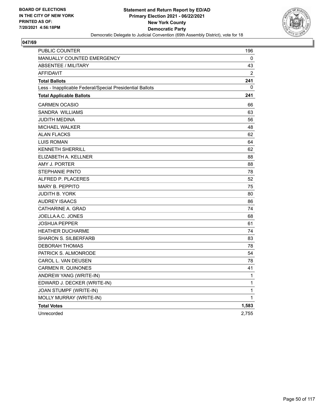

| PUBLIC COUNTER                                           | 196            |
|----------------------------------------------------------|----------------|
| MANUALLY COUNTED EMERGENCY                               | 0              |
| <b>ABSENTEE / MILITARY</b>                               | 43             |
| <b>AFFIDAVIT</b>                                         | $\overline{2}$ |
| <b>Total Ballots</b>                                     | 241            |
| Less - Inapplicable Federal/Special Presidential Ballots | 0              |
| <b>Total Applicable Ballots</b>                          | 241            |
| <b>CARMEN OCASIO</b>                                     | 66             |
| SANDRA WILLIAMS                                          | 63             |
| JUDITH MEDINA                                            | 56             |
| <b>MICHAEL WALKER</b>                                    | 48             |
| <b>ALAN FLACKS</b>                                       | 62             |
| <b>LUIS ROMAN</b>                                        | 64             |
| <b>KENNETH SHERRILL</b>                                  | 62             |
| ELIZABETH A. KELLNER                                     | 88             |
| AMY J. PORTER                                            | 88             |
| <b>STEPHANIE PINTO</b>                                   | 78             |
| ALFRED P. PLACERES                                       | 52             |
| <b>MARY B. PEPPITO</b>                                   | 75             |
| <b>JUDITH B. YORK</b>                                    | 80             |
| <b>AUDREY ISAACS</b>                                     | 86             |
| CATHARINE A. GRAD                                        | 74             |
| JOELLA A.C. JONES                                        | 68             |
| JOSHUA PEPPER                                            | 61             |
| <b>HEATHER DUCHARME</b>                                  | 74             |
| <b>SHARON S. SILBERFARB</b>                              | 83             |
| <b>DEBORAH THOMAS</b>                                    | 78             |
| PATRICK S. ALMONRODE                                     | 54             |
| CAROL L. VAN DEUSEN                                      | 78             |
| <b>CARMEN R. QUINONES</b>                                | 41             |
| ANDREW YANG (WRITE-IN)                                   | 1              |
| EDWARD J. DECKER (WRITE-IN)                              | 1              |
| JOAN STUMPF (WRITE-IN)                                   | 1              |
| MOLLY MURRAY (WRITE-IN)                                  | 1              |
| <b>Total Votes</b>                                       | 1,583          |
| Unrecorded                                               | 2,755          |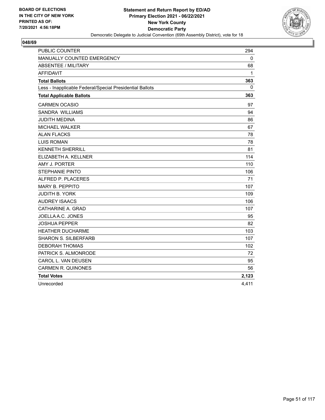

| <b>PUBLIC COUNTER</b>                                    | 294          |
|----------------------------------------------------------|--------------|
| <b>MANUALLY COUNTED EMERGENCY</b>                        | 0            |
| <b>ABSENTEE / MILITARY</b>                               | 68           |
| <b>AFFIDAVIT</b>                                         | 1            |
| <b>Total Ballots</b>                                     | 363          |
| Less - Inapplicable Federal/Special Presidential Ballots | $\mathbf{0}$ |
| <b>Total Applicable Ballots</b>                          | 363          |
| <b>CARMEN OCASIO</b>                                     | 97           |
| SANDRA WILLIAMS                                          | 94           |
| <b>JUDITH MEDINA</b>                                     | 86           |
| <b>MICHAEL WALKER</b>                                    | 67           |
| <b>ALAN FLACKS</b>                                       | 78           |
| <b>LUIS ROMAN</b>                                        | 78           |
| <b>KENNETH SHERRILL</b>                                  | 81           |
| ELIZABETH A. KELLNER                                     | 114          |
| AMY J. PORTER                                            | 110          |
| <b>STEPHANIE PINTO</b>                                   | 106          |
| ALFRED P. PLACERES                                       | 71           |
| <b>MARY B. PEPPITO</b>                                   | 107          |
| <b>JUDITH B. YORK</b>                                    | 109          |
| <b>AUDREY ISAACS</b>                                     | 106          |
| CATHARINE A. GRAD                                        | 107          |
| JOELLA A.C. JONES                                        | 95           |
| <b>JOSHUA PEPPER</b>                                     | 82           |
| <b>HEATHER DUCHARME</b>                                  | 103          |
| <b>SHARON S. SILBERFARB</b>                              | 107          |
| DEBORAH THOMAS                                           | 102          |
| PATRICK S. ALMONRODE                                     | 72           |
| CAROL L. VAN DEUSEN                                      | 95           |
| <b>CARMEN R. QUINONES</b>                                | 56           |
| <b>Total Votes</b>                                       | 2,123        |
| Unrecorded                                               | 4,411        |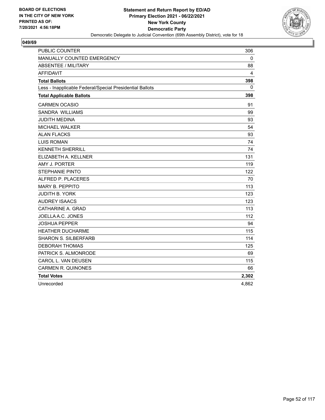

| <b>PUBLIC COUNTER</b>                                    | 306         |
|----------------------------------------------------------|-------------|
| MANUALLY COUNTED EMERGENCY                               | $\mathbf 0$ |
| <b>ABSENTEE / MILITARY</b>                               | 88          |
| <b>AFFIDAVIT</b>                                         | 4           |
| <b>Total Ballots</b>                                     | 398         |
| Less - Inapplicable Federal/Special Presidential Ballots | 0           |
| <b>Total Applicable Ballots</b>                          | 398         |
| <b>CARMEN OCASIO</b>                                     | 91          |
| <b>SANDRA WILLIAMS</b>                                   | 99          |
| <b>JUDITH MEDINA</b>                                     | 93          |
| <b>MICHAEL WALKER</b>                                    | 54          |
| <b>ALAN FLACKS</b>                                       | 93          |
| <b>LUIS ROMAN</b>                                        | 74          |
| <b>KENNETH SHERRILL</b>                                  | 74          |
| ELIZABETH A. KELLNER                                     | 131         |
| AMY J. PORTER                                            | 119         |
| <b>STEPHANIE PINTO</b>                                   | 122         |
| ALFRED P. PLACERES                                       | 70          |
| <b>MARY B. PEPPITO</b>                                   | 113         |
| <b>JUDITH B. YORK</b>                                    | 123         |
| <b>AUDREY ISAACS</b>                                     | 123         |
| CATHARINE A. GRAD                                        | 113         |
| JOELLA A.C. JONES                                        | 112         |
| <b>JOSHUA PEPPER</b>                                     | 94          |
| <b>HEATHER DUCHARME</b>                                  | 115         |
| <b>SHARON S. SILBERFARB</b>                              | 114         |
| <b>DEBORAH THOMAS</b>                                    | 125         |
| PATRICK S. ALMONRODE                                     | 69          |
| CAROL L. VAN DEUSEN                                      | 115         |
| <b>CARMEN R. QUINONES</b>                                | 66          |
| <b>Total Votes</b>                                       | 2,302       |
| Unrecorded                                               | 4,862       |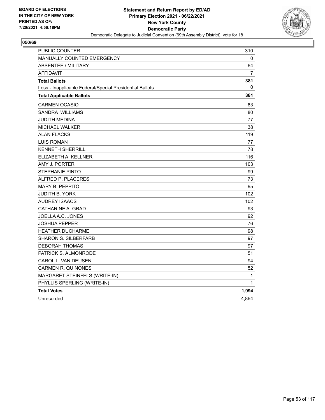

| <b>PUBLIC COUNTER</b>                                    | 310            |
|----------------------------------------------------------|----------------|
| <b>MANUALLY COUNTED EMERGENCY</b>                        | 0              |
| <b>ABSENTEE / MILITARY</b>                               | 64             |
| <b>AFFIDAVIT</b>                                         | $\overline{7}$ |
| <b>Total Ballots</b>                                     | 381            |
| Less - Inapplicable Federal/Special Presidential Ballots | 0              |
| <b>Total Applicable Ballots</b>                          | 381            |
| CARMEN OCASIO                                            | 83             |
| <b>SANDRA WILLIAMS</b>                                   | 80             |
| JUDITH MEDINA                                            | 77             |
| <b>MICHAEL WALKER</b>                                    | 38             |
| <b>ALAN FLACKS</b>                                       | 119            |
| <b>LUIS ROMAN</b>                                        | 77             |
| <b>KENNETH SHERRILL</b>                                  | 78             |
| ELIZABETH A. KELLNER                                     | 116            |
| AMY J. PORTER                                            | 103            |
| <b>STEPHANIE PINTO</b>                                   | 99             |
| ALFRED P. PLACERES                                       | 73             |
| <b>MARY B. PEPPITO</b>                                   | 95             |
| <b>JUDITH B. YORK</b>                                    | 102            |
| <b>AUDREY ISAACS</b>                                     | 102            |
| CATHARINE A. GRAD                                        | 93             |
| JOELLA A.C. JONES                                        | 92             |
| <b>JOSHUA PEPPER</b>                                     | 76             |
| <b>HEATHER DUCHARME</b>                                  | 98             |
| <b>SHARON S. SILBERFARB</b>                              | 97             |
| DEBORAH THOMAS                                           | 97             |
| PATRICK S. ALMONRODE                                     | 51             |
| CAROL L. VAN DEUSEN                                      | 94             |
| <b>CARMEN R. QUINONES</b>                                | 52             |
| MARGARET STEINFELS (WRITE-IN)                            | 1              |
| PHYLLIS SPERLING (WRITE-IN)                              | 1              |
| <b>Total Votes</b>                                       | 1,994          |
| Unrecorded                                               | 4,864          |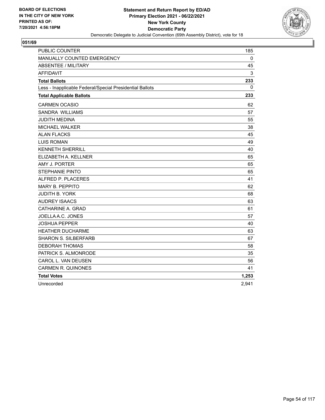

| <b>PUBLIC COUNTER</b>                                    | 185          |
|----------------------------------------------------------|--------------|
| MANUALLY COUNTED EMERGENCY                               | 0            |
| <b>ABSENTEE / MILITARY</b>                               | 45           |
| <b>AFFIDAVIT</b>                                         | 3            |
| <b>Total Ballots</b>                                     | 233          |
| Less - Inapplicable Federal/Special Presidential Ballots | $\mathbf{0}$ |
| <b>Total Applicable Ballots</b>                          | 233          |
| <b>CARMEN OCASIO</b>                                     | 62           |
| SANDRA WILLIAMS                                          | 57           |
| <b>JUDITH MEDINA</b>                                     | 55           |
| MICHAEL WALKER                                           | 38           |
| <b>ALAN FLACKS</b>                                       | 45           |
| <b>LUIS ROMAN</b>                                        | 49           |
| <b>KENNETH SHERRILL</b>                                  | 40           |
| ELIZABETH A. KELLNER                                     | 65           |
| AMY J. PORTER                                            | 65           |
| <b>STEPHANIE PINTO</b>                                   | 65           |
| ALFRED P. PLACERES                                       | 41           |
| <b>MARY B. PEPPITO</b>                                   | 62           |
| <b>JUDITH B. YORK</b>                                    | 68           |
| <b>AUDREY ISAACS</b>                                     | 63           |
| CATHARINE A. GRAD                                        | 61           |
| JOELLA A.C. JONES                                        | 57           |
| <b>JOSHUA PEPPER</b>                                     | 40           |
| <b>HEATHER DUCHARME</b>                                  | 63           |
| <b>SHARON S. SILBERFARB</b>                              | 67           |
| <b>DEBORAH THOMAS</b>                                    | 58           |
| PATRICK S. ALMONRODE                                     | 35           |
| CAROL L. VAN DEUSEN                                      | 56           |
| <b>CARMEN R. QUINONES</b>                                | 41           |
| <b>Total Votes</b>                                       | 1,253        |
| Unrecorded                                               | 2,941        |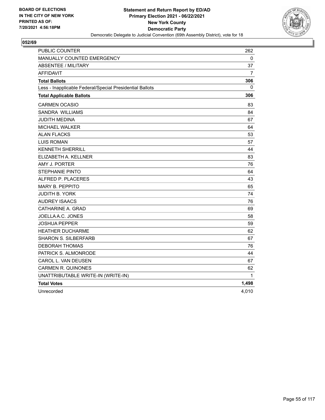

| PUBLIC COUNTER                                           | 262   |
|----------------------------------------------------------|-------|
| MANUALLY COUNTED EMERGENCY                               | 0     |
| <b>ABSENTEE / MILITARY</b>                               | 37    |
| <b>AFFIDAVIT</b>                                         | 7     |
| <b>Total Ballots</b>                                     | 306   |
| Less - Inapplicable Federal/Special Presidential Ballots | 0     |
| <b>Total Applicable Ballots</b>                          | 306   |
| <b>CARMEN OCASIO</b>                                     | 83    |
| SANDRA WILLIAMS                                          | 84    |
| JUDITH MEDINA                                            | 67    |
| MICHAEL WALKER                                           | 64    |
| <b>ALAN FLACKS</b>                                       | 53    |
| <b>LUIS ROMAN</b>                                        | 57    |
| <b>KENNETH SHERRILL</b>                                  | 44    |
| ELIZABETH A. KELLNER                                     | 83    |
| AMY J. PORTER                                            | 76    |
| <b>STEPHANIE PINTO</b>                                   | 64    |
| ALFRED P. PLACERES                                       | 43    |
| <b>MARY B. PEPPITO</b>                                   | 65    |
| <b>JUDITH B. YORK</b>                                    | 74    |
| <b>AUDREY ISAACS</b>                                     | 76    |
| CATHARINE A. GRAD                                        | 69    |
| JOELLA A.C. JONES                                        | 58    |
| JOSHUA PEPPER                                            | 59    |
| <b>HEATHER DUCHARME</b>                                  | 62    |
| <b>SHARON S. SILBERFARB</b>                              | 67    |
| <b>DEBORAH THOMAS</b>                                    | 76    |
| PATRICK S. ALMONRODE                                     | 44    |
| CAROL L. VAN DEUSEN                                      | 67    |
| <b>CARMEN R. QUINONES</b>                                | 62    |
| UNATTRIBUTABLE WRITE-IN (WRITE-IN)                       | 1     |
| <b>Total Votes</b>                                       | 1,498 |
| Unrecorded                                               | 4,010 |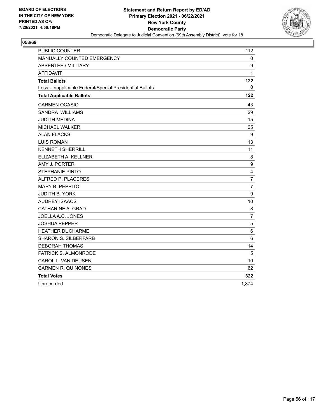

| <b>PUBLIC COUNTER</b>                                    | 112            |
|----------------------------------------------------------|----------------|
| MANUALLY COUNTED EMERGENCY                               | 0              |
| <b>ABSENTEE / MILITARY</b>                               | 9              |
| <b>AFFIDAVIT</b>                                         | 1              |
| <b>Total Ballots</b>                                     | 122            |
| Less - Inapplicable Federal/Special Presidential Ballots | $\Omega$       |
| <b>Total Applicable Ballots</b>                          | 122            |
| <b>CARMEN OCASIO</b>                                     | 43             |
| <b>SANDRA WILLIAMS</b>                                   | 29             |
| <b>JUDITH MEDINA</b>                                     | 15             |
| <b>MICHAEL WALKER</b>                                    | 25             |
| <b>ALAN FLACKS</b>                                       | 9              |
| <b>LUIS ROMAN</b>                                        | 13             |
| <b>KENNETH SHERRILL</b>                                  | 11             |
| ELIZABETH A. KELLNER                                     | 8              |
| AMY J. PORTER                                            | 9              |
| <b>STEPHANIE PINTO</b>                                   | 4              |
| ALFRED P. PLACERES                                       | $\overline{7}$ |
| <b>MARY B. PEPPITO</b>                                   | $\overline{7}$ |
| <b>JUDITH B. YORK</b>                                    | 9              |
| <b>AUDREY ISAACS</b>                                     | 10             |
| CATHARINE A. GRAD                                        | 8              |
| JOELLA A.C. JONES                                        | $\overline{7}$ |
| <b>JOSHUA PEPPER</b>                                     | 5              |
| <b>HEATHER DUCHARME</b>                                  | 6              |
| <b>SHARON S. SILBERFARB</b>                              | $6\phantom{1}$ |
| <b>DEBORAH THOMAS</b>                                    | 14             |
| PATRICK S. ALMONRODE                                     | 5              |
| CAROL L. VAN DEUSEN                                      | 10             |
| <b>CARMEN R. QUINONES</b>                                | 62             |
| <b>Total Votes</b>                                       | 322            |
| Unrecorded                                               | 1,874          |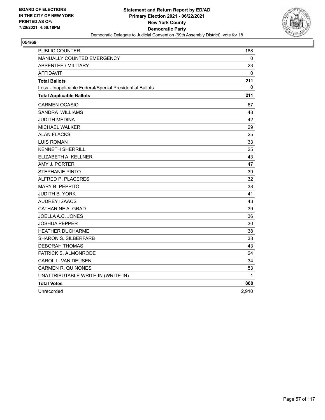

| PUBLIC COUNTER                                           | 188          |
|----------------------------------------------------------|--------------|
| MANUALLY COUNTED EMERGENCY                               | 0            |
| <b>ABSENTEE / MILITARY</b>                               | 23           |
| <b>AFFIDAVIT</b>                                         | $\mathbf{0}$ |
| <b>Total Ballots</b>                                     | 211          |
| Less - Inapplicable Federal/Special Presidential Ballots | 0            |
| <b>Total Applicable Ballots</b>                          | 211          |
| <b>CARMEN OCASIO</b>                                     | 67           |
| SANDRA WILLIAMS                                          | 48           |
| JUDITH MEDINA                                            | 42           |
| MICHAEL WALKER                                           | 29           |
| <b>ALAN FLACKS</b>                                       | 25           |
| <b>LUIS ROMAN</b>                                        | 33           |
| <b>KENNETH SHERRILL</b>                                  | 25           |
| ELIZABETH A. KELLNER                                     | 43           |
| AMY J. PORTER                                            | 47           |
| <b>STEPHANIE PINTO</b>                                   | 39           |
| ALFRED P. PLACERES                                       | 32           |
| <b>MARY B. PEPPITO</b>                                   | 38           |
| <b>JUDITH B. YORK</b>                                    | 41           |
| <b>AUDREY ISAACS</b>                                     | 43           |
| CATHARINE A. GRAD                                        | 39           |
| JOELLA A.C. JONES                                        | 36           |
| JOSHUA PEPPER                                            | 30           |
| <b>HEATHER DUCHARME</b>                                  | 38           |
| <b>SHARON S. SILBERFARB</b>                              | 38           |
| <b>DEBORAH THOMAS</b>                                    | 43           |
| PATRICK S. ALMONRODE                                     | 24           |
| CAROL L. VAN DEUSEN                                      | 34           |
| <b>CARMEN R. QUINONES</b>                                | 53           |
| UNATTRIBUTABLE WRITE-IN (WRITE-IN)                       | 1            |
| <b>Total Votes</b>                                       | 888          |
| Unrecorded                                               | 2,910        |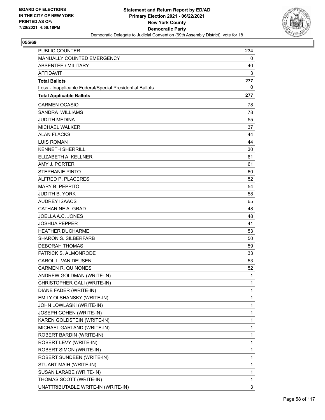

| PUBLIC COUNTER                                           | 234          |
|----------------------------------------------------------|--------------|
| MANUALLY COUNTED EMERGENCY                               | 0            |
| <b>ABSENTEE / MILITARY</b>                               | 40           |
| <b>AFFIDAVIT</b>                                         | 3            |
| <b>Total Ballots</b>                                     | 277          |
| Less - Inapplicable Federal/Special Presidential Ballots | 0            |
| <b>Total Applicable Ballots</b>                          | 277          |
| <b>CARMEN OCASIO</b>                                     | 78           |
| <b>SANDRA WILLIAMS</b>                                   | 78           |
| <b>JUDITH MEDINA</b>                                     | 55           |
| <b>MICHAEL WALKER</b>                                    | 37           |
| <b>ALAN FLACKS</b>                                       | 44           |
| <b>LUIS ROMAN</b>                                        | 44           |
| <b>KENNETH SHERRILL</b>                                  | 30           |
| ELIZABETH A. KELLNER                                     | 61           |
| AMY J. PORTER                                            | 61           |
| <b>STEPHANIE PINTO</b>                                   | 60           |
| ALFRED P. PLACERES                                       | 52           |
| MARY B. PEPPITO                                          | 54           |
| <b>JUDITH B. YORK</b>                                    | 58           |
| <b>AUDREY ISAACS</b>                                     | 65           |
| CATHARINE A. GRAD                                        | 48           |
| JOELLA A.C. JONES                                        | 48           |
| <b>JOSHUA PEPPER</b>                                     | 41           |
| <b>HEATHER DUCHARME</b>                                  | 53           |
| <b>SHARON S. SILBERFARB</b>                              | 50           |
| <b>DEBORAH THOMAS</b>                                    | 59           |
| PATRICK S. ALMONRODE                                     | 33           |
| CAROL L. VAN DEUSEN                                      | 53           |
| <b>CARMEN R. QUINONES</b>                                | 52           |
| ANDREW GOLDMAN (WRITE-IN)                                | 1            |
| CHRISTOPHER GALI (WRITE-IN)                              | 1            |
| DIANE FADER (WRITE-IN)                                   | 1            |
| EMILY OLSHANSKY (WRITE-IN)                               | 1            |
| JOHN LOWLASKI (WRITE-IN)                                 | $\mathbf{1}$ |
| JOSEPH COHEN (WRITE-IN)                                  | 1            |
| KAREN GOLDSTEIN (WRITE-IN)                               | 1            |
| MICHAEL GARLAND (WRITE-IN)                               | 1            |
| ROBERT BARDIN (WRITE-IN)                                 | 1            |
| ROBERT LEVY (WRITE-IN)                                   | 1            |
| ROBERT SIMON (WRITE-IN)                                  | $\mathbf 1$  |
| ROBERT SUNDEEN (WRITE-IN)                                | 1            |
| STUART MAIH (WRITE-IN)                                   | 1            |
| SUSAN LARABE (WRITE-IN)                                  | 1            |
| THOMAS SCOTT (WRITE-IN)                                  | 1            |
| UNATTRIBUTABLE WRITE-IN (WRITE-IN)                       | 3            |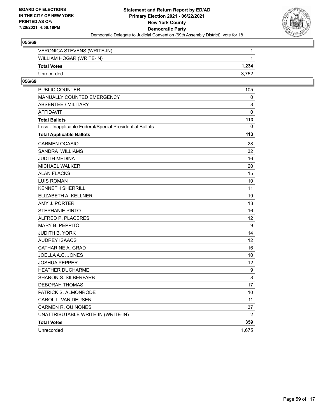

| VERONICA STEVENS (WRITE-IN) |       |
|-----------------------------|-------|
| WILLIAM HOGAR (WRITE-IN)    |       |
| <b>Total Votes</b>          | 1.234 |
| Unrecorded                  | 3.752 |

| <b>PUBLIC COUNTER</b>                                    | 105               |
|----------------------------------------------------------|-------------------|
| MANUALLY COUNTED EMERGENCY                               | 0                 |
| <b>ABSENTEE / MILITARY</b>                               | 8                 |
| AFFIDAVIT                                                | $\mathbf 0$       |
| <b>Total Ballots</b>                                     | 113               |
| Less - Inapplicable Federal/Special Presidential Ballots | 0                 |
| <b>Total Applicable Ballots</b>                          | 113               |
| <b>CARMEN OCASIO</b>                                     | 28                |
| SANDRA WILLIAMS                                          | 32                |
| JUDITH MEDINA                                            | 16                |
| <b>MICHAEL WALKER</b>                                    | 20                |
| <b>ALAN FLACKS</b>                                       | 15                |
| <b>LUIS ROMAN</b>                                        | 10                |
| <b>KENNETH SHERRILL</b>                                  | 11                |
| ELIZABETH A. KELLNER                                     | 19                |
| AMY J. PORTER                                            | 13                |
| <b>STEPHANIE PINTO</b>                                   | 16                |
| ALFRED P. PLACERES                                       | $12 \overline{ }$ |
| <b>MARY B. PEPPITO</b>                                   | 9                 |
| <b>JUDITH B. YORK</b>                                    | 14                |
| <b>AUDREY ISAACS</b>                                     | $12 \overline{ }$ |
| CATHARINE A. GRAD                                        | 16                |
| JOELLA A.C. JONES                                        | 10                |
| JOSHUA PEPPER                                            | 12 <sup>2</sup>   |
| <b>HEATHER DUCHARME</b>                                  | $\boldsymbol{9}$  |
| <b>SHARON S. SILBERFARB</b>                              | 8                 |
| <b>DEBORAH THOMAS</b>                                    | 17                |
| PATRICK S. ALMONRODE                                     | 10                |
| CAROL L. VAN DEUSEN                                      | 11                |
| <b>CARMEN R. QUINONES</b>                                | 37                |
| UNATTRIBUTABLE WRITE-IN (WRITE-IN)                       | $\overline{2}$    |
| <b>Total Votes</b>                                       | 359               |
| Unrecorded                                               | 1,675             |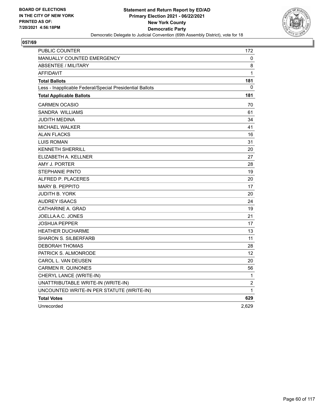

| <b>PUBLIC COUNTER</b>                                    | 172            |
|----------------------------------------------------------|----------------|
| <b>MANUALLY COUNTED EMERGENCY</b>                        | 0              |
| <b>ABSENTEE / MILITARY</b>                               | 8              |
| <b>AFFIDAVIT</b>                                         | 1              |
| <b>Total Ballots</b>                                     | 181            |
| Less - Inapplicable Federal/Special Presidential Ballots | 0              |
| <b>Total Applicable Ballots</b>                          | 181            |
| <b>CARMEN OCASIO</b>                                     | 70             |
| SANDRA WILLIAMS                                          | 61             |
| JUDITH MEDINA                                            | 34             |
| <b>MICHAEL WALKER</b>                                    | 41             |
| <b>ALAN FLACKS</b>                                       | 16             |
| <b>LUIS ROMAN</b>                                        | 31             |
| <b>KENNETH SHERRILL</b>                                  | 20             |
| ELIZABETH A. KELLNER                                     | 27             |
| AMY J. PORTER                                            | 28             |
| STEPHANIE PINTO                                          | 19             |
| ALFRED P. PLACERES                                       | 20             |
| <b>MARY B. PEPPITO</b>                                   | 17             |
| <b>JUDITH B. YORK</b>                                    | 20             |
| <b>AUDREY ISAACS</b>                                     | 24             |
| CATHARINE A. GRAD                                        | 19             |
| JOELLA A.C. JONES                                        | 21             |
| <b>JOSHUA PEPPER</b>                                     | 17             |
| <b>HEATHER DUCHARME</b>                                  | 13             |
| <b>SHARON S. SILBERFARB</b>                              | 11             |
| <b>DEBORAH THOMAS</b>                                    | 28             |
| PATRICK S. ALMONRODE                                     | 12             |
| CAROL L. VAN DEUSEN                                      | 20             |
| <b>CARMEN R. QUINONES</b>                                | 56             |
| CHERYL LANCE (WRITE-IN)                                  | 1              |
| UNATTRIBUTABLE WRITE-IN (WRITE-IN)                       | $\overline{2}$ |
| UNCOUNTED WRITE-IN PER STATUTE (WRITE-IN)                | 1              |
| <b>Total Votes</b>                                       | 629            |
| Unrecorded                                               | 2,629          |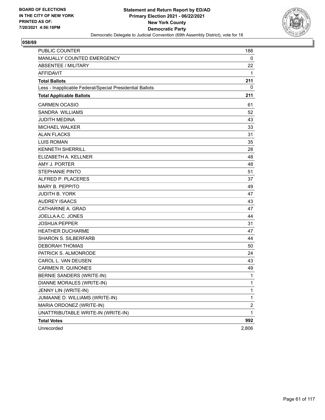

| PUBLIC COUNTER                                           | 188                     |
|----------------------------------------------------------|-------------------------|
| MANUALLY COUNTED EMERGENCY                               | 0                       |
| <b>ABSENTEE / MILITARY</b>                               | 22                      |
| <b>AFFIDAVIT</b>                                         | 1                       |
| <b>Total Ballots</b>                                     | 211                     |
| Less - Inapplicable Federal/Special Presidential Ballots | 0                       |
| <b>Total Applicable Ballots</b>                          | 211                     |
| <b>CARMEN OCASIO</b>                                     | 61                      |
| SANDRA WILLIAMS                                          | 52                      |
| <b>JUDITH MEDINA</b>                                     | 43                      |
| <b>MICHAEL WALKER</b>                                    | 33                      |
| <b>ALAN FLACKS</b>                                       | 31                      |
| <b>LUIS ROMAN</b>                                        | 35                      |
| <b>KENNETH SHERRILL</b>                                  | 28                      |
| ELIZABETH A. KELLNER                                     | 48                      |
| AMY J. PORTER                                            | 48                      |
| <b>STEPHANIE PINTO</b>                                   | 51                      |
| ALFRED P. PLACERES                                       | 37                      |
| <b>MARY B. PEPPITO</b>                                   | 49                      |
| <b>JUDITH B. YORK</b>                                    | 47                      |
| <b>AUDREY ISAACS</b>                                     | 43                      |
| CATHARINE A. GRAD                                        | 47                      |
| JOELLA A.C. JONES                                        | 44                      |
| <b>JOSHUA PEPPER</b>                                     | 31                      |
| <b>HEATHER DUCHARME</b>                                  | 47                      |
| <b>SHARON S. SILBERFARB</b>                              | 44                      |
| <b>DEBORAH THOMAS</b>                                    | 50                      |
| PATRICK S. ALMONRODE                                     | 24                      |
| CAROL L. VAN DEUSEN                                      | 43                      |
| <b>CARMEN R. QUINONES</b>                                | 49                      |
| BERNIE SANDERS (WRITE-IN)                                | 1                       |
| DIANNE MORALES (WRITE-IN)                                | 1                       |
| JENNY LIN (WRITE-IN)                                     | 1                       |
| JUMAANE D. WILLIAMS (WRITE-IN)                           | 1                       |
| MARIA ORDONEZ (WRITE-IN)                                 | $\overline{\mathbf{c}}$ |
| UNATTRIBUTABLE WRITE-IN (WRITE-IN)                       | 1                       |
| <b>Total Votes</b>                                       | 992                     |
| Unrecorded                                               | 2,806                   |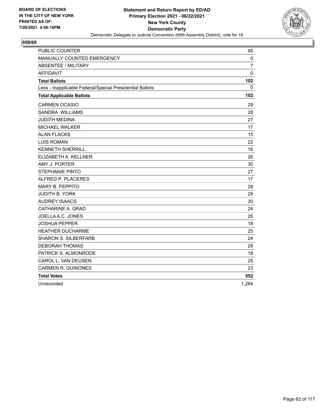

| <b>PUBLIC COUNTER</b>                                    | 95             |
|----------------------------------------------------------|----------------|
| MANUALLY COUNTED EMERGENCY                               | $\mathbf 0$    |
| <b>ABSENTEE / MILITARY</b>                               | $\overline{7}$ |
| <b>AFFIDAVIT</b>                                         | $\mathbf 0$    |
| <b>Total Ballots</b>                                     | 102            |
| Less - Inapplicable Federal/Special Presidential Ballots | $\Omega$       |
| <b>Total Applicable Ballots</b>                          | 102            |
| <b>CARMEN OCASIO</b>                                     | 29             |
| <b>SANDRA WILLIAMS</b>                                   | 28             |
| <b>JUDITH MEDINA</b>                                     | 27             |
| <b>MICHAEL WALKER</b>                                    | 17             |
| <b>ALAN FLACKS</b>                                       | 15             |
| <b>LUIS ROMAN</b>                                        | 22             |
| <b>KENNETH SHERRILL</b>                                  | 16             |
| ELIZABETH A. KELLNER                                     | 26             |
| AMY J. PORTER                                            | 30             |
| <b>STEPHANIE PINTO</b>                                   | 27             |
| ALFRED P. PLACERES                                       | 17             |
| <b>MARY B. PEPPITO</b>                                   | 28             |
| <b>JUDITH B. YORK</b>                                    | 28             |
| <b>AUDREY ISAACS</b>                                     | 30             |
| CATHARINE A. GRAD                                        | 24             |
| JOELLA A.C. JONES                                        | 26             |
| <b>JOSHUA PEPPER</b>                                     | 18             |
| <b>HEATHER DUCHARME</b>                                  | 25             |
| <b>SHARON S. SILBERFARB</b>                              | 24             |
| <b>DEBORAH THOMAS</b>                                    | 29             |
| PATRICK S. ALMONRODE                                     | 18             |
| CAROL L. VAN DEUSEN                                      | 25             |
| <b>CARMEN R. QUINONES</b>                                | 23             |
| <b>Total Votes</b>                                       | 552            |
| Unrecorded                                               | 1,284          |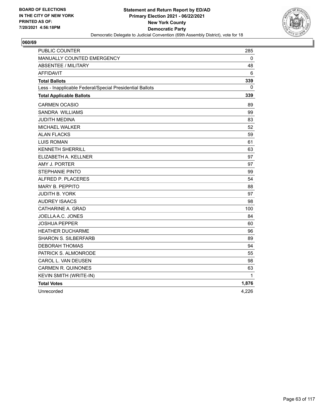

| PUBLIC COUNTER                                           | 285   |
|----------------------------------------------------------|-------|
| MANUALLY COUNTED EMERGENCY                               | 0     |
| <b>ABSENTEE / MILITARY</b>                               | 48    |
| <b>AFFIDAVIT</b>                                         | 6     |
| <b>Total Ballots</b>                                     | 339   |
| Less - Inapplicable Federal/Special Presidential Ballots | 0     |
| <b>Total Applicable Ballots</b>                          | 339   |
| <b>CARMEN OCASIO</b>                                     | 89    |
| SANDRA WILLIAMS                                          | 99    |
| JUDITH MEDINA                                            | 83    |
| <b>MICHAEL WALKER</b>                                    | 52    |
| <b>ALAN FLACKS</b>                                       | 59    |
| <b>LUIS ROMAN</b>                                        | 61    |
| <b>KENNETH SHERRILL</b>                                  | 63    |
| ELIZABETH A. KELLNER                                     | 97    |
| AMY J. PORTER                                            | 97    |
| <b>STEPHANIE PINTO</b>                                   | 99    |
| ALFRED P. PLACERES                                       | 54    |
| <b>MARY B. PEPPITO</b>                                   | 88    |
| <b>JUDITH B. YORK</b>                                    | 97    |
| <b>AUDREY ISAACS</b>                                     | 98    |
| CATHARINE A. GRAD                                        | 100   |
| JOELLA A.C. JONES                                        | 84    |
| JOSHUA PEPPER                                            | 60    |
| <b>HEATHER DUCHARME</b>                                  | 96    |
| <b>SHARON S. SILBERFARB</b>                              | 89    |
| <b>DEBORAH THOMAS</b>                                    | 94    |
| PATRICK S. ALMONRODE                                     | 55    |
| CAROL L. VAN DEUSEN                                      | 98    |
| <b>CARMEN R. QUINONES</b>                                | 63    |
| KEVIN SMITH (WRITE-IN)                                   | 1     |
| <b>Total Votes</b>                                       | 1,876 |
| Unrecorded                                               | 4,226 |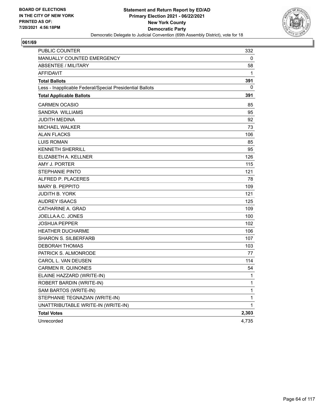

| <b>PUBLIC COUNTER</b>                                    | 332          |
|----------------------------------------------------------|--------------|
| MANUALLY COUNTED EMERGENCY                               | 0            |
| <b>ABSENTEE / MILITARY</b>                               | 58           |
| <b>AFFIDAVIT</b>                                         | 1            |
| <b>Total Ballots</b>                                     | 391          |
| Less - Inapplicable Federal/Special Presidential Ballots | 0            |
| <b>Total Applicable Ballots</b>                          | 391          |
| <b>CARMEN OCASIO</b>                                     | 85           |
| SANDRA WILLIAMS                                          | 95           |
| JUDITH MEDINA                                            | 92           |
| <b>MICHAEL WALKER</b>                                    | 73           |
| <b>ALAN FLACKS</b>                                       | 106          |
| <b>LUIS ROMAN</b>                                        | 85           |
| <b>KENNETH SHERRILL</b>                                  | 95           |
| ELIZABETH A. KELLNER                                     | 126          |
| AMY J. PORTER                                            | 115          |
| <b>STEPHANIE PINTO</b>                                   | 121          |
| ALFRED P. PLACERES                                       | 78           |
| <b>MARY B. PEPPITO</b>                                   | 109          |
| <b>JUDITH B. YORK</b>                                    | 121          |
| <b>AUDREY ISAACS</b>                                     | 125          |
| CATHARINE A. GRAD                                        | 109          |
| JOELLA A.C. JONES                                        | 100          |
| <b>JOSHUA PEPPER</b>                                     | 102          |
| <b>HEATHER DUCHARME</b>                                  | 106          |
| <b>SHARON S. SILBERFARB</b>                              | 107          |
| <b>DEBORAH THOMAS</b>                                    | 103          |
| PATRICK S. ALMONRODE                                     | 77           |
| CAROL L. VAN DEUSEN                                      | 114          |
| <b>CARMEN R. QUINONES</b>                                | 54           |
| ELAINE HAZZARD (WRITE-IN)                                | 1            |
| ROBERT BARDIN (WRITE-IN)                                 | $\mathbf{1}$ |
| SAM BARTOS (WRITE-IN)                                    | 1            |
| STEPHANIE TEGNAZIAN (WRITE-IN)                           | 1            |
| UNATTRIBUTABLE WRITE-IN (WRITE-IN)                       | 1            |
| <b>Total Votes</b>                                       | 2,303        |
| Unrecorded                                               | 4,735        |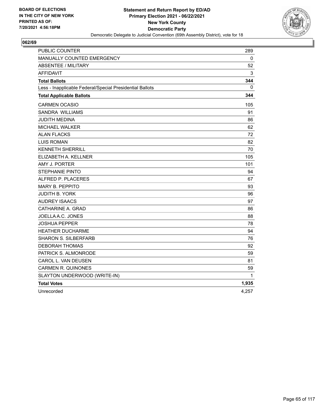

| <b>PUBLIC COUNTER</b>                                    | 289   |
|----------------------------------------------------------|-------|
| MANUALLY COUNTED EMERGENCY                               | 0     |
| <b>ABSENTEE / MILITARY</b>                               | 52    |
| <b>AFFIDAVIT</b>                                         | 3     |
| <b>Total Ballots</b>                                     | 344   |
| Less - Inapplicable Federal/Special Presidential Ballots | 0     |
| <b>Total Applicable Ballots</b>                          | 344   |
| <b>CARMEN OCASIO</b>                                     | 105   |
| SANDRA WILLIAMS                                          | 91    |
| JUDITH MEDINA                                            | 86    |
| MICHAEL WALKER                                           | 62    |
| <b>ALAN FLACKS</b>                                       | 72    |
| <b>LUIS ROMAN</b>                                        | 82    |
| <b>KENNETH SHERRILL</b>                                  | 70    |
| ELIZABETH A. KELLNER                                     | 105   |
| AMY J. PORTER                                            | 101   |
| <b>STEPHANIE PINTO</b>                                   | 94    |
| ALFRED P. PLACERES                                       | 67    |
| <b>MARY B. PEPPITO</b>                                   | 93    |
| <b>JUDITH B. YORK</b>                                    | 96    |
| <b>AUDREY ISAACS</b>                                     | 97    |
| CATHARINE A. GRAD                                        | 86    |
| JOELLA A.C. JONES                                        | 88    |
| JOSHUA PEPPER                                            | 78    |
| <b>HEATHER DUCHARME</b>                                  | 94    |
| <b>SHARON S. SILBERFARB</b>                              | 76    |
| <b>DEBORAH THOMAS</b>                                    | 92    |
| PATRICK S. ALMONRODE                                     | 59    |
| CAROL L. VAN DEUSEN                                      | 81    |
| <b>CARMEN R. QUINONES</b>                                | 59    |
| SLAYTON UNDERWOOD (WRITE-IN)                             | 1     |
| <b>Total Votes</b>                                       | 1,935 |
| Unrecorded                                               | 4,257 |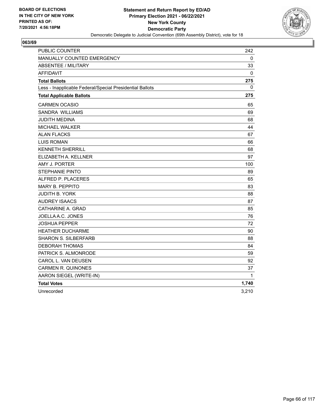

| PUBLIC COUNTER                                           | 242   |
|----------------------------------------------------------|-------|
| MANUALLY COUNTED EMERGENCY                               | 0     |
| <b>ABSENTEE / MILITARY</b>                               | 33    |
| <b>AFFIDAVIT</b>                                         | 0     |
| <b>Total Ballots</b>                                     | 275   |
| Less - Inapplicable Federal/Special Presidential Ballots | 0     |
| <b>Total Applicable Ballots</b>                          | 275   |
| <b>CARMEN OCASIO</b>                                     | 65    |
| SANDRA WILLIAMS                                          | 69    |
| JUDITH MEDINA                                            | 68    |
| MICHAEL WALKER                                           | 44    |
| <b>ALAN FLACKS</b>                                       | 67    |
| <b>LUIS ROMAN</b>                                        | 66    |
| <b>KENNETH SHERRILL</b>                                  | 68    |
| ELIZABETH A. KELLNER                                     | 97    |
| AMY J. PORTER                                            | 100   |
| <b>STEPHANIE PINTO</b>                                   | 89    |
| ALFRED P. PLACERES                                       | 65    |
| <b>MARY B. PEPPITO</b>                                   | 83    |
| JUDITH B. YORK                                           | 88    |
| <b>AUDREY ISAACS</b>                                     | 87    |
| CATHARINE A. GRAD                                        | 85    |
| JOELLA A.C. JONES                                        | 76    |
| JOSHUA PEPPER                                            | 72    |
| <b>HEATHER DUCHARME</b>                                  | 90    |
| <b>SHARON S. SILBERFARB</b>                              | 88    |
| <b>DEBORAH THOMAS</b>                                    | 84    |
| PATRICK S. ALMONRODE                                     | 59    |
| CAROL L. VAN DEUSEN                                      | 92    |
| <b>CARMEN R. QUINONES</b>                                | 37    |
| AARON SIEGEL (WRITE-IN)                                  | 1     |
| <b>Total Votes</b>                                       | 1,740 |
| Unrecorded                                               | 3,210 |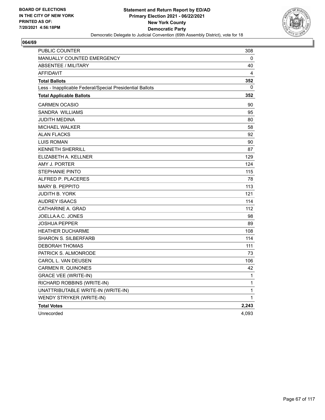

| PUBLIC COUNTER                                           | 308          |
|----------------------------------------------------------|--------------|
| MANUALLY COUNTED EMERGENCY                               | 0            |
| <b>ABSENTEE / MILITARY</b>                               | 40           |
| <b>AFFIDAVIT</b>                                         | 4            |
| <b>Total Ballots</b>                                     | 352          |
| Less - Inapplicable Federal/Special Presidential Ballots | 0            |
| <b>Total Applicable Ballots</b>                          | 352          |
| <b>CARMEN OCASIO</b>                                     | 90           |
| SANDRA WILLIAMS                                          | 95           |
| JUDITH MEDINA                                            | 80           |
| <b>MICHAEL WALKER</b>                                    | 58           |
| <b>ALAN FLACKS</b>                                       | 92           |
| <b>LUIS ROMAN</b>                                        | 90           |
| <b>KENNETH SHERRILL</b>                                  | 87           |
| ELIZABETH A. KELLNER                                     | 129          |
| AMY J. PORTER                                            | 124          |
| <b>STEPHANIE PINTO</b>                                   | 115          |
| ALFRED P. PLACERES                                       | 78           |
| <b>MARY B. PEPPITO</b>                                   | 113          |
| <b>JUDITH B. YORK</b>                                    | 121          |
| <b>AUDREY ISAACS</b>                                     | 114          |
| CATHARINE A. GRAD                                        | 112          |
| JOELLA A.C. JONES                                        | 98           |
| <b>JOSHUA PEPPER</b>                                     | 89           |
| <b>HEATHER DUCHARME</b>                                  | 108          |
| <b>SHARON S. SILBERFARB</b>                              | 114          |
| <b>DEBORAH THOMAS</b>                                    | 111          |
| PATRICK S. ALMONRODE                                     | 73           |
| CAROL L. VAN DEUSEN                                      | 106          |
| <b>CARMEN R. QUINONES</b>                                | 42           |
| <b>GRACE VEE (WRITE-IN)</b>                              | $\mathbf{1}$ |
| RICHARD ROBBINS (WRITE-IN)                               | $\mathbf{1}$ |
| UNATTRIBUTABLE WRITE-IN (WRITE-IN)                       | $\mathbf{1}$ |
| WENDY STRYKER (WRITE-IN)                                 | 1            |
| <b>Total Votes</b>                                       | 2,243        |
| Unrecorded                                               | 4,093        |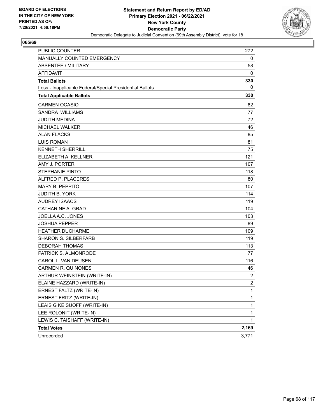

| <b>PUBLIC COUNTER</b>                                    | 272            |
|----------------------------------------------------------|----------------|
| MANUALLY COUNTED EMERGENCY                               | 0              |
| <b>ABSENTEE / MILITARY</b>                               | 58             |
| <b>AFFIDAVIT</b>                                         | 0              |
| <b>Total Ballots</b>                                     | 330            |
| Less - Inapplicable Federal/Special Presidential Ballots | 0              |
| <b>Total Applicable Ballots</b>                          | 330            |
| <b>CARMEN OCASIO</b>                                     | 82             |
| SANDRA WILLIAMS                                          | 77             |
| <b>JUDITH MEDINA</b>                                     | 72             |
| <b>MICHAEL WALKER</b>                                    | 46             |
| <b>ALAN FLACKS</b>                                       | 85             |
| <b>LUIS ROMAN</b>                                        | 81             |
| <b>KENNETH SHERRILL</b>                                  | 75             |
| ELIZABETH A. KELLNER                                     | 121            |
| AMY J. PORTER                                            | 107            |
| <b>STEPHANIE PINTO</b>                                   | 118            |
| ALFRED P. PLACERES                                       | 80             |
| <b>MARY B. PEPPITO</b>                                   | 107            |
| <b>JUDITH B. YORK</b>                                    | 114            |
| <b>AUDREY ISAACS</b>                                     | 119            |
| CATHARINE A. GRAD                                        | 104            |
| JOELLA A.C. JONES                                        | 103            |
| <b>JOSHUA PEPPER</b>                                     | 89             |
| <b>HEATHER DUCHARME</b>                                  | 109            |
| <b>SHARON S. SILBERFARB</b>                              | 119            |
| <b>DEBORAH THOMAS</b>                                    | 113            |
| PATRICK S. ALMONRODE                                     | 77             |
| CAROL L. VAN DEUSEN                                      | 116            |
| <b>CARMEN R. QUINONES</b>                                | 46             |
| ARTHUR WEINSTEIN (WRITE-IN)                              | $\overline{c}$ |
| ELAINE HAZZARD (WRITE-IN)                                | $\overline{2}$ |
| ERNEST FALTZ (WRITE-IN)                                  | 1              |
| ERNEST FRITZ (WRITE-IN)                                  | 1              |
| LEAIS G KEISUOFF (WRITE-IN)                              | 1              |
| LEE ROLONIT (WRITE-IN)                                   | 1              |
| LEWIS C. TAISHAFF (WRITE-IN)                             | $\mathbf{1}$   |
| <b>Total Votes</b>                                       | 2,169          |
| Unrecorded                                               | 3,771          |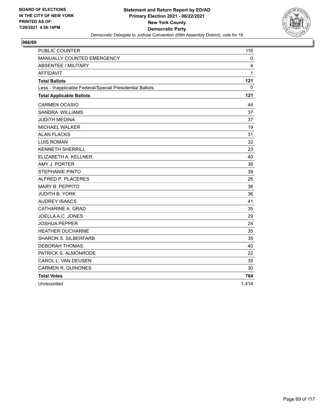

| <b>PUBLIC COUNTER</b>                                    | 116          |
|----------------------------------------------------------|--------------|
| MANUALLY COUNTED EMERGENCY                               | 0            |
| <b>ABSENTEE / MILITARY</b>                               | 4            |
| <b>AFFIDAVIT</b>                                         | $\mathbf{1}$ |
| <b>Total Ballots</b>                                     | 121          |
| Less - Inapplicable Federal/Special Presidential Ballots | $\Omega$     |
| <b>Total Applicable Ballots</b>                          | 121          |
| <b>CARMEN OCASIO</b>                                     | 44           |
| <b>SANDRA WILLIAMS</b>                                   | 37           |
| <b>JUDITH MEDINA</b>                                     | 37           |
| <b>MICHAEL WALKER</b>                                    | 19           |
| <b>ALAN FLACKS</b>                                       | 31           |
| <b>LUIS ROMAN</b>                                        | 32           |
| <b>KENNETH SHERRILL</b>                                  | 23           |
| ELIZABETH A. KELLNER                                     | 40           |
| AMY J. PORTER                                            | 38           |
| <b>STEPHANIE PINTO</b>                                   | 39           |
| ALFRED P. PLACERES                                       | 26           |
| <b>MARY B. PEPPITO</b>                                   | 36           |
| <b>JUDITH B. YORK</b>                                    | 36           |
| <b>AUDREY ISAACS</b>                                     | 41           |
| CATHARINE A. GRAD                                        | 35           |
| JOELLA A.C. JONES                                        | 29           |
| <b>JOSHUA PEPPER</b>                                     | 24           |
| <b>HEATHER DUCHARME</b>                                  | 35           |
| <b>SHARON S. SILBERFARB</b>                              | 35           |
| <b>DEBORAH THOMAS</b>                                    | 40           |
| PATRICK S. ALMONRODE                                     | 22           |
| CAROL L. VAN DEUSEN                                      | 35           |
| <b>CARMEN R. QUINONES</b>                                | 30           |
| <b>Total Votes</b>                                       | 764          |
| Unrecorded                                               | 1,414        |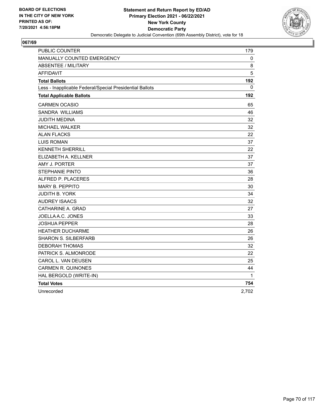

| <b>PUBLIC COUNTER</b>                                    | 179   |
|----------------------------------------------------------|-------|
| <b>MANUALLY COUNTED EMERGENCY</b>                        | 0     |
| <b>ABSENTEE / MILITARY</b>                               | 8     |
| <b>AFFIDAVIT</b>                                         | 5     |
| <b>Total Ballots</b>                                     | 192   |
| Less - Inapplicable Federal/Special Presidential Ballots | 0     |
| <b>Total Applicable Ballots</b>                          | 192   |
| <b>CARMEN OCASIO</b>                                     | 65    |
| SANDRA WILLIAMS                                          | 46    |
| <b>JUDITH MEDINA</b>                                     | 32    |
| MICHAEL WALKER                                           | 32    |
| <b>ALAN FLACKS</b>                                       | 22    |
| <b>LUIS ROMAN</b>                                        | 37    |
| <b>KENNETH SHERRILL</b>                                  | 22    |
| ELIZABETH A. KELLNER                                     | 37    |
| AMY J. PORTER                                            | 37    |
| <b>STEPHANIE PINTO</b>                                   | 36    |
| ALFRED P. PLACERES                                       | 28    |
| MARY B. PEPPITO                                          | 30    |
| JUDITH B. YORK                                           | 34    |
| <b>AUDREY ISAACS</b>                                     | 32    |
| CATHARINE A. GRAD                                        | 27    |
| JOELLA A.C. JONES                                        | 33    |
| <b>JOSHUA PEPPER</b>                                     | 28    |
| <b>HEATHER DUCHARME</b>                                  | 26    |
| <b>SHARON S. SILBERFARB</b>                              | 26    |
| <b>DEBORAH THOMAS</b>                                    | 32    |
| PATRICK S. ALMONRODE                                     | 22    |
| CAROL L. VAN DEUSEN                                      | 25    |
| <b>CARMEN R. QUINONES</b>                                | 44    |
| HAL BERGOLD (WRITE-IN)                                   | 1     |
| <b>Total Votes</b>                                       | 754   |
| Unrecorded                                               | 2,702 |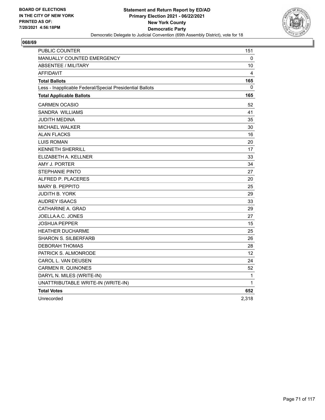

| <b>PUBLIC COUNTER</b>                                    | 151      |
|----------------------------------------------------------|----------|
| <b>MANUALLY COUNTED EMERGENCY</b>                        | 0        |
| <b>ABSENTEE / MILITARY</b>                               | 10       |
| <b>AFFIDAVIT</b>                                         | 4        |
| <b>Total Ballots</b>                                     | 165      |
| Less - Inapplicable Federal/Special Presidential Ballots | $\Omega$ |
| <b>Total Applicable Ballots</b>                          | 165      |
| <b>CARMEN OCASIO</b>                                     | 52       |
| <b>SANDRA WILLIAMS</b>                                   | 41       |
| JUDITH MEDINA                                            | 35       |
| <b>MICHAEL WALKER</b>                                    | 30       |
| <b>ALAN FLACKS</b>                                       | 16       |
| <b>LUIS ROMAN</b>                                        | 20       |
| <b>KENNETH SHERRILL</b>                                  | 17       |
| ELIZABETH A. KELLNER                                     | 33       |
| AMY J. PORTER                                            | 34       |
| <b>STEPHANIE PINTO</b>                                   | 27       |
| ALFRED P. PLACERES                                       | 20       |
| <b>MARY B. PEPPITO</b>                                   | 25       |
| JUDITH B. YORK                                           | 29       |
| <b>AUDREY ISAACS</b>                                     | 33       |
| CATHARINE A. GRAD                                        | 29       |
| JOELLA A.C. JONES                                        | 27       |
| <b>JOSHUA PEPPER</b>                                     | 15       |
| <b>HEATHER DUCHARME</b>                                  | 25       |
| <b>SHARON S. SILBERFARB</b>                              | 26       |
| <b>DEBORAH THOMAS</b>                                    | 28       |
| PATRICK S. ALMONRODE                                     | 12       |
| CAROL L. VAN DEUSEN                                      | 24       |
| <b>CARMEN R. QUINONES</b>                                | 52       |
| DARYL N. MILES (WRITE-IN)                                | 1        |
| UNATTRIBUTABLE WRITE-IN (WRITE-IN)                       | 1        |
| <b>Total Votes</b>                                       | 652      |
| Unrecorded                                               | 2,318    |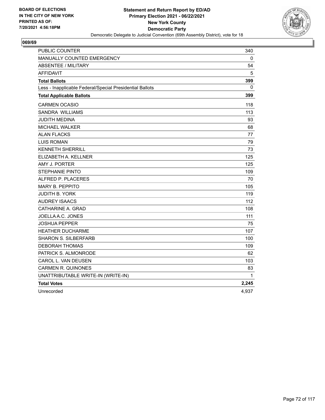

| <b>PUBLIC COUNTER</b>                                    | 340   |
|----------------------------------------------------------|-------|
| MANUALLY COUNTED EMERGENCY                               | 0     |
| <b>ABSENTEE / MILITARY</b>                               | 54    |
| <b>AFFIDAVIT</b>                                         | 5     |
| <b>Total Ballots</b>                                     | 399   |
| Less - Inapplicable Federal/Special Presidential Ballots | 0     |
| <b>Total Applicable Ballots</b>                          | 399   |
| <b>CARMEN OCASIO</b>                                     | 118   |
| <b>SANDRA WILLIAMS</b>                                   | 113   |
| <b>JUDITH MEDINA</b>                                     | 93    |
| MICHAEL WALKER                                           | 68    |
| <b>ALAN FLACKS</b>                                       | 77    |
| <b>LUIS ROMAN</b>                                        | 79    |
| <b>KENNETH SHERRILL</b>                                  | 73    |
| ELIZABETH A. KELLNER                                     | 125   |
| AMY J. PORTER                                            | 125   |
| <b>STEPHANIE PINTO</b>                                   | 109   |
| ALFRED P. PLACERES                                       | 70    |
| <b>MARY B. PEPPITO</b>                                   | 105   |
| <b>JUDITH B. YORK</b>                                    | 119   |
| <b>AUDREY ISAACS</b>                                     | 112   |
| CATHARINE A. GRAD                                        | 108   |
| JOELLA A.C. JONES                                        | 111   |
| JOSHUA PEPPER                                            | 75    |
| <b>HEATHER DUCHARME</b>                                  | 107   |
| <b>SHARON S. SILBERFARB</b>                              | 100   |
| <b>DEBORAH THOMAS</b>                                    | 109   |
| PATRICK S. ALMONRODE                                     | 62    |
| CAROL L. VAN DEUSEN                                      | 103   |
| <b>CARMEN R. QUINONES</b>                                | 83    |
| UNATTRIBUTABLE WRITE-IN (WRITE-IN)                       | 1     |
| <b>Total Votes</b>                                       | 2,245 |
| Unrecorded                                               | 4,937 |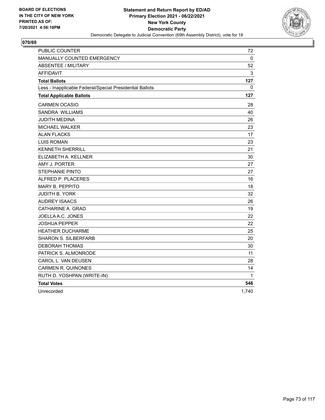

| PUBLIC COUNTER                                           | 72    |
|----------------------------------------------------------|-------|
| MANUALLY COUNTED EMERGENCY                               | 0     |
| ABSENTEE / MILITARY                                      | 52    |
| <b>AFFIDAVIT</b>                                         | 3     |
| <b>Total Ballots</b>                                     | 127   |
| Less - Inapplicable Federal/Special Presidential Ballots | 0     |
| <b>Total Applicable Ballots</b>                          | 127   |
| <b>CARMEN OCASIO</b>                                     | 28    |
| SANDRA WILLIAMS                                          | 40    |
| JUDITH MEDINA                                            | 26    |
| MICHAEL WALKER                                           | 23    |
| <b>ALAN FLACKS</b>                                       | 17    |
| <b>LUIS ROMAN</b>                                        | 23    |
| <b>KENNETH SHERRILL</b>                                  | 21    |
| ELIZABETH A. KELLNER                                     | 30    |
| AMY J. PORTER                                            | 27    |
| <b>STEPHANIE PINTO</b>                                   | 27    |
| ALFRED P. PLACERES                                       | 16    |
| <b>MARY B. PEPPITO</b>                                   | 18    |
| <b>JUDITH B. YORK</b>                                    | 32    |
| <b>AUDREY ISAACS</b>                                     | 26    |
| CATHARINE A. GRAD                                        | 19    |
| JOELLA A.C. JONES                                        | 22    |
| <b>JOSHUA PEPPER</b>                                     | 22    |
| HEATHER DUCHARME                                         | 25    |
| <b>SHARON S. SILBERFARB</b>                              | 20    |
| <b>DEBORAH THOMAS</b>                                    | 30    |
| PATRICK S. ALMONRODE                                     | 11    |
| CAROL L. VAN DEUSEN                                      | 28    |
| <b>CARMEN R. QUINONES</b>                                | 14    |
| RUTH D. YOSHPAN (WRITE-IN)                               | 1     |
| <b>Total Votes</b>                                       | 546   |
| Unrecorded                                               | 1,740 |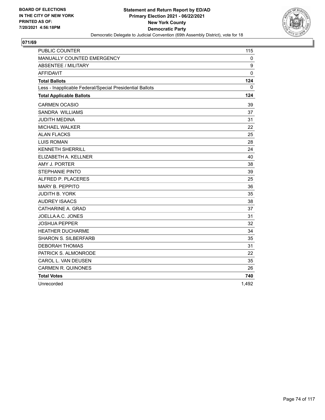

| PUBLIC COUNTER                                           | 115          |
|----------------------------------------------------------|--------------|
| MANUALLY COUNTED EMERGENCY                               | 0            |
| <b>ABSENTEE / MILITARY</b>                               | 9            |
| <b>AFFIDAVIT</b>                                         | $\mathbf{0}$ |
| <b>Total Ballots</b>                                     | 124          |
| Less - Inapplicable Federal/Special Presidential Ballots | 0            |
| <b>Total Applicable Ballots</b>                          | 124          |
| <b>CARMEN OCASIO</b>                                     | 39           |
| <b>SANDRA WILLIAMS</b>                                   | 37           |
| <b>JUDITH MEDINA</b>                                     | 31           |
| MICHAEL WALKER                                           | 22           |
| <b>ALAN FLACKS</b>                                       | 25           |
| <b>LUIS ROMAN</b>                                        | 28           |
| <b>KENNETH SHERRILL</b>                                  | 24           |
| ELIZABETH A. KELLNER                                     | 40           |
| AMY J. PORTER                                            | 38           |
| <b>STEPHANIE PINTO</b>                                   | 39           |
| ALFRED P. PLACERES                                       | 25           |
| <b>MARY B. PEPPITO</b>                                   | 36           |
| <b>JUDITH B. YORK</b>                                    | 35           |
| <b>AUDREY ISAACS</b>                                     | 38           |
| CATHARINE A. GRAD                                        | 37           |
| JOELLA A.C. JONES                                        | 31           |
| <b>JOSHUA PEPPER</b>                                     | 32           |
| <b>HEATHER DUCHARME</b>                                  | 34           |
| <b>SHARON S. SILBERFARB</b>                              | 35           |
| <b>DEBORAH THOMAS</b>                                    | 31           |
| PATRICK S. ALMONRODE                                     | 22           |
| CAROL L. VAN DEUSEN                                      | 35           |
| <b>CARMEN R. QUINONES</b>                                | 26           |
| <b>Total Votes</b>                                       | 740          |
| Unrecorded                                               | 1,492        |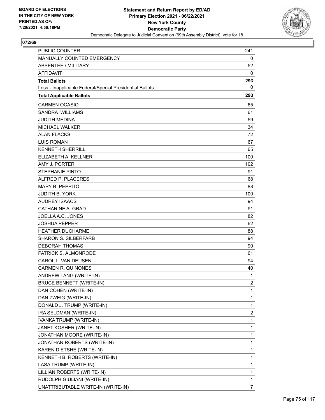

| PUBLIC COUNTER                                           | 241            |
|----------------------------------------------------------|----------------|
| MANUALLY COUNTED EMERGENCY                               | 0              |
| <b>ABSENTEE / MILITARY</b>                               | 52             |
| <b>AFFIDAVIT</b>                                         | 0              |
| <b>Total Ballots</b>                                     | 293            |
| Less - Inapplicable Federal/Special Presidential Ballots | 0              |
| <b>Total Applicable Ballots</b>                          | 293            |
| <b>CARMEN OCASIO</b>                                     | 65             |
| <b>SANDRA WILLIAMS</b>                                   | 61             |
| <b>JUDITH MEDINA</b>                                     | 59             |
| <b>MICHAEL WALKER</b>                                    | 34             |
| <b>ALAN FLACKS</b>                                       | 72             |
| <b>LUIS ROMAN</b>                                        | 67             |
| <b>KENNETH SHERRILL</b>                                  | 65             |
| ELIZABETH A. KELLNER                                     | 100            |
| AMY J. PORTER                                            | 102            |
| <b>STEPHANIE PINTO</b>                                   | 91             |
| ALFRED P. PLACERES                                       | 68             |
| <b>MARY B. PEPPITO</b>                                   | 88             |
| <b>JUDITH B. YORK</b>                                    | 100            |
| <b>AUDREY ISAACS</b>                                     | 94             |
| CATHARINE A. GRAD                                        | 91             |
| JOELLA A.C. JONES                                        | 82             |
| <b>JOSHUA PEPPER</b>                                     | 62             |
| <b>HEATHER DUCHARME</b>                                  | 88             |
| <b>SHARON S. SILBERFARB</b>                              | 94             |
| DEBORAH THOMAS                                           | 90             |
| PATRICK S. ALMONRODE                                     | 61             |
| CAROL L. VAN DEUSEN                                      | 94             |
| <b>CARMEN R. QUINONES</b>                                | 40             |
| ANDREW LANG (WRITE-IN)                                   | 1              |
| <b>BRUCE BENNETT (WRITE-IN)</b>                          | $\overline{2}$ |
| DAN COHEN (WRITE-IN)                                     | 1              |
| DAN ZWEIG (WRITE-IN)                                     | 1              |
| DONALD J. TRUMP (WRITE-IN)                               | 1              |
| IRA SELDMAN (WRITE-IN)                                   | 2              |
| IVANKA TRUMP (WRITE-IN)                                  | 1              |
| JANET KOSHER (WRITE-IN)                                  | 1              |
| JONATHAN MOORE (WRITE-IN)                                | $\mathbf{1}$   |
| JONATHAN ROBERTS (WRITE-IN)                              | 1              |
| KAREN DIETSHE (WRITE-IN)                                 | 1              |
| KENNETH B. ROBERTS (WRITE-IN)                            | 1              |
| LASA TRUMP (WRITE-IN)                                    | 1              |
| LILLIAN ROBERTS (WRITE-IN)                               | 1              |
| RUDOLPH GIULIANI (WRITE-IN)                              | 1              |
| UNATTRIBUTABLE WRITE-IN (WRITE-IN)                       | $\overline{7}$ |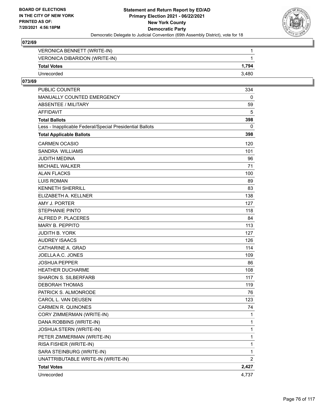

| VERONICA BENNETT (WRITE-IN)   |       |
|-------------------------------|-------|
| VERONICA DIBARIDON (WRITE-IN) |       |
| <b>Total Votes</b>            | 1.794 |
| Unrecorded                    | 3.480 |

| PUBLIC COUNTER                                           | 334            |
|----------------------------------------------------------|----------------|
| MANUALLY COUNTED EMERGENCY                               | 0              |
| <b>ABSENTEE / MILITARY</b>                               | 59             |
| <b>AFFIDAVIT</b>                                         | 5              |
| <b>Total Ballots</b>                                     | 398            |
| Less - Inapplicable Federal/Special Presidential Ballots | 0              |
| <b>Total Applicable Ballots</b>                          | 398            |
| <b>CARMEN OCASIO</b>                                     | 120            |
| <b>SANDRA WILLIAMS</b>                                   | 101            |
| <b>JUDITH MEDINA</b>                                     | 96             |
| MICHAEL WALKER                                           | 71             |
| <b>ALAN FLACKS</b>                                       | 100            |
| <b>LUIS ROMAN</b>                                        | 89             |
| <b>KENNETH SHERRILL</b>                                  | 83             |
| ELIZABETH A. KELLNER                                     | 138            |
| AMY J. PORTER                                            | 127            |
| <b>STEPHANIE PINTO</b>                                   | 118            |
| ALFRED P. PLACERES                                       | 84             |
| MARY B. PEPPITO                                          | 113            |
| <b>JUDITH B. YORK</b>                                    | 127            |
| <b>AUDREY ISAACS</b>                                     | 126            |
| CATHARINE A. GRAD                                        | 114            |
| JOELLA A.C. JONES                                        | 109            |
| <b>JOSHUA PEPPER</b>                                     | 86             |
| <b>HEATHER DUCHARME</b>                                  | 108            |
| <b>SHARON S. SILBERFARB</b>                              | 117            |
| <b>DEBORAH THOMAS</b>                                    | 119            |
| PATRICK S. ALMONRODE                                     | 76             |
| CAROL L. VAN DEUSEN                                      | 123            |
| <b>CARMEN R. QUINONES</b>                                | 74             |
| CORY ZIMMERMAN (WRITE-IN)                                | 1              |
| DANA ROBBINS (WRITE-IN)                                  | 1              |
| JOSHUA STERN (WRITE-IN)                                  | 1              |
| PETER ZIMMERMAN (WRITE-IN)                               | 1              |
| RISA FISHER (WRITE-IN)                                   | 1              |
| SARA STEINBURG (WRITE-IN)                                | 1              |
| UNATTRIBUTABLE WRITE-IN (WRITE-IN)                       | $\overline{2}$ |
| <b>Total Votes</b>                                       | 2,427          |
| Unrecorded                                               | 4,737          |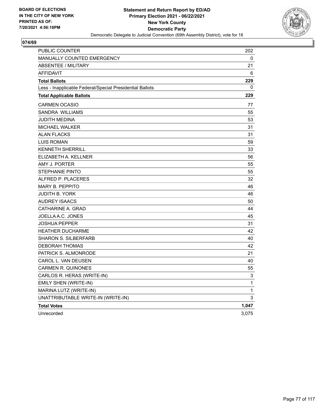

| PUBLIC COUNTER                                           | 202          |
|----------------------------------------------------------|--------------|
| MANUALLY COUNTED EMERGENCY                               | 0            |
| <b>ABSENTEE / MILITARY</b>                               | 21           |
| <b>AFFIDAVIT</b>                                         | 6            |
| <b>Total Ballots</b>                                     | 229          |
| Less - Inapplicable Federal/Special Presidential Ballots | 0            |
| <b>Total Applicable Ballots</b>                          | 229          |
| <b>CARMEN OCASIO</b>                                     | 77           |
| SANDRA WILLIAMS                                          | 55           |
| JUDITH MEDINA                                            | 53           |
| <b>MICHAEL WALKER</b>                                    | 31           |
| <b>ALAN FLACKS</b>                                       | 31           |
| <b>LUIS ROMAN</b>                                        | 59           |
| <b>KENNETH SHERRILL</b>                                  | 33           |
| ELIZABETH A. KELLNER                                     | 56           |
| AMY J. PORTER                                            | 55           |
| <b>STEPHANIE PINTO</b>                                   | 55           |
| ALFRED P. PLACERES                                       | 32           |
| MARY B. PEPPITO                                          | 46           |
| <b>JUDITH B. YORK</b>                                    | 46           |
| <b>AUDREY ISAACS</b>                                     | 50           |
| CATHARINE A. GRAD                                        | 44           |
| JOELLA A.C. JONES                                        | 45           |
| <b>JOSHUA PEPPER</b>                                     | 31           |
| <b>HEATHER DUCHARME</b>                                  | 42           |
| <b>SHARON S. SILBERFARB</b>                              | 40           |
| <b>DEBORAH THOMAS</b>                                    | 42           |
| PATRICK S. ALMONRODE                                     | 21           |
| CAROL L. VAN DEUSEN                                      | 40           |
| <b>CARMEN R. QUINONES</b>                                | 55           |
| CARLOS R. HERAS (WRITE-IN)                               | 3            |
| EMILY SHEN (WRITE-IN)                                    | $\mathbf{1}$ |
| MARINA LUTZ (WRITE-IN)                                   | 1            |
| UNATTRIBUTABLE WRITE-IN (WRITE-IN)                       | 3            |
| <b>Total Votes</b>                                       | 1,047        |
| Unrecorded                                               | 3,075        |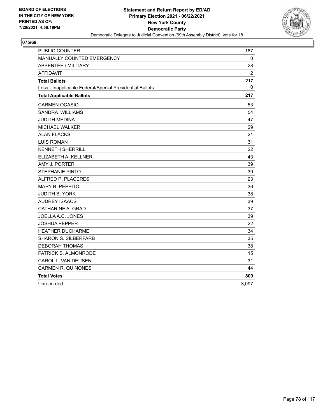

| <b>PUBLIC COUNTER</b>                                    | 187          |
|----------------------------------------------------------|--------------|
| MANUALLY COUNTED EMERGENCY                               | $\mathbf{0}$ |
| <b>ABSENTEE / MILITARY</b>                               | 28           |
| <b>AFFIDAVIT</b>                                         | 2            |
| <b>Total Ballots</b>                                     | 217          |
| Less - Inapplicable Federal/Special Presidential Ballots | 0            |
| <b>Total Applicable Ballots</b>                          | 217          |
| <b>CARMEN OCASIO</b>                                     | 53           |
| <b>SANDRA WILLIAMS</b>                                   | 54           |
| <b>JUDITH MEDINA</b>                                     | 47           |
| <b>MICHAEL WALKER</b>                                    | 29           |
| <b>ALAN FLACKS</b>                                       | 21           |
| <b>LUIS ROMAN</b>                                        | 31           |
| <b>KENNETH SHERRILL</b>                                  | 22           |
| ELIZABETH A. KELLNER                                     | 43           |
| AMY J. PORTER                                            | 39           |
| <b>STEPHANIE PINTO</b>                                   | 39           |
| ALFRED P. PLACERES                                       | 23           |
| <b>MARY B. PEPPITO</b>                                   | 36           |
| <b>JUDITH B. YORK</b>                                    | 38           |
| <b>AUDREY ISAACS</b>                                     | 39           |
| CATHARINE A. GRAD                                        | 37           |
| JOELLA A.C. JONES                                        | 39           |
| <b>JOSHUA PEPPER</b>                                     | 22           |
| <b>HEATHER DUCHARME</b>                                  | 34           |
| <b>SHARON S. SILBERFARB</b>                              | 35           |
| <b>DEBORAH THOMAS</b>                                    | 38           |
| PATRICK S. ALMONRODE                                     | 15           |
| CAROL L. VAN DEUSEN                                      | 31           |
| <b>CARMEN R. QUINONES</b>                                | 44           |
| <b>Total Votes</b>                                       | 809          |
| Unrecorded                                               | 3,097        |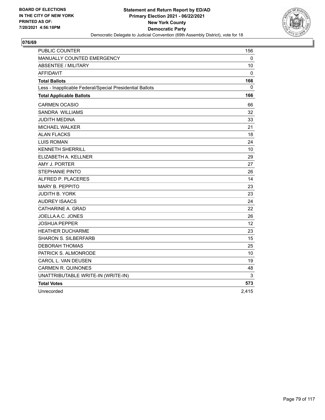

| PUBLIC COUNTER                                           | 156   |
|----------------------------------------------------------|-------|
| MANUALLY COUNTED EMERGENCY                               | 0     |
| <b>ABSENTEE / MILITARY</b>                               | 10    |
| <b>AFFIDAVIT</b>                                         | 0     |
| <b>Total Ballots</b>                                     | 166   |
| Less - Inapplicable Federal/Special Presidential Ballots | 0     |
| <b>Total Applicable Ballots</b>                          | 166   |
| <b>CARMEN OCASIO</b>                                     | 66    |
| SANDRA WILLIAMS                                          | 32    |
| JUDITH MEDINA                                            | 33    |
| MICHAEL WALKER                                           | 21    |
| <b>ALAN FLACKS</b>                                       | 18    |
| <b>LUIS ROMAN</b>                                        | 24    |
| <b>KENNETH SHERRILL</b>                                  | 10    |
| ELIZABETH A. KELLNER                                     | 29    |
| AMY J. PORTER                                            | 27    |
| <b>STEPHANIE PINTO</b>                                   | 26    |
| ALFRED P. PLACERES                                       | 14    |
| <b>MARY B. PEPPITO</b>                                   | 23    |
| JUDITH B. YORK                                           | 23    |
| <b>AUDREY ISAACS</b>                                     | 24    |
| CATHARINE A. GRAD                                        | 22    |
| JOELLA A.C. JONES                                        | 26    |
| JOSHUA PEPPER                                            | 12    |
| <b>HEATHER DUCHARME</b>                                  | 23    |
| <b>SHARON S. SILBERFARB</b>                              | 15    |
| <b>DEBORAH THOMAS</b>                                    | 25    |
| PATRICK S. ALMONRODE                                     | 10    |
| CAROL L. VAN DEUSEN                                      | 19    |
| <b>CARMEN R. QUINONES</b>                                | 48    |
| UNATTRIBUTABLE WRITE-IN (WRITE-IN)                       | 3     |
| <b>Total Votes</b>                                       | 573   |
| Unrecorded                                               | 2,415 |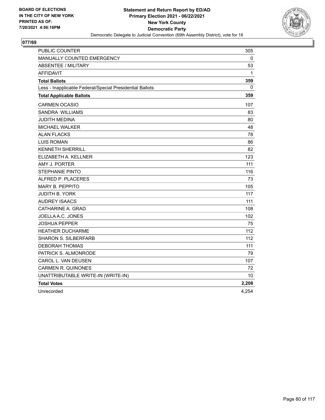

| PUBLIC COUNTER                                           | 305          |
|----------------------------------------------------------|--------------|
| MANUALLY COUNTED EMERGENCY                               | 0            |
| <b>ABSENTEE / MILITARY</b>                               | 53           |
| <b>AFFIDAVIT</b>                                         | $\mathbf{1}$ |
| <b>Total Ballots</b>                                     | 359          |
| Less - Inapplicable Federal/Special Presidential Ballots | 0            |
| <b>Total Applicable Ballots</b>                          | 359          |
| <b>CARMEN OCASIO</b>                                     | 107          |
| <b>SANDRA WILLIAMS</b>                                   | 83           |
| JUDITH MEDINA                                            | 80           |
| <b>MICHAEL WALKER</b>                                    | 48           |
| <b>ALAN FLACKS</b>                                       | 78           |
| <b>LUIS ROMAN</b>                                        | 86           |
| <b>KENNETH SHERRILL</b>                                  | 82           |
| ELIZABETH A. KELLNER                                     | 123          |
| AMY J. PORTER                                            | 111          |
| <b>STEPHANIE PINTO</b>                                   | 116          |
| ALFRED P. PLACERES                                       | 73           |
| <b>MARY B. PEPPITO</b>                                   | 105          |
| JUDITH B. YORK                                           | 117          |
| <b>AUDREY ISAACS</b>                                     | 111          |
| CATHARINE A. GRAD                                        | 108          |
| JOELLA A.C. JONES                                        | 102          |
| JOSHUA PEPPER                                            | 75           |
| <b>HEATHER DUCHARME</b>                                  | 112          |
| <b>SHARON S. SILBERFARB</b>                              | 112          |
| <b>DEBORAH THOMAS</b>                                    | 111          |
| PATRICK S. ALMONRODE                                     | 79           |
| CAROL L. VAN DEUSEN                                      | 107          |
| <b>CARMEN R. QUINONES</b>                                | 72           |
| UNATTRIBUTABLE WRITE-IN (WRITE-IN)                       | 10           |
| <b>Total Votes</b>                                       | 2,208        |
| Unrecorded                                               | 4,254        |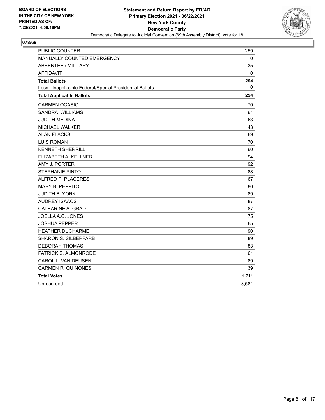

| <b>PUBLIC COUNTER</b>                                    | 259          |
|----------------------------------------------------------|--------------|
| MANUALLY COUNTED EMERGENCY                               | 0            |
| <b>ABSENTEE / MILITARY</b>                               | 35           |
| <b>AFFIDAVIT</b>                                         | 0            |
| <b>Total Ballots</b>                                     | 294          |
| Less - Inapplicable Federal/Special Presidential Ballots | $\mathbf{0}$ |
| <b>Total Applicable Ballots</b>                          | 294          |
| <b>CARMEN OCASIO</b>                                     | 70           |
| <b>SANDRA WILLIAMS</b>                                   | 61           |
| <b>JUDITH MEDINA</b>                                     | 63           |
| <b>MICHAEL WALKER</b>                                    | 43           |
| <b>ALAN FLACKS</b>                                       | 69           |
| <b>LUIS ROMAN</b>                                        | 70           |
| <b>KENNETH SHERRILL</b>                                  | 60           |
| ELIZABETH A. KELLNER                                     | 94           |
| AMY J. PORTER                                            | 92           |
| <b>STEPHANIE PINTO</b>                                   | 88           |
| ALFRED P. PLACERES                                       | 67           |
| <b>MARY B. PEPPITO</b>                                   | 80           |
| <b>JUDITH B. YORK</b>                                    | 89           |
| <b>AUDREY ISAACS</b>                                     | 87           |
| CATHARINE A. GRAD                                        | 87           |
| JOELLA A.C. JONES                                        | 75           |
| <b>JOSHUA PEPPER</b>                                     | 65           |
| <b>HEATHER DUCHARME</b>                                  | 90           |
| <b>SHARON S. SILBERFARB</b>                              | 89           |
| <b>DEBORAH THOMAS</b>                                    | 83           |
| PATRICK S. ALMONRODE                                     | 61           |
| CAROL L. VAN DEUSEN                                      | 89           |
| <b>CARMEN R. QUINONES</b>                                | 39           |
| <b>Total Votes</b>                                       | 1,711        |
| Unrecorded                                               | 3,581        |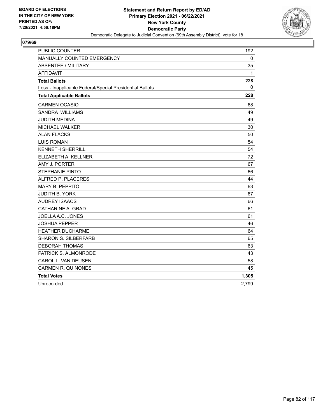

| <b>PUBLIC COUNTER</b>                                    | 192      |
|----------------------------------------------------------|----------|
| MANUALLY COUNTED EMERGENCY                               | 0        |
| <b>ABSENTEE / MILITARY</b>                               | 35       |
| <b>AFFIDAVIT</b>                                         | 1        |
| <b>Total Ballots</b>                                     | 228      |
| Less - Inapplicable Federal/Special Presidential Ballots | $\Omega$ |
| <b>Total Applicable Ballots</b>                          | 228      |
| <b>CARMEN OCASIO</b>                                     | 68       |
| SANDRA WILLIAMS                                          | 49       |
| <b>JUDITH MEDINA</b>                                     | 49       |
| <b>MICHAEL WALKER</b>                                    | 30       |
| <b>ALAN FLACKS</b>                                       | 50       |
| <b>LUIS ROMAN</b>                                        | 54       |
| <b>KENNETH SHERRILL</b>                                  | 54       |
| ELIZABETH A. KELLNER                                     | 72       |
| AMY J. PORTER                                            | 67       |
| <b>STEPHANIE PINTO</b>                                   | 66       |
| ALFRED P. PLACERES                                       | 44       |
| <b>MARY B. PEPPITO</b>                                   | 63       |
| <b>JUDITH B. YORK</b>                                    | 67       |
| <b>AUDREY ISAACS</b>                                     | 66       |
| CATHARINE A. GRAD                                        | 61       |
| JOELLA A.C. JONES                                        | 61       |
| <b>JOSHUA PEPPER</b>                                     | 46       |
| <b>HEATHER DUCHARME</b>                                  | 64       |
| <b>SHARON S. SILBERFARB</b>                              | 65       |
| <b>DEBORAH THOMAS</b>                                    | 63       |
| PATRICK S. ALMONRODE                                     | 43       |
| CAROL L. VAN DEUSEN                                      | 58       |
| <b>CARMEN R. QUINONES</b>                                | 45       |
| <b>Total Votes</b>                                       | 1,305    |
| Unrecorded                                               | 2.799    |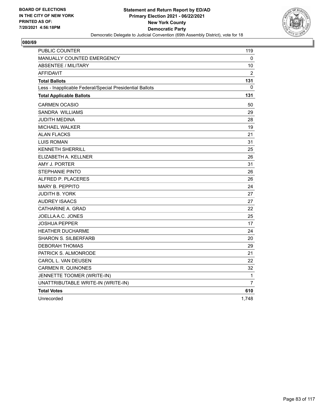

| <b>PUBLIC COUNTER</b>                                    | 119            |
|----------------------------------------------------------|----------------|
| <b>MANUALLY COUNTED EMERGENCY</b>                        | 0              |
| <b>ABSENTEE / MILITARY</b>                               | 10             |
| <b>AFFIDAVIT</b>                                         | $\overline{2}$ |
| <b>Total Ballots</b>                                     | 131            |
| Less - Inapplicable Federal/Special Presidential Ballots | 0              |
| <b>Total Applicable Ballots</b>                          | 131            |
| CARMEN OCASIO                                            | 50             |
| <b>SANDRA WILLIAMS</b>                                   | 29             |
| JUDITH MEDINA                                            | 28             |
| <b>MICHAEL WALKER</b>                                    | 19             |
| <b>ALAN FLACKS</b>                                       | 21             |
| <b>LUIS ROMAN</b>                                        | 31             |
| <b>KENNETH SHERRILL</b>                                  | 25             |
| ELIZABETH A. KELLNER                                     | 26             |
| AMY J. PORTER                                            | 31             |
| <b>STEPHANIE PINTO</b>                                   | 26             |
| ALFRED P. PLACERES                                       | 26             |
| <b>MARY B. PEPPITO</b>                                   | 24             |
| JUDITH B. YORK                                           | 27             |
| <b>AUDREY ISAACS</b>                                     | 27             |
| CATHARINE A. GRAD                                        | 22             |
| JOELLA A.C. JONES                                        | 25             |
| <b>JOSHUA PEPPER</b>                                     | 17             |
| <b>HEATHER DUCHARME</b>                                  | 24             |
| <b>SHARON S. SILBERFARB</b>                              | 20             |
| DEBORAH THOMAS                                           | 29             |
| PATRICK S. ALMONRODE                                     | 21             |
| CAROL L. VAN DEUSEN                                      | 22             |
| <b>CARMEN R. QUINONES</b>                                | 32             |
| JENNETTE TOOMER (WRITE-IN)                               | 1              |
| UNATTRIBUTABLE WRITE-IN (WRITE-IN)                       | 7              |
| <b>Total Votes</b>                                       | 610            |
| Unrecorded                                               | 1,748          |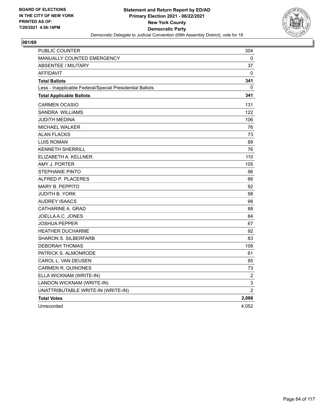

| PUBLIC COUNTER                                           | 304            |
|----------------------------------------------------------|----------------|
| <b>MANUALLY COUNTED EMERGENCY</b>                        | 0              |
| ABSENTEE / MILITARY                                      | 37             |
| <b>AFFIDAVIT</b>                                         | 0              |
| <b>Total Ballots</b>                                     | 341            |
| Less - Inapplicable Federal/Special Presidential Ballots | 0              |
| <b>Total Applicable Ballots</b>                          | 341            |
| <b>CARMEN OCASIO</b>                                     | 131            |
| <b>SANDRA WILLIAMS</b>                                   | 122            |
| <b>JUDITH MEDINA</b>                                     | 106            |
| <b>MICHAEL WALKER</b>                                    | 76             |
| <b>ALAN FLACKS</b>                                       | 73             |
| <b>LUIS ROMAN</b>                                        | 89             |
| KENNETH SHERRILL                                         | 76             |
| ELIZABETH A. KELLNER                                     | 110            |
| AMY J. PORTER                                            | 105            |
| <b>STEPHANIE PINTO</b>                                   | 96             |
| ALFRED P. PLACERES                                       | 66             |
| <b>MARY B. PEPPITO</b>                                   | 92             |
| JUDITH B. YORK                                           | 98             |
| <b>AUDREY ISAACS</b>                                     | 98             |
| CATHARINE A. GRAD                                        | 88             |
| JOELLA A.C. JONES                                        | 84             |
| <b>JOSHUA PEPPER</b>                                     | 67             |
| <b>HEATHER DUCHARME</b>                                  | 92             |
| <b>SHARON S. SILBERFARB</b>                              | 83             |
| <b>DEBORAH THOMAS</b>                                    | 108            |
| PATRICK S. ALMONRODE                                     | 61             |
| CAROL L. VAN DEUSEN                                      | 85             |
| CARMEN R. QUINONES                                       | 73             |
| ELLA WICKNAM (WRITE-IN)                                  | $\overline{c}$ |
| LANDON WICKNAM (WRITE-IN)                                | $\mathsf 3$    |
| UNATTRIBUTABLE WRITE-IN (WRITE-IN)                       | $\overline{2}$ |
| <b>Total Votes</b>                                       | 2,086          |
| Unrecorded                                               | 4,052          |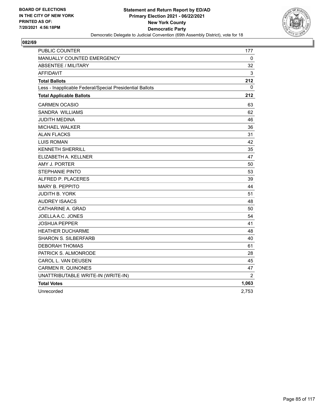

| PUBLIC COUNTER                                           | 177            |
|----------------------------------------------------------|----------------|
| MANUALLY COUNTED EMERGENCY                               | 0              |
| <b>ABSENTEE / MILITARY</b>                               | 32             |
| <b>AFFIDAVIT</b>                                         | 3              |
| <b>Total Ballots</b>                                     | 212            |
| Less - Inapplicable Federal/Special Presidential Ballots | 0              |
| <b>Total Applicable Ballots</b>                          | 212            |
| <b>CARMEN OCASIO</b>                                     | 63             |
| SANDRA WILLIAMS                                          | 62             |
| JUDITH MEDINA                                            | 46             |
| MICHAEL WALKER                                           | 36             |
| <b>ALAN FLACKS</b>                                       | 31             |
| <b>LUIS ROMAN</b>                                        | 42             |
| <b>KENNETH SHERRILL</b>                                  | 35             |
| ELIZABETH A. KELLNER                                     | 47             |
| AMY J. PORTER                                            | 50             |
| <b>STEPHANIE PINTO</b>                                   | 53             |
| ALFRED P. PLACERES                                       | 39             |
| <b>MARY B. PEPPITO</b>                                   | 44             |
| <b>JUDITH B. YORK</b>                                    | 51             |
| <b>AUDREY ISAACS</b>                                     | 48             |
| CATHARINE A. GRAD                                        | 50             |
| JOELLA A.C. JONES                                        | 54             |
| JOSHUA PEPPER                                            | 41             |
| <b>HEATHER DUCHARME</b>                                  | 48             |
| <b>SHARON S. SILBERFARB</b>                              | 40             |
| <b>DEBORAH THOMAS</b>                                    | 61             |
| PATRICK S. ALMONRODE                                     | 28             |
| CAROL L. VAN DEUSEN                                      | 45             |
| <b>CARMEN R. QUINONES</b>                                | 47             |
| UNATTRIBUTABLE WRITE-IN (WRITE-IN)                       | $\overline{2}$ |
| <b>Total Votes</b>                                       | 1,063          |
| Unrecorded                                               | 2,753          |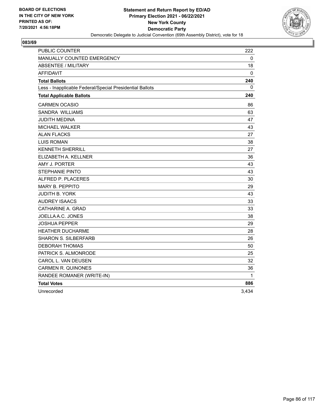

| <b>PUBLIC COUNTER</b>                                    | 222   |
|----------------------------------------------------------|-------|
| MANUALLY COUNTED EMERGENCY                               | 0     |
| <b>ABSENTEE / MILITARY</b>                               | 18    |
| AFFIDAVIT                                                | 0     |
| <b>Total Ballots</b>                                     | 240   |
| Less - Inapplicable Federal/Special Presidential Ballots | 0     |
| <b>Total Applicable Ballots</b>                          | 240   |
| <b>CARMEN OCASIO</b>                                     | 86    |
| SANDRA WILLIAMS                                          | 63    |
| JUDITH MEDINA                                            | 47    |
| <b>MICHAEL WALKER</b>                                    | 43    |
| <b>ALAN FLACKS</b>                                       | 27    |
| <b>LUIS ROMAN</b>                                        | 38    |
| <b>KENNETH SHERRILL</b>                                  | 27    |
| ELIZABETH A. KELLNER                                     | 36    |
| AMY J. PORTER                                            | 43    |
| <b>STEPHANIE PINTO</b>                                   | 43    |
| ALFRED P. PLACERES                                       | 30    |
| <b>MARY B. PEPPITO</b>                                   | 29    |
| <b>JUDITH B. YORK</b>                                    | 43    |
| <b>AUDREY ISAACS</b>                                     | 33    |
| CATHARINE A. GRAD                                        | 33    |
| JOELLA A.C. JONES                                        | 38    |
| <b>JOSHUA PEPPER</b>                                     | 29    |
| <b>HEATHER DUCHARME</b>                                  | 28    |
| <b>SHARON S. SILBERFARB</b>                              | 26    |
| <b>DEBORAH THOMAS</b>                                    | 50    |
| PATRICK S. ALMONRODE                                     | 25    |
| CAROL L. VAN DEUSEN                                      | 32    |
| <b>CARMEN R. QUINONES</b>                                | 36    |
| RANDEE ROMANER (WRITE-IN)                                | 1     |
| <b>Total Votes</b>                                       | 886   |
| Unrecorded                                               | 3,434 |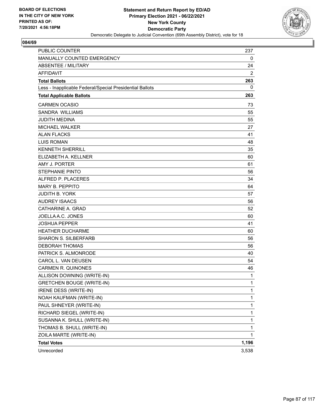

| PUBLIC COUNTER                                           | 237          |
|----------------------------------------------------------|--------------|
| MANUALLY COUNTED EMERGENCY                               | 0            |
| <b>ABSENTEE / MILITARY</b>                               | 24           |
| <b>AFFIDAVIT</b>                                         | 2            |
| <b>Total Ballots</b>                                     | 263          |
| Less - Inapplicable Federal/Special Presidential Ballots | 0            |
| <b>Total Applicable Ballots</b>                          | 263          |
| <b>CARMEN OCASIO</b>                                     | 73           |
| <b>SANDRA WILLIAMS</b>                                   | 55           |
| <b>JUDITH MEDINA</b>                                     | 55           |
| <b>MICHAEL WALKER</b>                                    | 27           |
| <b>ALAN FLACKS</b>                                       | 41           |
| <b>LUIS ROMAN</b>                                        | 48           |
| <b>KENNETH SHERRILL</b>                                  | 35           |
| ELIZABETH A. KELLNER                                     | 60           |
| AMY J. PORTER                                            | 61           |
| <b>STEPHANIE PINTO</b>                                   | 56           |
| ALFRED P. PLACERES                                       | 34           |
| <b>MARY B. PEPPITO</b>                                   | 64           |
| <b>JUDITH B. YORK</b>                                    | 57           |
| <b>AUDREY ISAACS</b>                                     | 56           |
| CATHARINE A. GRAD                                        | 52           |
| JOELLA A.C. JONES                                        | 60           |
| <b>JOSHUA PEPPER</b>                                     | 41           |
| <b>HEATHER DUCHARME</b>                                  | 60           |
| <b>SHARON S. SILBERFARB</b>                              | 56           |
| <b>DEBORAH THOMAS</b>                                    | 56           |
| PATRICK S. ALMONRODE                                     | 40           |
| CAROL L. VAN DEUSEN                                      | 54           |
| <b>CARMEN R. QUINONES</b>                                | 46           |
| ALLISON DOWNING (WRITE-IN)                               | 1            |
| <b>GRETCHEN BOUGE (WRITE-IN)</b>                         | 1            |
| IRENE DESS (WRITE-IN)                                    | $\mathbf{1}$ |
| NOAH KAUFMAN (WRITE-IN)                                  | 1            |
| PAUL SHNEYER (WRITE-IN)                                  | $\mathbf 1$  |
| RICHARD SIEGEL (WRITE-IN)                                | $\mathbf 1$  |
| SUSANNA K. SHULL (WRITE-IN)                              | 1            |
| THOMAS B. SHULL (WRITE-IN)                               | 1            |
| ZOILA MARTE (WRITE-IN)                                   | 1            |
| <b>Total Votes</b>                                       | 1,196        |
| Unrecorded                                               | 3,538        |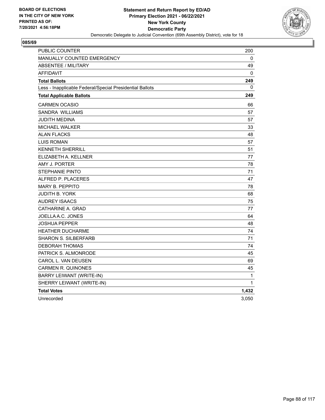

| PUBLIC COUNTER                                           | 200          |
|----------------------------------------------------------|--------------|
| MANUALLY COUNTED EMERGENCY                               | 0            |
| <b>ABSENTEE / MILITARY</b>                               | 49           |
| <b>AFFIDAVIT</b>                                         | $\mathbf{0}$ |
| <b>Total Ballots</b>                                     | 249          |
| Less - Inapplicable Federal/Special Presidential Ballots | 0            |
| <b>Total Applicable Ballots</b>                          | 249          |
| <b>CARMEN OCASIO</b>                                     | 66           |
| SANDRA WILLIAMS                                          | 57           |
| JUDITH MEDINA                                            | 57           |
| <b>MICHAEL WALKER</b>                                    | 33           |
| <b>ALAN FLACKS</b>                                       | 48           |
| <b>LUIS ROMAN</b>                                        | 57           |
| <b>KENNETH SHERRILL</b>                                  | 51           |
| ELIZABETH A. KELLNER                                     | 77           |
| AMY J. PORTER                                            | 78           |
| <b>STEPHANIE PINTO</b>                                   | 71           |
| ALFRED P. PLACERES                                       | 47           |
| <b>MARY B. PEPPITO</b>                                   | 78           |
| JUDITH B. YORK                                           | 68           |
| <b>AUDREY ISAACS</b>                                     | 75           |
| CATHARINE A. GRAD                                        | 77           |
| JOELLA A.C. JONES                                        | 64           |
| JOSHUA PEPPER                                            | 48           |
| <b>HEATHER DUCHARME</b>                                  | 74           |
| <b>SHARON S. SILBERFARB</b>                              | 71           |
| <b>DEBORAH THOMAS</b>                                    | 74           |
| PATRICK S. ALMONRODE                                     | 45           |
| CAROL L. VAN DEUSEN                                      | 69           |
| <b>CARMEN R. QUINONES</b>                                | 45           |
| BARRY LEIWANT (WRITE-IN)                                 | 1            |
| SHERRY LEIWANT (WRITE-IN)                                | 1            |
| <b>Total Votes</b>                                       | 1,432        |
| Unrecorded                                               | 3,050        |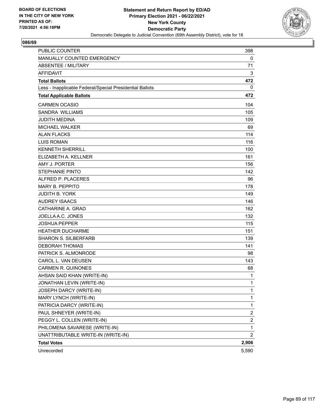

| <b>PUBLIC COUNTER</b>                                    | 398            |
|----------------------------------------------------------|----------------|
| MANUALLY COUNTED EMERGENCY                               | 0              |
| <b>ABSENTEE / MILITARY</b>                               | 71             |
| <b>AFFIDAVIT</b>                                         | 3              |
| <b>Total Ballots</b>                                     | 472            |
| Less - Inapplicable Federal/Special Presidential Ballots | 0              |
| <b>Total Applicable Ballots</b>                          | 472            |
| <b>CARMEN OCASIO</b>                                     | 104            |
| <b>SANDRA WILLIAMS</b>                                   | 105            |
| <b>JUDITH MEDINA</b>                                     | 109            |
| <b>MICHAEL WALKER</b>                                    | 69             |
| <b>ALAN FLACKS</b>                                       | 114            |
| <b>LUIS ROMAN</b>                                        | 116            |
| <b>KENNETH SHERRILL</b>                                  | 100            |
| ELIZABETH A. KELLNER                                     | 161            |
| AMY J. PORTER                                            | 156            |
| <b>STEPHANIE PINTO</b>                                   | 142            |
| ALFRED P. PLACERES                                       | 96             |
| <b>MARY B. PEPPITO</b>                                   | 178            |
| <b>JUDITH B. YORK</b>                                    | 149            |
| <b>AUDREY ISAACS</b>                                     | 146            |
| CATHARINE A. GRAD                                        | 162            |
| JOELLA A.C. JONES                                        | 132            |
| <b>JOSHUA PEPPER</b>                                     | 115            |
| <b>HEATHER DUCHARME</b>                                  | 151            |
| <b>SHARON S. SILBERFARB</b>                              | 139            |
| <b>DEBORAH THOMAS</b>                                    | 141            |
| PATRICK S. ALMONRODE                                     | 98             |
| CAROL L. VAN DEUSEN                                      | 143            |
| <b>CARMEN R. QUINONES</b>                                | 68             |
| AHSAN SAID KHAN (WRITE-IN)                               | 1              |
| JONATHAN LEVIN (WRITE-IN)                                | 1              |
| JOSEPH DARCY (WRITE-IN)                                  | $\mathbf{1}$   |
| MARY LYNCH (WRITE-IN)                                    | 1              |
| PATRICIA DARCY (WRITE-IN)                                | $\mathbf{1}$   |
| PAUL SHNEYER (WRITE-IN)                                  | 2              |
| PEGGY L. COLLEN (WRITE-IN)                               | 2              |
| PHILOMENA SAVARESE (WRITE-IN)                            | 1              |
| UNATTRIBUTABLE WRITE-IN (WRITE-IN)                       | $\overline{2}$ |
| <b>Total Votes</b>                                       | 2,906          |
| Unrecorded                                               | 5,590          |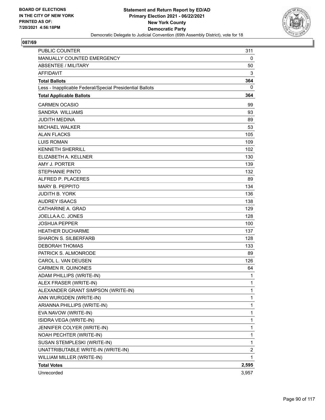

| <b>PUBLIC COUNTER</b>                                    | 311                     |
|----------------------------------------------------------|-------------------------|
| MANUALLY COUNTED EMERGENCY                               | 0                       |
| <b>ABSENTEE / MILITARY</b>                               | 50                      |
| <b>AFFIDAVIT</b>                                         | 3                       |
| <b>Total Ballots</b>                                     | 364                     |
| Less - Inapplicable Federal/Special Presidential Ballots | 0                       |
| <b>Total Applicable Ballots</b>                          | 364                     |
| <b>CARMEN OCASIO</b>                                     | 99                      |
| <b>SANDRA WILLIAMS</b>                                   | 93                      |
| <b>JUDITH MEDINA</b>                                     | 89                      |
| <b>MICHAEL WALKER</b>                                    | 53                      |
| <b>ALAN FLACKS</b>                                       | 105                     |
| <b>LUIS ROMAN</b>                                        | 109                     |
| <b>KENNETH SHERRILL</b>                                  | 102                     |
| ELIZABETH A. KELLNER                                     | 130                     |
| AMY J. PORTER                                            | 139                     |
| <b>STEPHANIE PINTO</b>                                   | 132                     |
| ALFRED P. PLACERES                                       | 89                      |
| <b>MARY B. PEPPITO</b>                                   | 134                     |
| <b>JUDITH B. YORK</b>                                    | 136                     |
| <b>AUDREY ISAACS</b>                                     | 138                     |
| CATHARINE A. GRAD                                        | 129                     |
| JOELLA A.C. JONES                                        | 128                     |
| <b>JOSHUA PEPPER</b>                                     | 100                     |
| <b>HEATHER DUCHARME</b>                                  | 137                     |
| <b>SHARON S. SILBERFARB</b>                              | 128                     |
| <b>DEBORAH THOMAS</b>                                    | 133                     |
| PATRICK S. ALMONRODE                                     | 89                      |
| CAROL L. VAN DEUSEN                                      | 126                     |
| <b>CARMEN R. QUINONES</b>                                | 64                      |
| ADAM PHILLIPS (WRITE-IN)                                 | 1                       |
| ALEX FRASER (WRITE-IN)                                   | 1                       |
| ALEXANDER GRANT SIMPSON (WRITE-IN)                       | $\mathbf{1}$            |
| ANN WURGDEN (WRITE-IN)                                   | 1                       |
| ARIANNA PHILLIPS (WRITE-IN)                              | 1                       |
| EVA NAVOW (WRITE-IN)                                     | 1                       |
| ISIDRA VEGA (WRITE-IN)                                   | 1                       |
| JENNIFER COLYER (WRITE-IN)                               | 1                       |
| NOAH PECHTER (WRITE-IN)                                  | 1                       |
| SUSAN STEMPLESKI (WRITE-IN)                              | 1                       |
| UNATTRIBUTABLE WRITE-IN (WRITE-IN)                       | $\overline{\mathbf{c}}$ |
| WILLIAM MILLER (WRITE-IN)                                | 1                       |
| <b>Total Votes</b>                                       | 2,595                   |
| Unrecorded                                               | 3,957                   |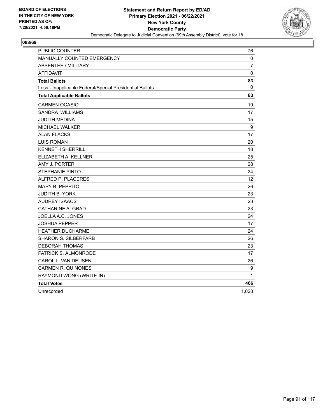

| PUBLIC COUNTER                                           | 76                |
|----------------------------------------------------------|-------------------|
| MANUALLY COUNTED EMERGENCY                               | 0                 |
| <b>ABSENTEE / MILITARY</b>                               | $\overline{7}$    |
| AFFIDAVIT                                                | $\mathbf 0$       |
| <b>Total Ballots</b>                                     | 83                |
| Less - Inapplicable Federal/Special Presidential Ballots | 0                 |
| <b>Total Applicable Ballots</b>                          | 83                |
| <b>CARMEN OCASIO</b>                                     | 19                |
| SANDRA WILLIAMS                                          | 17                |
| JUDITH MEDINA                                            | 15                |
| MICHAEL WALKER                                           | 9                 |
| <b>ALAN FLACKS</b>                                       | 17                |
| <b>LUIS ROMAN</b>                                        | 20                |
| <b>KENNETH SHERRILL</b>                                  | 18                |
| ELIZABETH A. KELLNER                                     | 25                |
| AMY J. PORTER                                            | 28                |
| <b>STEPHANIE PINTO</b>                                   | 24                |
| ALFRED P. PLACERES                                       | $12 \overline{ }$ |
| <b>MARY B. PEPPITO</b>                                   | 26                |
| <b>JUDITH B. YORK</b>                                    | 23                |
| <b>AUDREY ISAACS</b>                                     | 23                |
| CATHARINE A. GRAD                                        | 23                |
| JOELLA A.C. JONES                                        | 24                |
| JOSHUA PEPPER                                            | 17                |
| <b>HEATHER DUCHARME</b>                                  | 24                |
| <b>SHARON S. SILBERFARB</b>                              | 26                |
| <b>DEBORAH THOMAS</b>                                    | 23                |
| PATRICK S. ALMONRODE                                     | 17                |
| CAROL L. VAN DEUSEN                                      | 26                |
| <b>CARMEN R. QUINONES</b>                                | 9                 |
| RAYMOND WONG (WRITE-IN)                                  | 1                 |
| <b>Total Votes</b>                                       | 466               |
| Unrecorded                                               | 1,028             |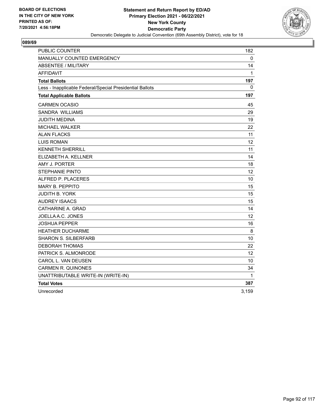

| PUBLIC COUNTER                                           | 182               |
|----------------------------------------------------------|-------------------|
| MANUALLY COUNTED EMERGENCY                               | 0                 |
| <b>ABSENTEE / MILITARY</b>                               | 14                |
| <b>AFFIDAVIT</b>                                         | 1                 |
| <b>Total Ballots</b>                                     | 197               |
| Less - Inapplicable Federal/Special Presidential Ballots | 0                 |
| <b>Total Applicable Ballots</b>                          | 197               |
| <b>CARMEN OCASIO</b>                                     | 45                |
| SANDRA WILLIAMS                                          | 29                |
| JUDITH MEDINA                                            | 19                |
| MICHAEL WALKER                                           | 22                |
| <b>ALAN FLACKS</b>                                       | 11                |
| <b>LUIS ROMAN</b>                                        | 12                |
| <b>KENNETH SHERRILL</b>                                  | 11                |
| ELIZABETH A. KELLNER                                     | 14                |
| AMY J. PORTER                                            | 18                |
| <b>STEPHANIE PINTO</b>                                   | 12                |
| ALFRED P. PLACERES                                       | 10                |
| <b>MARY B. PEPPITO</b>                                   | 15                |
| JUDITH B. YORK                                           | 15                |
| <b>AUDREY ISAACS</b>                                     | 15                |
| CATHARINE A. GRAD                                        | 14                |
| JOELLA A.C. JONES                                        | $12 \overline{ }$ |
| JOSHUA PEPPER                                            | 16                |
| <b>HEATHER DUCHARME</b>                                  | 8                 |
| <b>SHARON S. SILBERFARB</b>                              | 10                |
| <b>DEBORAH THOMAS</b>                                    | 22                |
| PATRICK S. ALMONRODE                                     | 12                |
| CAROL L. VAN DEUSEN                                      | 10                |
| <b>CARMEN R. QUINONES</b>                                | 34                |
| UNATTRIBUTABLE WRITE-IN (WRITE-IN)                       | 1                 |
| <b>Total Votes</b>                                       | 387               |
| Unrecorded                                               | 3,159             |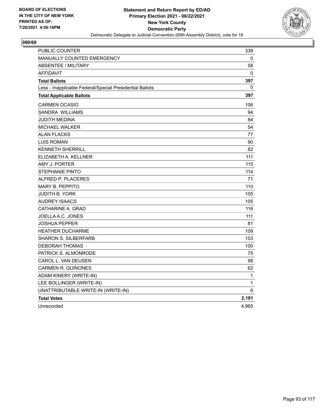

| <b>PUBLIC COUNTER</b>                                    | 339   |
|----------------------------------------------------------|-------|
| <b>MANUALLY COUNTED EMERGENCY</b>                        | 0     |
| <b>ABSENTEE / MILITARY</b>                               | 58    |
| <b>AFFIDAVIT</b>                                         | 0     |
| <b>Total Ballots</b>                                     | 397   |
| Less - Inapplicable Federal/Special Presidential Ballots | 0     |
| <b>Total Applicable Ballots</b>                          | 397   |
| <b>CARMEN OCASIO</b>                                     | 106   |
| <b>SANDRA WILLIAMS</b>                                   | 94    |
| <b>JUDITH MEDINA</b>                                     | 84    |
| <b>MICHAEL WALKER</b>                                    | 54    |
| <b>ALAN FLACKS</b>                                       | 77    |
| <b>LUIS ROMAN</b>                                        | 90    |
| <b>KENNETH SHERRILL</b>                                  | 82    |
| ELIZABETH A. KELLNER                                     | 111   |
| AMY J. PORTER                                            | 115   |
| <b>STEPHANIE PINTO</b>                                   | 114   |
| ALFRED P. PLACERES                                       | 71    |
| MARY B. PEPPITO                                          | 110   |
| JUDITH B. YORK                                           | 105   |
| <b>AUDREY ISAACS</b>                                     | 105   |
| CATHARINE A. GRAD                                        | 116   |
| JOELLA A.C. JONES                                        | 111   |
| <b>JOSHUA PEPPER</b>                                     | 81    |
| <b>HEATHER DUCHARME</b>                                  | 109   |
| <b>SHARON S. SILBERFARB</b>                              | 103   |
| <b>DEBORAH THOMAS</b>                                    | 100   |
| PATRICK S. ALMONRODE                                     | 75    |
| CAROL L. VAN DEUSEN                                      | 98    |
| <b>CARMEN R. QUINONES</b>                                | 62    |
| ADAM KINERY (WRITE-IN)                                   | 1     |
| LEE BOLLINGER (WRITE-IN)                                 | 1     |
| UNATTRIBUTABLE WRITE-IN (WRITE-IN)                       | 6     |
| <b>Total Votes</b>                                       | 2,181 |
| Unrecorded                                               | 4,965 |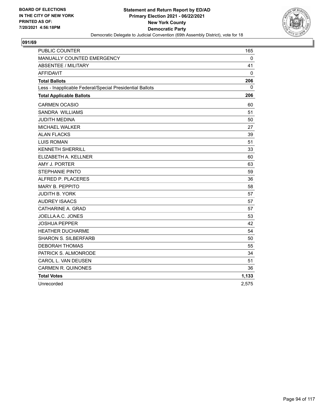

| <b>PUBLIC COUNTER</b>                                    | 165   |
|----------------------------------------------------------|-------|
| MANUALLY COUNTED EMERGENCY                               | 0     |
| <b>ABSENTEE / MILITARY</b>                               | 41    |
| <b>AFFIDAVIT</b>                                         | 0     |
| <b>Total Ballots</b>                                     | 206   |
| Less - Inapplicable Federal/Special Presidential Ballots | 0     |
| <b>Total Applicable Ballots</b>                          | 206   |
| <b>CARMEN OCASIO</b>                                     | 60    |
| SANDRA WILLIAMS                                          | 51    |
| <b>JUDITH MEDINA</b>                                     | 50    |
| <b>MICHAEL WALKER</b>                                    | 27    |
| <b>ALAN FLACKS</b>                                       | 39    |
| <b>LUIS ROMAN</b>                                        | 51    |
| <b>KENNETH SHERRILL</b>                                  | 33    |
| ELIZABETH A. KELLNER                                     | 60    |
| AMY J. PORTER                                            | 63    |
| STEPHANIE PINTO                                          | 59    |
| ALFRED P. PLACERES                                       | 36    |
| <b>MARY B. PEPPITO</b>                                   | 58    |
| <b>JUDITH B. YORK</b>                                    | 57    |
| <b>AUDREY ISAACS</b>                                     | 57    |
| CATHARINE A. GRAD                                        | 57    |
| JOELLA A.C. JONES                                        | 53    |
| <b>JOSHUA PEPPER</b>                                     | 42    |
| <b>HEATHER DUCHARME</b>                                  | 54    |
| <b>SHARON S. SILBERFARB</b>                              | 50    |
| <b>DEBORAH THOMAS</b>                                    | 55    |
| PATRICK S. ALMONRODE                                     | 34    |
| CAROL L. VAN DEUSEN                                      | 51    |
| <b>CARMEN R. QUINONES</b>                                | 36    |
| <b>Total Votes</b>                                       | 1,133 |
| Unrecorded                                               | 2,575 |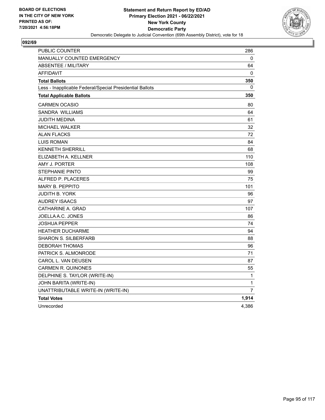

| PUBLIC COUNTER                                           | 286            |
|----------------------------------------------------------|----------------|
| <b>MANUALLY COUNTED EMERGENCY</b>                        | 0              |
| <b>ABSENTEE / MILITARY</b>                               | 64             |
| <b>AFFIDAVIT</b>                                         | 0              |
| <b>Total Ballots</b>                                     | 350            |
| Less - Inapplicable Federal/Special Presidential Ballots | 0              |
| <b>Total Applicable Ballots</b>                          | 350            |
| <b>CARMEN OCASIO</b>                                     | 80             |
| <b>SANDRA WILLIAMS</b>                                   | 64             |
| JUDITH MEDINA                                            | 61             |
| <b>MICHAEL WALKER</b>                                    | 32             |
| <b>ALAN FLACKS</b>                                       | 72             |
| <b>LUIS ROMAN</b>                                        | 84             |
| <b>KENNETH SHERRILL</b>                                  | 68             |
| ELIZABETH A. KELLNER                                     | 110            |
| AMY J. PORTER                                            | 108            |
| <b>STEPHANIE PINTO</b>                                   | 99             |
| ALFRED P. PLACERES                                       | 75             |
| <b>MARY B. PEPPITO</b>                                   | 101            |
| <b>JUDITH B. YORK</b>                                    | 96             |
| <b>AUDREY ISAACS</b>                                     | 97             |
| CATHARINE A. GRAD                                        | 107            |
| JOELLA A.C. JONES                                        | 86             |
| JOSHUA PEPPER                                            | 74             |
| <b>HEATHER DUCHARME</b>                                  | 94             |
| <b>SHARON S. SILBERFARB</b>                              | 88             |
| <b>DEBORAH THOMAS</b>                                    | 96             |
| PATRICK S. ALMONRODE                                     | 71             |
| CAROL L. VAN DEUSEN                                      | 87             |
| <b>CARMEN R. QUINONES</b>                                | 55             |
| DELPHINE S. TAYLOR (WRITE-IN)                            | 1              |
| JOHN BARITA (WRITE-IN)                                   | 1              |
| UNATTRIBUTABLE WRITE-IN (WRITE-IN)                       | $\overline{7}$ |
| <b>Total Votes</b>                                       | 1,914          |
| Unrecorded                                               | 4,386          |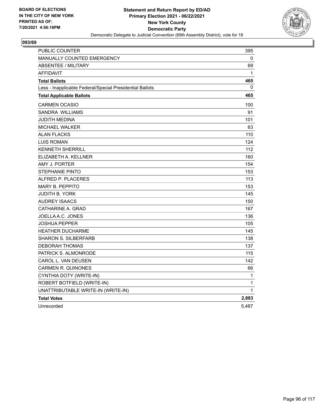

| PUBLIC COUNTER                                           | 395          |
|----------------------------------------------------------|--------------|
| <b>MANUALLY COUNTED EMERGENCY</b>                        | 0            |
| ABSENTEE / MILITARY                                      | 69           |
| <b>AFFIDAVIT</b>                                         | 1            |
| <b>Total Ballots</b>                                     | 465          |
| Less - Inapplicable Federal/Special Presidential Ballots | $\mathbf{0}$ |
| <b>Total Applicable Ballots</b>                          | 465          |
| <b>CARMEN OCASIO</b>                                     | 100          |
| <b>SANDRA WILLIAMS</b>                                   | 91           |
| <b>JUDITH MEDINA</b>                                     | 101          |
| <b>MICHAEL WALKER</b>                                    | 63           |
| <b>ALAN FLACKS</b>                                       | 110          |
| <b>LUIS ROMAN</b>                                        | 124          |
| KENNETH SHERRILL                                         | 112          |
| ELIZABETH A. KELLNER                                     | 160          |
| AMY J. PORTER                                            | 154          |
| <b>STEPHANIE PINTO</b>                                   | 153          |
| ALFRED P. PLACERES                                       | 113          |
| <b>MARY B. PEPPITO</b>                                   | 153          |
| JUDITH B. YORK                                           | 145          |
| <b>AUDREY ISAACS</b>                                     | 150          |
| CATHARINE A. GRAD                                        | 167          |
| JOELLA A.C. JONES                                        | 136          |
| JOSHUA PEPPER                                            | 105          |
| <b>HEATHER DUCHARME</b>                                  | 145          |
| <b>SHARON S. SILBERFARB</b>                              | 138          |
| <b>DEBORAH THOMAS</b>                                    | 137          |
| PATRICK S. ALMONRODE                                     | 115          |
| CAROL L. VAN DEUSEN                                      | 142          |
| CARMEN R. QUINONES                                       | 66           |
| CYNTHIA DOTY (WRITE-IN)                                  | 1            |
| ROBERT BOTFIELD (WRITE-IN)                               | 1            |
| UNATTRIBUTABLE WRITE-IN (WRITE-IN)                       | 1            |
| <b>Total Votes</b>                                       | 2,883        |
| Unrecorded                                               | 5.487        |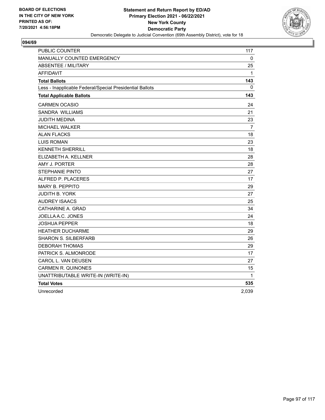

| PUBLIC COUNTER                                           | 117            |
|----------------------------------------------------------|----------------|
| MANUALLY COUNTED EMERGENCY                               | 0              |
| <b>ABSENTEE / MILITARY</b>                               | 25             |
| <b>AFFIDAVIT</b>                                         | 1              |
| <b>Total Ballots</b>                                     | 143            |
| Less - Inapplicable Federal/Special Presidential Ballots | 0              |
| <b>Total Applicable Ballots</b>                          | 143            |
| <b>CARMEN OCASIO</b>                                     | 24             |
| SANDRA WILLIAMS                                          | 21             |
| JUDITH MEDINA                                            | 23             |
| MICHAEL WALKER                                           | $\overline{7}$ |
| <b>ALAN FLACKS</b>                                       | 18             |
| <b>LUIS ROMAN</b>                                        | 23             |
| <b>KENNETH SHERRILL</b>                                  | 18             |
| ELIZABETH A. KELLNER                                     | 28             |
| AMY J. PORTER                                            | 28             |
| <b>STEPHANIE PINTO</b>                                   | 27             |
| ALFRED P. PLACERES                                       | 17             |
| <b>MARY B. PEPPITO</b>                                   | 29             |
| <b>JUDITH B. YORK</b>                                    | 27             |
| <b>AUDREY ISAACS</b>                                     | 25             |
| CATHARINE A. GRAD                                        | 34             |
| JOELLA A.C. JONES                                        | 24             |
| JOSHUA PEPPER                                            | 18             |
| <b>HEATHER DUCHARME</b>                                  | 29             |
| <b>SHARON S. SILBERFARB</b>                              | 26             |
| <b>DEBORAH THOMAS</b>                                    | 29             |
| PATRICK S. ALMONRODE                                     | 17             |
| CAROL L. VAN DEUSEN                                      | 27             |
| <b>CARMEN R. QUINONES</b>                                | 15             |
| UNATTRIBUTABLE WRITE-IN (WRITE-IN)                       | 1              |
| <b>Total Votes</b>                                       | 535            |
| Unrecorded                                               | 2,039          |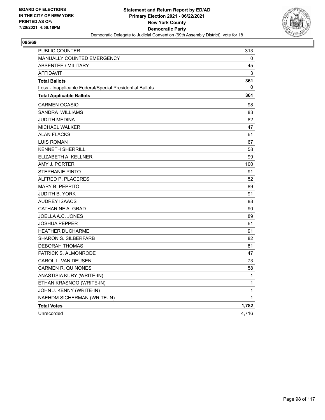

| PUBLIC COUNTER                                           | 313          |
|----------------------------------------------------------|--------------|
| MANUALLY COUNTED EMERGENCY                               | 0            |
| <b>ABSENTEE / MILITARY</b>                               | 45           |
| <b>AFFIDAVIT</b>                                         | 3            |
| <b>Total Ballots</b>                                     | 361          |
| Less - Inapplicable Federal/Special Presidential Ballots | 0            |
| <b>Total Applicable Ballots</b>                          | 361          |
| <b>CARMEN OCASIO</b>                                     | 98           |
| SANDRA WILLIAMS                                          | 83           |
| JUDITH MEDINA                                            | 82           |
| <b>MICHAEL WALKER</b>                                    | 47           |
| <b>ALAN FLACKS</b>                                       | 61           |
| <b>LUIS ROMAN</b>                                        | 67           |
| <b>KENNETH SHERRILL</b>                                  | 58           |
| ELIZABETH A. KELLNER                                     | 99           |
| AMY J. PORTER                                            | 100          |
| <b>STEPHANIE PINTO</b>                                   | 91           |
| ALFRED P. PLACERES                                       | 52           |
| <b>MARY B. PEPPITO</b>                                   | 89           |
| <b>JUDITH B. YORK</b>                                    | 91           |
| <b>AUDREY ISAACS</b>                                     | 88           |
| CATHARINE A. GRAD                                        | 90           |
| JOELLA A.C. JONES                                        | 89           |
| <b>JOSHUA PEPPER</b>                                     | 61           |
| <b>HEATHER DUCHARME</b>                                  | 91           |
| <b>SHARON S. SILBERFARB</b>                              | 82           |
| <b>DEBORAH THOMAS</b>                                    | 81           |
| PATRICK S. ALMONRODE                                     | 47           |
| CAROL L. VAN DEUSEN                                      | 73           |
| <b>CARMEN R. QUINONES</b>                                | 58           |
| ANASTISIA KURY (WRITE-IN)                                | $\mathbf{1}$ |
| ETHAN KRASNOO (WRITE-IN)                                 | $\mathbf{1}$ |
| JOHN J. KENNY (WRITE-IN)                                 | 1            |
| NAEHDM SICHERMAN (WRITE-IN)                              | 1            |
| <b>Total Votes</b>                                       | 1,782        |
| Unrecorded                                               | 4,716        |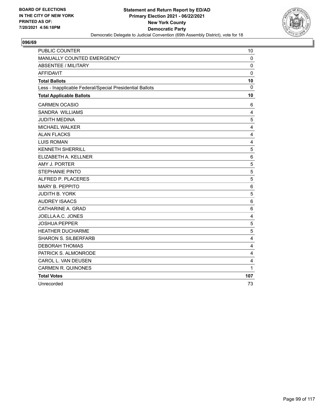

| <b>PUBLIC COUNTER</b>                                    | 10                      |
|----------------------------------------------------------|-------------------------|
| MANUALLY COUNTED EMERGENCY                               | 0                       |
| <b>ABSENTEE / MILITARY</b>                               | $\mathbf 0$             |
| <b>AFFIDAVIT</b>                                         | $\mathbf 0$             |
| <b>Total Ballots</b>                                     | 10                      |
| Less - Inapplicable Federal/Special Presidential Ballots | $\mathbf{0}$            |
| <b>Total Applicable Ballots</b>                          | 10                      |
| <b>CARMEN OCASIO</b>                                     | 6                       |
| SANDRA WILLIAMS                                          | 4                       |
| <b>JUDITH MEDINA</b>                                     | 5                       |
| MICHAEL WALKER                                           | $\overline{\mathbf{4}}$ |
| <b>ALAN FLACKS</b>                                       | 4                       |
| <b>LUIS ROMAN</b>                                        | 4                       |
| <b>KENNETH SHERRILL</b>                                  | 5                       |
| ELIZABETH A. KELLNER                                     | $\,6$                   |
| AMY J. PORTER                                            | 5                       |
| <b>STEPHANIE PINTO</b>                                   | $\sqrt{5}$              |
| ALFRED P. PLACERES                                       | 5                       |
| <b>MARY B. PEPPITO</b>                                   | 6                       |
| <b>JUDITH B. YORK</b>                                    | 5                       |
| <b>AUDREY ISAACS</b>                                     | 6                       |
| CATHARINE A. GRAD                                        | $\,6\,$                 |
| JOELLA A.C. JONES                                        | 4                       |
| <b>JOSHUA PEPPER</b>                                     | 5                       |
| <b>HEATHER DUCHARME</b>                                  | 5                       |
| <b>SHARON S. SILBERFARB</b>                              | 4                       |
| <b>DEBORAH THOMAS</b>                                    | 4                       |
| PATRICK S. ALMONRODE                                     | 4                       |
| CAROL L. VAN DEUSEN                                      | $\overline{\mathbf{4}}$ |
| <b>CARMEN R. QUINONES</b>                                | 1                       |
| <b>Total Votes</b>                                       | 107                     |
| Unrecorded                                               | 73                      |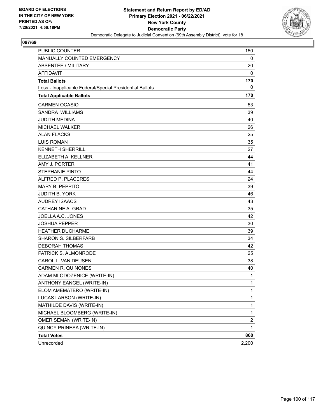

| <b>PUBLIC COUNTER</b>                                    | 150                     |
|----------------------------------------------------------|-------------------------|
| MANUALLY COUNTED EMERGENCY                               | 0                       |
| <b>ABSENTEE / MILITARY</b>                               | 20                      |
| <b>AFFIDAVIT</b>                                         | 0                       |
| <b>Total Ballots</b>                                     | 170                     |
| Less - Inapplicable Federal/Special Presidential Ballots | 0                       |
| <b>Total Applicable Ballots</b>                          | 170                     |
| <b>CARMEN OCASIO</b>                                     | 53                      |
| SANDRA WILLIAMS                                          | 39                      |
| <b>JUDITH MEDINA</b>                                     | 40                      |
| <b>MICHAEL WALKER</b>                                    | 26                      |
| <b>ALAN FLACKS</b>                                       | 25                      |
| <b>LUIS ROMAN</b>                                        | 35                      |
| <b>KENNETH SHERRILL</b>                                  | 27                      |
| ELIZABETH A. KELLNER                                     | 44                      |
| AMY J. PORTER                                            | 41                      |
| <b>STEPHANIE PINTO</b>                                   | 44                      |
| ALFRED P. PLACERES                                       | 24                      |
| <b>MARY B. PEPPITO</b>                                   | 39                      |
| <b>JUDITH B. YORK</b>                                    | 46                      |
| <b>AUDREY ISAACS</b>                                     | 43                      |
| CATHARINE A. GRAD                                        | 35                      |
| JOELLA A.C. JONES                                        | 42                      |
| <b>JOSHUA PEPPER</b>                                     | 30                      |
| <b>HEATHER DUCHARME</b>                                  | 39                      |
| <b>SHARON S. SILBERFARB</b>                              | 34                      |
| <b>DEBORAH THOMAS</b>                                    | 42                      |
| PATRICK S. ALMONRODE                                     | 25                      |
| CAROL L. VAN DEUSEN                                      | 38                      |
| <b>CARMEN R. QUINONES</b>                                | 40                      |
| ADAM MLODOZENICE (WRITE-IN)                              | 1                       |
| <b>ANTHONY EANGEL (WRITE-IN)</b>                         | 1                       |
| ELOM AMEMATERO (WRITE-IN)                                | $\mathbf{1}$            |
| LUCAS LARSON (WRITE-IN)                                  | 1                       |
| MATHILDE DAVIS (WRITE-IN)                                | 1                       |
| MICHAEL BLOOMBERG (WRITE-IN)                             | 1                       |
| OMER SEMAN (WRITE-IN)                                    | $\overline{\mathbf{c}}$ |
| QUINCY PRINESA (WRITE-IN)                                | 1                       |
| <b>Total Votes</b>                                       | 860                     |
| Unrecorded                                               | 2,200                   |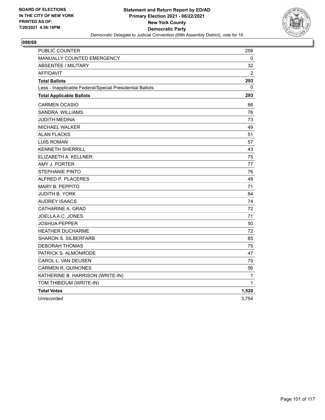

| <b>PUBLIC COUNTER</b>                                    | 259            |
|----------------------------------------------------------|----------------|
| <b>MANUALLY COUNTED EMERGENCY</b>                        | 0              |
| <b>ABSENTEE / MILITARY</b>                               | 32             |
| <b>AFFIDAVIT</b>                                         | $\overline{2}$ |
| <b>Total Ballots</b>                                     | 293            |
| Less - Inapplicable Federal/Special Presidential Ballots | $\Omega$       |
| <b>Total Applicable Ballots</b>                          | 293            |
| <b>CARMEN OCASIO</b>                                     | 86             |
| SANDRA WILLIAMS                                          | 76             |
| JUDITH MEDINA                                            | 73             |
| <b>MICHAEL WALKER</b>                                    | 49             |
| <b>ALAN FLACKS</b>                                       | 51             |
| <b>LUIS ROMAN</b>                                        | 57             |
| <b>KENNETH SHERRILL</b>                                  | 43             |
| ELIZABETH A. KELLNER                                     | 75             |
| AMY J. PORTER                                            | 77             |
| <b>STEPHANIE PINTO</b>                                   | 76             |
| ALFRED P. PLACERES                                       | 48             |
| <b>MARY B. PEPPITO</b>                                   | 71             |
| JUDITH B. YORK                                           | 84             |
| <b>AUDREY ISAACS</b>                                     | 74             |
| CATHARINE A. GRAD                                        | 72             |
| JOELLA A.C. JONES                                        | 71             |
| JOSHUA PEPPER                                            | 50             |
| <b>HEATHER DUCHARME</b>                                  | 72             |
| <b>SHARON S. SILBERFARB</b>                              | 65             |
| <b>DEBORAH THOMAS</b>                                    | 75             |
| PATRICK S. ALMONRODE                                     | 47             |
| CAROL L. VAN DEUSEN                                      | 70             |
| <b>CARMEN R. QUINONES</b>                                | 56             |
| KATHERINE B. HARRISON (WRITE-IN)                         | 1              |
| TOM THIBIDUM (WRITE-IN)                                  | 1              |
| <b>Total Votes</b>                                       | 1,520          |
| Unrecorded                                               | 3,754          |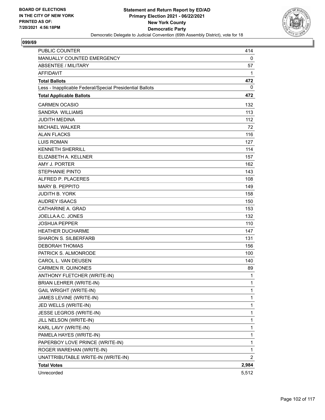

| PUBLIC COUNTER                                           | 414            |
|----------------------------------------------------------|----------------|
| MANUALLY COUNTED EMERGENCY                               | 0              |
| <b>ABSENTEE / MILITARY</b>                               | 57             |
| <b>AFFIDAVIT</b>                                         | 1              |
| <b>Total Ballots</b>                                     | 472            |
| Less - Inapplicable Federal/Special Presidential Ballots | 0              |
| <b>Total Applicable Ballots</b>                          | 472            |
| <b>CARMEN OCASIO</b>                                     | 132            |
| SANDRA WILLIAMS                                          | 113            |
| <b>JUDITH MEDINA</b>                                     | 112            |
| <b>MICHAEL WALKER</b>                                    | 72             |
| <b>ALAN FLACKS</b>                                       | 116            |
| <b>LUIS ROMAN</b>                                        | 127            |
| <b>KENNETH SHERRILL</b>                                  | 114            |
| ELIZABETH A. KELLNER                                     | 157            |
| AMY J. PORTER                                            | 162            |
| <b>STEPHANIE PINTO</b>                                   | 143            |
| ALFRED P. PLACERES                                       | 108            |
| <b>MARY B. PEPPITO</b>                                   | 149            |
| <b>JUDITH B. YORK</b>                                    | 158            |
| <b>AUDREY ISAACS</b>                                     | 150            |
| CATHARINE A. GRAD                                        | 153            |
| JOELLA A.C. JONES                                        | 132            |
| <b>JOSHUA PEPPER</b>                                     | 110            |
| <b>HEATHER DUCHARME</b>                                  | 147            |
| <b>SHARON S. SILBERFARB</b>                              | 131            |
| <b>DEBORAH THOMAS</b>                                    | 156            |
| PATRICK S. ALMONRODE                                     | 100            |
| CAROL L. VAN DEUSEN                                      | 140            |
| <b>CARMEN R. QUINONES</b>                                | 89             |
| ANTHONY FLETCHER (WRITE-IN)                              | 1              |
| <b>BRIAN LEHRER (WRITE-IN)</b>                           | 1              |
| GAIL WRIGHT (WRITE-IN)                                   | 1              |
| JAMES LEVINE (WRITE-IN)                                  | 1              |
| JED WELLS (WRITE-IN)                                     | 1              |
| JESSE LEGROS (WRITE-IN)                                  | 1              |
| JILL NELSON (WRITE-IN)                                   | 1              |
| KARL LAVY (WRITE-IN)                                     | 1              |
| PAMELA HAYES (WRITE-IN)                                  | 1              |
| PAPERBOY LOVE PRINCE (WRITE-IN)                          | 1              |
| ROGER WAREHAN (WRITE-IN)                                 | 1              |
| UNATTRIBUTABLE WRITE-IN (WRITE-IN)                       | $\overline{2}$ |
| <b>Total Votes</b>                                       | 2,984          |
| Unrecorded                                               | 5,512          |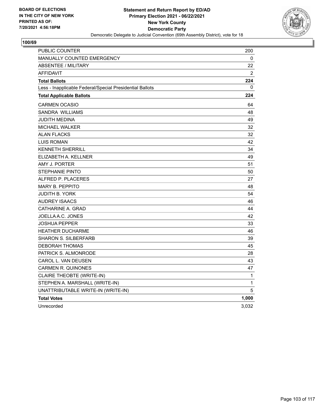

| PUBLIC COUNTER                                           | 200            |
|----------------------------------------------------------|----------------|
| <b>MANUALLY COUNTED EMERGENCY</b>                        | 0              |
| <b>ABSENTEE / MILITARY</b>                               | 22             |
| <b>AFFIDAVIT</b>                                         | $\overline{2}$ |
| <b>Total Ballots</b>                                     | 224            |
| Less - Inapplicable Federal/Special Presidential Ballots | 0              |
| <b>Total Applicable Ballots</b>                          | 224            |
| <b>CARMEN OCASIO</b>                                     | 64             |
| <b>SANDRA WILLIAMS</b>                                   | 48             |
| JUDITH MEDINA                                            | 49             |
| MICHAEL WALKER                                           | 32             |
| <b>ALAN FLACKS</b>                                       | 32             |
| <b>LUIS ROMAN</b>                                        | 42             |
| <b>KENNETH SHERRILL</b>                                  | 34             |
| ELIZABETH A. KELLNER                                     | 49             |
| AMY J. PORTER                                            | 51             |
| <b>STEPHANIE PINTO</b>                                   | 50             |
| ALFRED P. PLACERES                                       | 27             |
| <b>MARY B. PEPPITO</b>                                   | 48             |
| JUDITH B. YORK                                           | 54             |
| <b>AUDREY ISAACS</b>                                     | 46             |
| CATHARINE A. GRAD                                        | 44             |
| JOELLA A.C. JONES                                        | 42             |
| <b>JOSHUA PEPPER</b>                                     | 33             |
| <b>HEATHER DUCHARME</b>                                  | 46             |
| <b>SHARON S. SILBERFARB</b>                              | 39             |
| <b>DEBORAH THOMAS</b>                                    | 45             |
| PATRICK S. ALMONRODE                                     | 28             |
| CAROL L. VAN DEUSEN                                      | 43             |
| <b>CARMEN R. QUINONES</b>                                | 47             |
| CLAIRE THEOBTE (WRITE-IN)                                | 1              |
| STEPHEN A. MARSHALL (WRITE-IN)                           | 1              |
| UNATTRIBUTABLE WRITE-IN (WRITE-IN)                       | 5              |
| <b>Total Votes</b>                                       | 1,000          |
| Unrecorded                                               | 3,032          |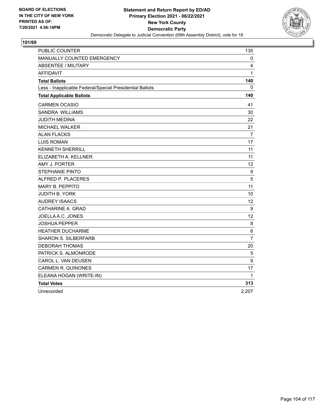

| PUBLIC COUNTER                                           | 135             |
|----------------------------------------------------------|-----------------|
| MANUALLY COUNTED EMERGENCY                               | 0               |
| <b>ABSENTEE / MILITARY</b>                               | 4               |
| <b>AFFIDAVIT</b>                                         | 1               |
| <b>Total Ballots</b>                                     | 140             |
| Less - Inapplicable Federal/Special Presidential Ballots | 0               |
| <b>Total Applicable Ballots</b>                          | 140             |
| <b>CARMEN OCASIO</b>                                     | 41              |
| SANDRA WILLIAMS                                          | 30              |
| JUDITH MEDINA                                            | 22              |
| MICHAEL WALKER                                           | 21              |
| <b>ALAN FLACKS</b>                                       | $\overline{7}$  |
| <b>LUIS ROMAN</b>                                        | 17              |
| <b>KENNETH SHERRILL</b>                                  | 11              |
| ELIZABETH A. KELLNER                                     | 11              |
| AMY J. PORTER                                            | 12 <sub>2</sub> |
| <b>STEPHANIE PINTO</b>                                   | 9               |
| ALFRED P. PLACERES                                       | 5               |
| <b>MARY B. PEPPITO</b>                                   | 11              |
| <b>JUDITH B. YORK</b>                                    | 10              |
| <b>AUDREY ISAACS</b>                                     | 12              |
| CATHARINE A. GRAD                                        | 9               |
| JOELLA A.C. JONES                                        | 12              |
| JOSHUA PEPPER                                            | 8               |
| <b>HEATHER DUCHARME</b>                                  | 6               |
| <b>SHARON S. SILBERFARB</b>                              | $\overline{7}$  |
| <b>DEBORAH THOMAS</b>                                    | 20              |
| PATRICK S. ALMONRODE                                     | 5               |
| CAROL L. VAN DEUSEN                                      | 9               |
| <b>CARMEN R. QUINONES</b>                                | 17              |
| ELEANA HOGAN (WRITE-IN)                                  | 1               |
| <b>Total Votes</b>                                       | 313             |
| Unrecorded                                               | 2,207           |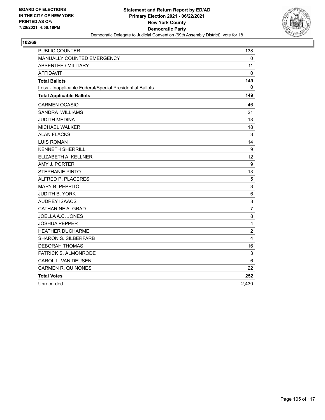

| <b>PUBLIC COUNTER</b>                                    | 138            |
|----------------------------------------------------------|----------------|
| <b>MANUALLY COUNTED EMERGENCY</b>                        | 0              |
| <b>ABSENTEE / MILITARY</b>                               | 11             |
| <b>AFFIDAVIT</b>                                         | 0              |
| <b>Total Ballots</b>                                     | 149            |
| Less - Inapplicable Federal/Special Presidential Ballots | $\mathbf{0}$   |
| <b>Total Applicable Ballots</b>                          | 149            |
| <b>CARMEN OCASIO</b>                                     | 46             |
| SANDRA WILLIAMS                                          | 21             |
| <b>JUDITH MEDINA</b>                                     | 13             |
| MICHAEL WALKER                                           | 18             |
| <b>ALAN FLACKS</b>                                       | 3              |
| <b>LUIS ROMAN</b>                                        | 14             |
| <b>KENNETH SHERRILL</b>                                  | 9              |
| ELIZABETH A. KELLNER                                     | 12             |
| AMY J. PORTER                                            | 9              |
| <b>STEPHANIE PINTO</b>                                   | 13             |
| ALFRED P. PLACERES                                       | 5              |
| <b>MARY B. PEPPITO</b>                                   | 3              |
| <b>JUDITH B. YORK</b>                                    | 6              |
| <b>AUDREY ISAACS</b>                                     | 8              |
| CATHARINE A. GRAD                                        | $\overline{7}$ |
| JOELLA A.C. JONES                                        | 8              |
| <b>JOSHUA PEPPER</b>                                     | 4              |
| <b>HEATHER DUCHARME</b>                                  | $\overline{2}$ |
| <b>SHARON S. SILBERFARB</b>                              | $\overline{4}$ |
| <b>DEBORAH THOMAS</b>                                    | 16             |
| PATRICK S. ALMONRODE                                     | 3              |
| CAROL L. VAN DEUSEN                                      | 6              |
| <b>CARMEN R. QUINONES</b>                                | 22             |
| <b>Total Votes</b>                                       | 252            |
| Unrecorded                                               | 2,430          |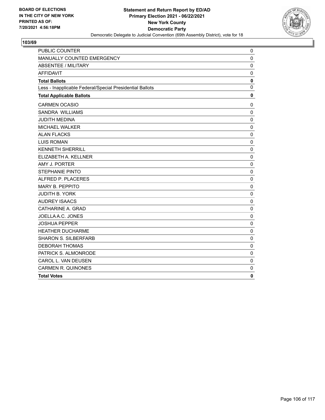

| PUBLIC COUNTER                                           | 0            |
|----------------------------------------------------------|--------------|
| MANUALLY COUNTED EMERGENCY                               | 0            |
| <b>ABSENTEE / MILITARY</b>                               | $\mathbf 0$  |
| <b>AFFIDAVIT</b>                                         | $\mathbf 0$  |
| <b>Total Ballots</b>                                     | $\mathbf 0$  |
| Less - Inapplicable Federal/Special Presidential Ballots | $\mathbf{0}$ |
| <b>Total Applicable Ballots</b>                          | $\mathbf 0$  |
| <b>CARMEN OCASIO</b>                                     | 0            |
| <b>SANDRA WILLIAMS</b>                                   | $\mathbf 0$  |
| <b>JUDITH MEDINA</b>                                     | $\mathbf 0$  |
| MICHAEL WALKER                                           | 0            |
| <b>ALAN FLACKS</b>                                       | $\mathbf 0$  |
| <b>LUIS ROMAN</b>                                        | $\mathbf 0$  |
| <b>KENNETH SHERRILL</b>                                  | $\mathbf 0$  |
| ELIZABETH A. KELLNER                                     | $\mathbf 0$  |
| AMY J. PORTER                                            | $\mathbf 0$  |
| <b>STEPHANIE PINTO</b>                                   | 0            |
| ALFRED P. PLACERES                                       | $\mathbf 0$  |
| MARY B. PEPPITO                                          | $\mathbf 0$  |
| <b>JUDITH B. YORK</b>                                    | $\mathbf 0$  |
| <b>AUDREY ISAACS</b>                                     | $\mathbf 0$  |
| CATHARINE A. GRAD                                        | $\mathbf 0$  |
| JOELLA A.C. JONES                                        | $\mathbf 0$  |
| <b>JOSHUA PEPPER</b>                                     | $\mathbf 0$  |
| <b>HEATHER DUCHARME</b>                                  | $\mathbf 0$  |
| <b>SHARON S. SILBERFARB</b>                              | $\mathbf 0$  |
| <b>DEBORAH THOMAS</b>                                    | $\mathbf 0$  |
| PATRICK S. ALMONRODE                                     | $\mathbf 0$  |
| CAROL L. VAN DEUSEN                                      | $\mathbf 0$  |
| <b>CARMEN R. QUINONES</b>                                | $\mathbf 0$  |
| <b>Total Votes</b>                                       | $\mathbf{0}$ |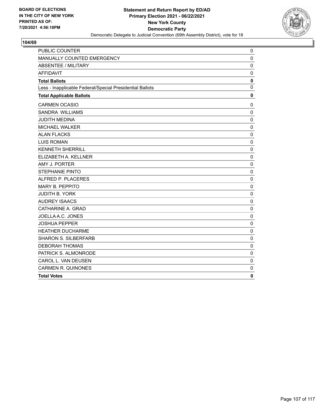

| <b>PUBLIC COUNTER</b>                                    | $\mathbf 0$  |
|----------------------------------------------------------|--------------|
| MANUALLY COUNTED EMERGENCY                               | $\mathbf 0$  |
| <b>ABSENTEE / MILITARY</b>                               | $\mathbf 0$  |
| <b>AFFIDAVIT</b>                                         | 0            |
| <b>Total Ballots</b>                                     | $\mathbf 0$  |
| Less - Inapplicable Federal/Special Presidential Ballots | $\mathbf 0$  |
| <b>Total Applicable Ballots</b>                          | $\mathbf 0$  |
| <b>CARMEN OCASIO</b>                                     | $\mathbf 0$  |
| <b>SANDRA WILLIAMS</b>                                   | $\mathbf 0$  |
| <b>JUDITH MEDINA</b>                                     | $\mathbf 0$  |
| MICHAEL WALKER                                           | $\mathbf 0$  |
| <b>ALAN FLACKS</b>                                       | $\mathbf 0$  |
| <b>LUIS ROMAN</b>                                        | $\mathbf 0$  |
| <b>KENNETH SHERRILL</b>                                  | $\mathbf{0}$ |
| ELIZABETH A. KELLNER                                     | $\mathbf 0$  |
| AMY J. PORTER                                            | $\mathbf 0$  |
| <b>STEPHANIE PINTO</b>                                   | $\mathbf 0$  |
| ALFRED P. PLACERES                                       | $\mathbf{0}$ |
| MARY B. PEPPITO                                          | $\mathbf 0$  |
| JUDITH B. YORK                                           | $\mathbf 0$  |
| <b>AUDREY ISAACS</b>                                     | $\mathbf 0$  |
| CATHARINE A. GRAD                                        | $\mathbf 0$  |
| JOELLA A.C. JONES                                        | $\mathbf 0$  |
| <b>JOSHUA PEPPER</b>                                     | $\mathbf 0$  |
| <b>HEATHER DUCHARME</b>                                  | 0            |
| <b>SHARON S. SILBERFARB</b>                              | $\mathbf 0$  |
| <b>DEBORAH THOMAS</b>                                    | $\mathbf 0$  |
| PATRICK S. ALMONRODE                                     | $\mathbf 0$  |
| CAROL L. VAN DEUSEN                                      | $\mathbf 0$  |
| <b>CARMEN R. QUINONES</b>                                | $\mathbf 0$  |
| <b>Total Votes</b>                                       | $\mathbf 0$  |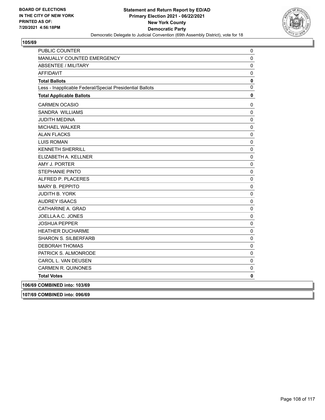

| <b>PUBLIC COUNTER</b>                                    | 0         |
|----------------------------------------------------------|-----------|
| MANUALLY COUNTED EMERGENCY                               | 0         |
| <b>ABSENTEE / MILITARY</b>                               | 0         |
| <b>AFFIDAVIT</b>                                         | 0         |
| <b>Total Ballots</b>                                     | $\pmb{0}$ |
| Less - Inapplicable Federal/Special Presidential Ballots | $\pmb{0}$ |
| <b>Total Applicable Ballots</b>                          | 0         |
| <b>CARMEN OCASIO</b>                                     | 0         |
| SANDRA WILLIAMS                                          | 0         |
| <b>JUDITH MEDINA</b>                                     | 0         |
| MICHAEL WALKER                                           | $\pmb{0}$ |
| <b>ALAN FLACKS</b>                                       | $\pmb{0}$ |
| <b>LUIS ROMAN</b>                                        | $\pmb{0}$ |
| <b>KENNETH SHERRILL</b>                                  | $\pmb{0}$ |
| ELIZABETH A. KELLNER                                     | 0         |
| AMY J. PORTER                                            | 0         |
| <b>STEPHANIE PINTO</b>                                   | 0         |
| ALFRED P. PLACERES                                       | 0         |
| MARY B. PEPPITO                                          | $\pmb{0}$ |
| JUDITH B. YORK                                           | 0         |
| <b>AUDREY ISAACS</b>                                     | 0         |
| CATHARINE A. GRAD                                        | 0         |
| JOELLA A.C. JONES                                        | 0         |
| <b>JOSHUA PEPPER</b>                                     | 0         |
| <b>HEATHER DUCHARME</b>                                  | 0         |
| <b>SHARON S. SILBERFARB</b>                              | 0         |
| <b>DEBORAH THOMAS</b>                                    | 0         |
| PATRICK S. ALMONRODE                                     | $\pmb{0}$ |
| CAROL L. VAN DEUSEN                                      | 0         |
| <b>CARMEN R. QUINONES</b>                                | 0         |
| <b>Total Votes</b>                                       | 0         |
| 106/69 COMBINED into: 103/69                             |           |
| 107/69 COMBINED into: 096/69                             |           |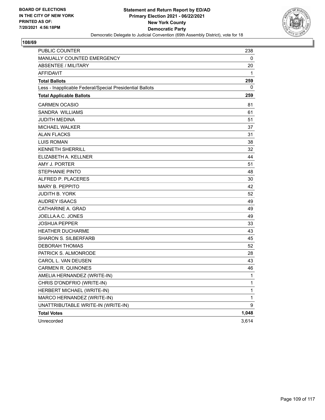

| PUBLIC COUNTER                                           | 238   |
|----------------------------------------------------------|-------|
| MANUALLY COUNTED EMERGENCY                               | 0     |
| <b>ABSENTEE / MILITARY</b>                               | 20    |
| <b>AFFIDAVIT</b>                                         | 1     |
| <b>Total Ballots</b>                                     | 259   |
| Less - Inapplicable Federal/Special Presidential Ballots | 0     |
| <b>Total Applicable Ballots</b>                          | 259   |
| <b>CARMEN OCASIO</b>                                     | 81    |
| SANDRA WILLIAMS                                          | 61    |
| JUDITH MEDINA                                            | 51    |
| <b>MICHAEL WALKER</b>                                    | 37    |
| <b>ALAN FLACKS</b>                                       | 31    |
| <b>LUIS ROMAN</b>                                        | 38    |
| <b>KENNETH SHERRILL</b>                                  | 32    |
| ELIZABETH A. KELLNER                                     | 44    |
| AMY J. PORTER                                            | 51    |
| <b>STEPHANIE PINTO</b>                                   | 48    |
| ALFRED P. PLACERES                                       | 30    |
| <b>MARY B. PEPPITO</b>                                   | 42    |
| <b>JUDITH B. YORK</b>                                    | 52    |
| <b>AUDREY ISAACS</b>                                     | 49    |
| CATHARINE A. GRAD                                        | 49    |
| JOELLA A.C. JONES                                        | 49    |
| <b>JOSHUA PEPPER</b>                                     | 33    |
| <b>HEATHER DUCHARME</b>                                  | 43    |
| <b>SHARON S. SILBERFARB</b>                              | 45    |
| <b>DEBORAH THOMAS</b>                                    | 52    |
| PATRICK S. ALMONRODE                                     | 28    |
| CAROL L. VAN DEUSEN                                      | 43    |
| <b>CARMEN R. QUINONES</b>                                | 46    |
| AMELIA HERNANDEZ (WRITE-IN)                              | 1     |
| CHRIS D'ONDFRIO (WRITE-IN)                               | 1     |
| HERBERT MICHAEL (WRITE-IN)                               | 1     |
| MARCO HERNANDEZ (WRITE-IN)                               | 1     |
| UNATTRIBUTABLE WRITE-IN (WRITE-IN)                       | 9     |
| <b>Total Votes</b>                                       | 1,048 |
| Unrecorded                                               | 3,614 |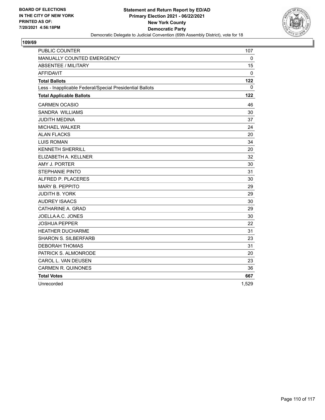

| <b>PUBLIC COUNTER</b>                                    | 107      |
|----------------------------------------------------------|----------|
| MANUALLY COUNTED EMERGENCY                               | 0        |
| <b>ABSENTEE / MILITARY</b>                               | 15       |
| <b>AFFIDAVIT</b>                                         | 0        |
| <b>Total Ballots</b>                                     | 122      |
| Less - Inapplicable Federal/Special Presidential Ballots | $\Omega$ |
| <b>Total Applicable Ballots</b>                          | 122      |
| <b>CARMEN OCASIO</b>                                     | 46       |
| <b>SANDRA WILLIAMS</b>                                   | 30       |
| <b>JUDITH MEDINA</b>                                     | 37       |
| <b>MICHAEL WALKER</b>                                    | 24       |
| <b>ALAN FLACKS</b>                                       | 20       |
| <b>LUIS ROMAN</b>                                        | 34       |
| <b>KENNETH SHERRILL</b>                                  | 20       |
| ELIZABETH A. KELLNER                                     | 32       |
| AMY J. PORTER                                            | 30       |
| <b>STEPHANIE PINTO</b>                                   | 31       |
| ALFRED P. PLACERES                                       | 30       |
| <b>MARY B. PEPPITO</b>                                   | 29       |
| <b>JUDITH B. YORK</b>                                    | 29       |
| <b>AUDREY ISAACS</b>                                     | 30       |
| CATHARINE A. GRAD                                        | 29       |
| JOELLA A.C. JONES                                        | 30       |
| <b>JOSHUA PEPPER</b>                                     | 22       |
| <b>HEATHER DUCHARME</b>                                  | 31       |
| <b>SHARON S. SILBERFARB</b>                              | 23       |
| <b>DEBORAH THOMAS</b>                                    | 31       |
| PATRICK S. ALMONRODE                                     | 20       |
| CAROL L. VAN DEUSEN                                      | 23       |
| <b>CARMEN R. QUINONES</b>                                | 36       |
| <b>Total Votes</b>                                       | 667      |
| Unrecorded                                               | 1,529    |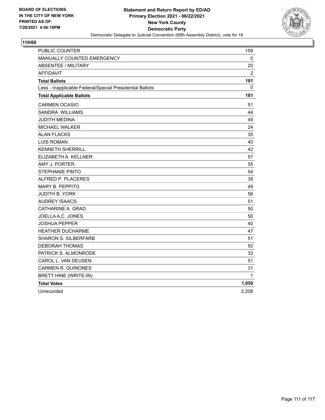

| PUBLIC COUNTER                                           | 159            |
|----------------------------------------------------------|----------------|
| MANUALLY COUNTED EMERGENCY                               | 0              |
| <b>ABSENTEE / MILITARY</b>                               | 20             |
| <b>AFFIDAVIT</b>                                         | $\overline{2}$ |
| <b>Total Ballots</b>                                     | 181            |
| Less - Inapplicable Federal/Special Presidential Ballots | 0              |
| <b>Total Applicable Ballots</b>                          | 181            |
| <b>CARMEN OCASIO</b>                                     | 51             |
| SANDRA WILLIAMS                                          | 44             |
| JUDITH MEDINA                                            | 49             |
| MICHAEL WALKER                                           | 24             |
| <b>ALAN FLACKS</b>                                       | 35             |
| <b>LUIS ROMAN</b>                                        | 40             |
| <b>KENNETH SHERRILL</b>                                  | 42             |
| ELIZABETH A. KELLNER                                     | 57             |
| AMY J. PORTER                                            | 55             |
| <b>STEPHANIE PINTO</b>                                   | 54             |
| ALFRED P. PLACERES                                       | 39             |
| <b>MARY B. PEPPITO</b>                                   | 49             |
| <b>JUDITH B. YORK</b>                                    | 56             |
| <b>AUDREY ISAACS</b>                                     | 51             |
| CATHARINE A. GRAD                                        | 50             |
| JOELLA A.C. JONES                                        | 50             |
| JOSHUA PEPPER                                            | 40             |
| <b>HEATHER DUCHARME</b>                                  | 47             |
| <b>SHARON S. SILBERFARB</b>                              | 51             |
| <b>DEBORAH THOMAS</b>                                    | 50             |
| PATRICK S. ALMONRODE                                     | 33             |
| CAROL L. VAN DEUSEN                                      | 51             |
| <b>CARMEN R. QUINONES</b>                                | 31             |
| <b>BRETT HINE (WRITE-IN)</b>                             | 1              |
| <b>Total Votes</b>                                       | 1,050          |
| Unrecorded                                               | 2,208          |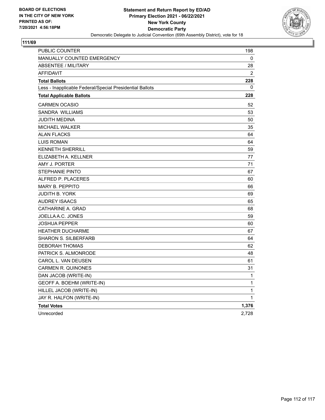

| PUBLIC COUNTER                                           | 198            |
|----------------------------------------------------------|----------------|
| MANUALLY COUNTED EMERGENCY                               | 0              |
| <b>ABSENTEE / MILITARY</b>                               | 28             |
| <b>AFFIDAVIT</b>                                         | $\overline{2}$ |
| <b>Total Ballots</b>                                     | 228            |
| Less - Inapplicable Federal/Special Presidential Ballots | 0              |
| <b>Total Applicable Ballots</b>                          | 228            |
| <b>CARMEN OCASIO</b>                                     | 52             |
| <b>SANDRA WILLIAMS</b>                                   | 53             |
| <b>JUDITH MEDINA</b>                                     | 50             |
| <b>MICHAEL WALKER</b>                                    | 35             |
| <b>ALAN FLACKS</b>                                       | 64             |
| <b>LUIS ROMAN</b>                                        | 64             |
| <b>KENNETH SHERRILL</b>                                  | 59             |
| ELIZABETH A. KELLNER                                     | 77             |
| AMY J. PORTER                                            | 71             |
| <b>STEPHANIE PINTO</b>                                   | 67             |
| ALFRED P. PLACERES                                       | 60             |
| <b>MARY B. PEPPITO</b>                                   | 66             |
| <b>JUDITH B. YORK</b>                                    | 69             |
| <b>AUDREY ISAACS</b>                                     | 65             |
| CATHARINE A. GRAD                                        | 68             |
| JOELLA A.C. JONES                                        | 59             |
| <b>JOSHUA PEPPER</b>                                     | 60             |
| <b>HEATHER DUCHARME</b>                                  | 67             |
| <b>SHARON S. SILBERFARB</b>                              | 64             |
| <b>DEBORAH THOMAS</b>                                    | 62             |
| PATRICK S. ALMONRODE                                     | 48             |
| CAROL L. VAN DEUSEN                                      | 61             |
| <b>CARMEN R. QUINONES</b>                                | 31             |
| DAN JACOB (WRITE-IN)                                     | 1              |
| GEOFF A. BOEHM (WRITE-IN)                                | $\mathbf{1}$   |
| HILLEL JACOB (WRITE-IN)                                  | 1              |
| JAY R. HALFON (WRITE-IN)                                 | 1              |
| <b>Total Votes</b>                                       | 1,376          |
| Unrecorded                                               | 2,728          |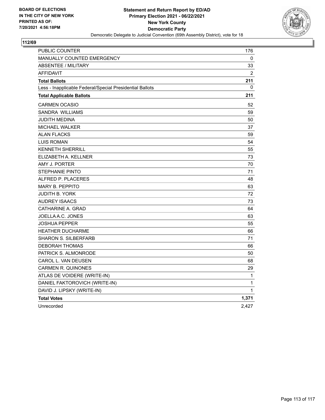

| PUBLIC COUNTER                                           | 176            |
|----------------------------------------------------------|----------------|
| <b>MANUALLY COUNTED EMERGENCY</b>                        | 0              |
| ABSENTEE / MILITARY                                      | 33             |
| <b>AFFIDAVIT</b>                                         | $\overline{2}$ |
| <b>Total Ballots</b>                                     | 211            |
| Less - Inapplicable Federal/Special Presidential Ballots | 0              |
| <b>Total Applicable Ballots</b>                          | 211            |
| <b>CARMEN OCASIO</b>                                     | 52             |
| <b>SANDRA WILLIAMS</b>                                   | 59             |
| <b>JUDITH MEDINA</b>                                     | 50             |
| <b>MICHAEL WALKER</b>                                    | 37             |
| <b>ALAN FLACKS</b>                                       | 59             |
| <b>LUIS ROMAN</b>                                        | 54             |
| <b>KENNETH SHERRILL</b>                                  | 55             |
| ELIZABETH A. KELLNER                                     | 73             |
| AMY J. PORTER                                            | 70             |
| <b>STEPHANIE PINTO</b>                                   | 71             |
| ALFRED P. PLACERES                                       | 48             |
| <b>MARY B. PEPPITO</b>                                   | 63             |
| JUDITH B. YORK                                           | 72             |
| <b>AUDREY ISAACS</b>                                     | 73             |
| CATHARINE A. GRAD                                        | 64             |
| JOELLA A.C. JONES                                        | 63             |
| <b>JOSHUA PEPPER</b>                                     | 55             |
| <b>HEATHER DUCHARME</b>                                  | 66             |
| <b>SHARON S. SILBERFARB</b>                              | 71             |
| <b>DEBORAH THOMAS</b>                                    | 66             |
| PATRICK S. ALMONRODE                                     | 50             |
| CAROL L. VAN DEUSEN                                      | 68             |
| CARMEN R. QUINONES                                       | 29             |
| ATLAS DE VOIDERE (WRITE-IN)                              | 1              |
| DANIEL FAKTOROVICH (WRITE-IN)                            | 1              |
| DAVID J. LIPSKY (WRITE-IN)                               | 1              |
| <b>Total Votes</b>                                       | 1,371          |
| Unrecorded                                               | 2,427          |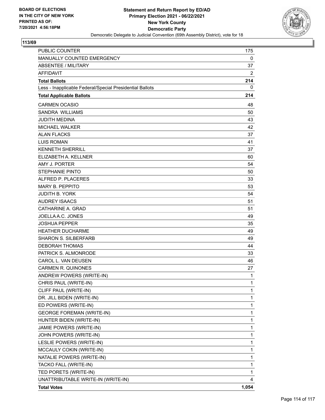

| <b>PUBLIC COUNTER</b>                                    | 175          |
|----------------------------------------------------------|--------------|
| MANUALLY COUNTED EMERGENCY                               | 0            |
| ABSENTEE / MILITARY                                      | 37           |
| <b>AFFIDAVIT</b>                                         | 2            |
| <b>Total Ballots</b>                                     | 214          |
| Less - Inapplicable Federal/Special Presidential Ballots | 0            |
| <b>Total Applicable Ballots</b>                          | 214          |
| <b>CARMEN OCASIO</b>                                     | 48           |
| SANDRA WILLIAMS                                          | 50           |
| <b>JUDITH MEDINA</b>                                     | 43           |
| <b>MICHAEL WALKER</b>                                    | 42           |
| <b>ALAN FLACKS</b>                                       | 37           |
| <b>LUIS ROMAN</b>                                        | 41           |
| <b>KENNETH SHERRILL</b>                                  | 37           |
| ELIZABETH A. KELLNER                                     | 60           |
| AMY J. PORTER                                            | 54           |
| <b>STEPHANIE PINTO</b>                                   | 50           |
| ALFRED P. PLACERES                                       | 33           |
| <b>MARY B. PEPPITO</b>                                   | 53           |
| <b>JUDITH B. YORK</b>                                    | 54           |
| <b>AUDREY ISAACS</b>                                     | 51           |
| CATHARINE A. GRAD                                        | 51           |
| JOELLA A.C. JONES                                        | 49           |
| <b>JOSHUA PEPPER</b>                                     | 35           |
| <b>HEATHER DUCHARME</b>                                  | 49           |
| <b>SHARON S. SILBERFARB</b>                              | 49           |
| <b>DEBORAH THOMAS</b>                                    | 44           |
| PATRICK S. ALMONRODE                                     | 33           |
| CAROL L. VAN DEUSEN                                      | 46           |
| <b>CARMEN R. QUINONES</b>                                | 27           |
| ANDREW POWERS (WRITE-IN)                                 | 1            |
| CHRIS PAUL (WRITE-IN)                                    | 1            |
| CLIFF PAUL (WRITE-IN)                                    | $\mathbf{1}$ |
| DR. JILL BIDEN (WRITE-IN)                                | 1            |
| ED POWERS (WRITE-IN)                                     | $\mathbf 1$  |
| <b>GEORGE FOREMAN (WRITE-IN)</b>                         | 1            |
| HUNTER BIDEN (WRITE-IN)                                  | $\mathbf{1}$ |
| JAMIE POWERS (WRITE-IN)                                  | 1            |
| JOHN POWERS (WRITE-IN)                                   | 1            |
| LESLIE POWERS (WRITE-IN)                                 | 1            |
| MCCAULY COKIN (WRITE-IN)                                 | $\mathbf 1$  |
| NATALIE POWERS (WRITE-IN)                                | 1            |
| TACKO FALL (WRITE-IN)                                    | 1            |
| TED PORETS (WRITE-IN)                                    | 1            |
| UNATTRIBUTABLE WRITE-IN (WRITE-IN)                       | 4            |
| <b>Total Votes</b>                                       | 1,054        |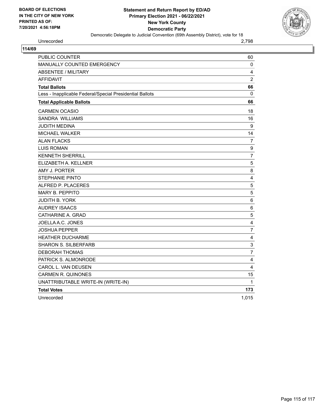

# Unrecorded 2,798

| PUBLIC COUNTER                                           | 60                        |
|----------------------------------------------------------|---------------------------|
| <b>MANUALLY COUNTED EMERGENCY</b>                        | $\mathbf 0$               |
| <b>ABSENTEE / MILITARY</b>                               | 4                         |
| <b>AFFIDAVIT</b>                                         | $\overline{2}$            |
| <b>Total Ballots</b>                                     | 66                        |
| Less - Inapplicable Federal/Special Presidential Ballots | 0                         |
| <b>Total Applicable Ballots</b>                          | 66                        |
| <b>CARMEN OCASIO</b>                                     | 18                        |
| SANDRA WILLIAMS                                          | 16                        |
| <b>JUDITH MEDINA</b>                                     | 9                         |
| MICHAEL WALKER                                           | 14                        |
| <b>ALAN FLACKS</b>                                       | $\overline{7}$            |
| <b>LUIS ROMAN</b>                                        | 9                         |
| <b>KENNETH SHERRILL</b>                                  | $\overline{7}$            |
| ELIZABETH A. KELLNER                                     | $\overline{5}$            |
| AMY J. PORTER                                            | 8                         |
| <b>STEPHANIE PINTO</b>                                   | $\overline{\mathbf{4}}$   |
| ALFRED P. PLACERES                                       | 5                         |
| <b>MARY B. PEPPITO</b>                                   | 5                         |
| <b>JUDITH B. YORK</b>                                    | 6                         |
| <b>AUDREY ISAACS</b>                                     | 6                         |
| CATHARINE A. GRAD                                        | 5                         |
| JOELLA A.C. JONES                                        | $\overline{\mathbf{4}}$   |
| <b>JOSHUA PEPPER</b>                                     | $\overline{7}$            |
| HEATHER DUCHARME                                         | $\overline{4}$            |
| <b>SHARON S. SILBERFARB</b>                              | $\ensuremath{\mathsf{3}}$ |
| <b>DEBORAH THOMAS</b>                                    | $\overline{7}$            |
| PATRICK S. ALMONRODE                                     | $\overline{4}$            |
| CAROL L. VAN DEUSEN                                      | $\overline{4}$            |
| <b>CARMEN R. QUINONES</b>                                | 15                        |
| UNATTRIBUTABLE WRITE-IN (WRITE-IN)                       | $\mathbf{1}$              |
| <b>Total Votes</b>                                       | 173                       |
| Unrecorded                                               | 1,015                     |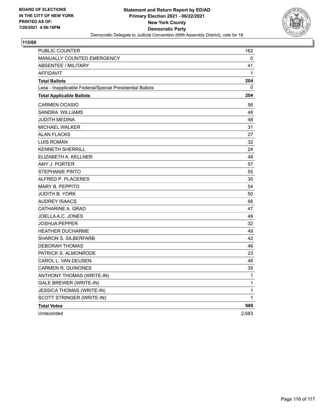

| PUBLIC COUNTER                                           | 162          |
|----------------------------------------------------------|--------------|
| MANUALLY COUNTED EMERGENCY                               | 0            |
| <b>ABSENTEE / MILITARY</b>                               | 41           |
| <b>AFFIDAVIT</b>                                         | 1            |
| <b>Total Ballots</b>                                     | 204          |
| Less - Inapplicable Federal/Special Presidential Ballots | 0            |
| <b>Total Applicable Ballots</b>                          | 204          |
| <b>CARMEN OCASIO</b>                                     | 56           |
| SANDRA WILLIAMS                                          | 48           |
| JUDITH MEDINA                                            | 48           |
| <b>MICHAEL WALKER</b>                                    | 31           |
| <b>ALAN FLACKS</b>                                       | 27           |
| <b>LUIS ROMAN</b>                                        | 32           |
| <b>KENNETH SHERRILL</b>                                  | 24           |
| ELIZABETH A. KELLNER                                     | 48           |
| AMY J. PORTER                                            | 57           |
| <b>STEPHANIE PINTO</b>                                   | 55           |
| ALFRED P. PLACERES                                       | 30           |
| <b>MARY B. PEPPITO</b>                                   | 54           |
| <b>JUDITH B. YORK</b>                                    | 50           |
| <b>AUDREY ISAACS</b>                                     | 56           |
| CATHARINE A. GRAD                                        | 47           |
| JOELLA A.C. JONES                                        | 49           |
| <b>JOSHUA PEPPER</b>                                     | 32           |
| <b>HEATHER DUCHARME</b>                                  | 49           |
| <b>SHARON S. SILBERFARB</b>                              | 42           |
| <b>DEBORAH THOMAS</b>                                    | 46           |
| PATRICK S. ALMONRODE                                     | 23           |
| CAROL L. VAN DEUSEN                                      | 46           |
| <b>CARMEN R. QUINONES</b>                                | 35           |
| ANTHONY THOMAS (WRITE-IN)                                | 1            |
| <b>GALE BREWER (WRITE-IN)</b>                            | 1            |
| <b>JESSICA THOMAS (WRITE-IN)</b>                         | 1            |
| SCOTT STRINGER (WRITE-IN)                                | $\mathbf{1}$ |
| <b>Total Votes</b>                                       | 989          |
| Unrecorded                                               | 2,683        |